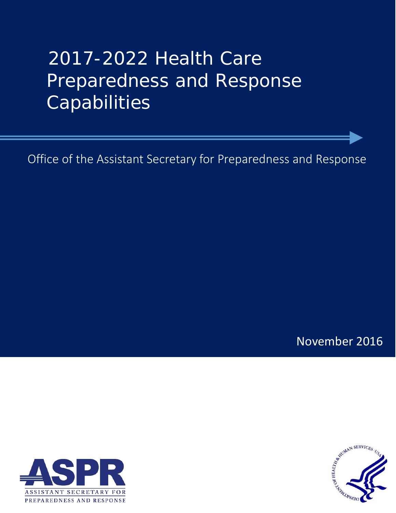# 2017-2022 Health Care Preparedness and Response **Capabilities**

Office of the Assistant Secretary for Preparedness and Response

November 2016



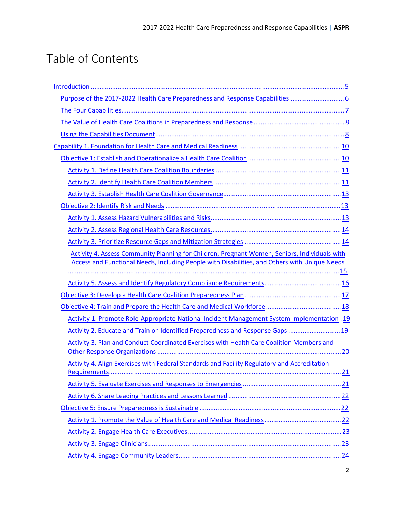# Table of Contents

| Purpose of the 2017-2022 Health Care Preparedness and Response Capabilities  6                |      |
|-----------------------------------------------------------------------------------------------|------|
|                                                                                               |      |
|                                                                                               |      |
|                                                                                               |      |
|                                                                                               |      |
|                                                                                               |      |
|                                                                                               |      |
|                                                                                               |      |
|                                                                                               |      |
|                                                                                               |      |
|                                                                                               |      |
|                                                                                               |      |
|                                                                                               |      |
| Activity 4. Assess Community Planning for Children, Pregnant Women, Seniors, Individuals with |      |
| Access and Functional Needs, Including People with Disabilities, and Others with Unique Needs |      |
|                                                                                               |      |
|                                                                                               |      |
|                                                                                               |      |
| Activity 1. Promote Role-Appropriate National Incident Management System Implementation . 19  |      |
| Activity 2. Educate and Train on Identified Preparedness and Response Gaps  19                |      |
| Activity 3. Plan and Conduct Coordinated Exercises with Health Care Coalition Members and     |      |
|                                                                                               | . 20 |
| Activity 4. Align Exercises with Federal Standards and Facility Regulatory and Accreditation  |      |
| 21                                                                                            |      |
|                                                                                               |      |
|                                                                                               |      |
|                                                                                               |      |
|                                                                                               |      |
|                                                                                               |      |
|                                                                                               |      |
|                                                                                               |      |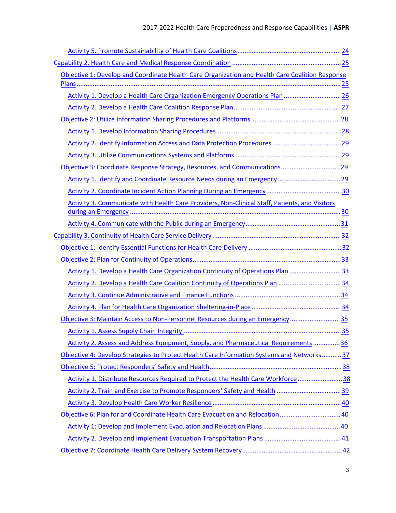| Objective 1: Develop and Coordinate Health Care Organization and Health Care Coalition Response |  |
|-------------------------------------------------------------------------------------------------|--|
|                                                                                                 |  |
| Activity 1. Develop a Health Care Organization Emergency Operations Plan  26                    |  |
|                                                                                                 |  |
|                                                                                                 |  |
|                                                                                                 |  |
|                                                                                                 |  |
|                                                                                                 |  |
|                                                                                                 |  |
|                                                                                                 |  |
|                                                                                                 |  |
| Activity 3. Communicate with Health Care Providers, Non-Clinical Staff, Patients, and Visitors  |  |
|                                                                                                 |  |
|                                                                                                 |  |
|                                                                                                 |  |
|                                                                                                 |  |
|                                                                                                 |  |
| Activity 1. Develop a Health Care Organization Continuity of Operations Plan 33                 |  |
| Activity 2. Develop a Health Care Coalition Continuity of Operations Plan 34                    |  |
|                                                                                                 |  |
|                                                                                                 |  |
| Objective 3: Maintain Access to Non-Personnel Resources during an Emergency35                   |  |
|                                                                                                 |  |
| Activity 2. Assess and Address Equipment, Supply, and Pharmaceutical Requirements  36           |  |
| Objective 4: Develop Strategies to Protect Health Care Information Systems and Networks 37      |  |
|                                                                                                 |  |
| Activity 1. Distribute Resources Required to Protect the Health Care Workforce38                |  |
| Activity 2. Train and Exercise to Promote Responders' Safety and Health  39                     |  |
|                                                                                                 |  |
| Objective 6: Plan for and Coordinate Health Care Evacuation and Relocation  40                  |  |
|                                                                                                 |  |
|                                                                                                 |  |
|                                                                                                 |  |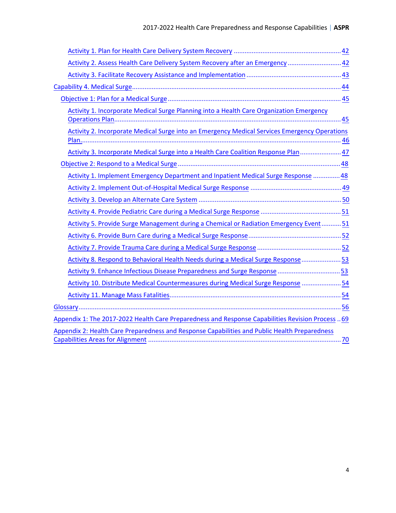| Activity 2. Assess Health Care Delivery System Recovery after an Emergency  42                    |  |
|---------------------------------------------------------------------------------------------------|--|
|                                                                                                   |  |
|                                                                                                   |  |
|                                                                                                   |  |
| Activity 1. Incorporate Medical Surge Planning into a Health Care Organization Emergency          |  |
|                                                                                                   |  |
| Activity 2. Incorporate Medical Surge into an Emergency Medical Services Emergency Operations     |  |
|                                                                                                   |  |
| Activity 3. Incorporate Medical Surge into a Health Care Coalition Response Plan 47               |  |
|                                                                                                   |  |
| Activity 1. Implement Emergency Department and Inpatient Medical Surge Response  48               |  |
|                                                                                                   |  |
|                                                                                                   |  |
|                                                                                                   |  |
| Activity 5. Provide Surge Management during a Chemical or Radiation Emergency Event51             |  |
|                                                                                                   |  |
|                                                                                                   |  |
| Activity 8. Respond to Behavioral Health Needs during a Medical Surge Response 53                 |  |
| Activity 9. Enhance Infectious Disease Preparedness and Surge Response 53                         |  |
| Activity 10. Distribute Medical Countermeasures during Medical Surge Response  54                 |  |
|                                                                                                   |  |
|                                                                                                   |  |
| Appendix 1: The 2017-2022 Health Care Preparedness and Response Capabilities Revision Process  69 |  |
| Appendix 2: Health Care Preparedness and Response Capabilities and Public Health Preparedness     |  |
|                                                                                                   |  |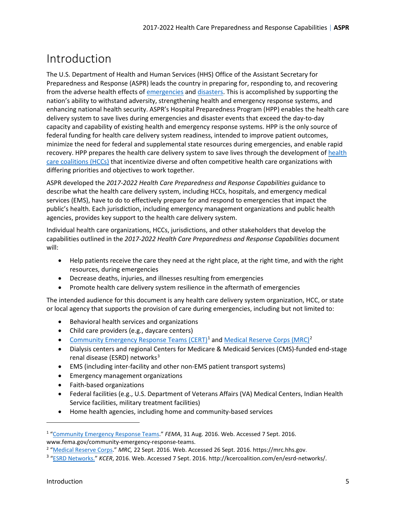# <span id="page-4-0"></span>Introduction

The U.S. Department of Health and Human Services (HHS) Office of the Assistant Secretary for Preparedness and Response (ASPR) leads the country in preparing for, responding to, and recovering from the adverse health effects o[f emergencies](#page-58-0) an[d disasters.](#page-57-0) This is accomplished by supporting the nation's ability to withstand adversity, strengthening health and emergency response systems, and enhancing national health security. ASPR's Hospital Preparedness Program (HPP) enables the health care delivery system to save lives during emergencies and disaster events that exceed the day-to-day capacity and capability of existing health and emergency response systems. HPP is the only source of federal funding for health care delivery system readiness, intended to improve patient outcomes, minimize the need for federal and supplemental state resources during emergencies, and enable rapid recovery. HPP prepares the health care delivery system to save lives through the development of [health](#page-61-0)  [care coalitions \(HCCs\)](#page-61-0) that incentivize diverse and often competitive health care organizations with differing priorities and objectives to work together.

ASPR developed the *2017-2022 Health Care Preparedness and Response Capabilities* guidance to describe what the health care delivery system, including HCCs, hospitals, and emergency medical services (EMS), have to do to effectively prepare for and respond to emergencies that impact the public's health. Each jurisdiction, including emergency management organizations and public health agencies, provides key support to the health care delivery system.

Individual health care organizations, HCCs, jurisdictions, and other stakeholders that develop the capabilities outlined in the *2017-2022 Health Care Preparedness and Response Capabilities* document will:

- Help patients receive the care they need at the right place, at the right time, and with the right resources, during emergencies
- Decrease deaths, injuries, and illnesses resulting from emergencies
- Promote health care delivery system resilience in the aftermath of emergencies

The intended audience for this document is any health care delivery system organization, HCC, or state or local agency that supports the provision of care during emergencies, including but not limited to:

- Behavioral health services and organizations
- Child care providers (e.g., daycare centers)
- [Community Emergency Response Teams \(CERT\)](#page-56-0)<sup>[1](#page-4-1)</sup> an[d Medical Reserve Corps \(MRC\)](#page-64-0)<sup>[2](#page-4-2)</sup>
- Dialysis centers and regional Centers for Medicare & Medicaid Services (CMS)-funded end-stage renal disease (ESRD) networks $3$
- EMS (including inter-facility and other non-EMS patient transport systems)
- Emergency management organizations
- Faith-based organizations
- Federal facilities (e.g., U.S. Department of Veterans Affairs (VA) Medical Centers, Indian Health Service facilities, military treatment facilities)
- Home health agencies, including home and community-based services

<span id="page-4-1"></span><sup>&</sup>lt;sup>1</sup> ["Community Emergency Response Teams."](https://www.fema.gov/community-emergency-response-teams) FEMA, 31 Aug. 2016. Web. Accessed 7 Sept. 2016. www.fema.gov/community-emergency-response-teams.

<sup>&</sup>lt;sup>2</sup> "<u>Medical Reserve Corps</u>." *MRC,* 22 Sept. 2016. Web. Accessed 26 Sept. 2016. https://mrc.hhs.gov.<br><sup>3 "ESRD Networks." KCER, 2016. Web. Accessed 7 Sept. 2016. http://kcercoalition.com/en/esrd-pet.</sup>

<span id="page-4-3"></span><span id="page-4-2"></span><sup>&</sup>lt;sup>3</sup> ["ESRD Networks."](http://kcercoalition.com/en/esrd-networks/) KCER, 2016. Web. Accessed 7 Sept. 2016. http://kcercoalition.com/en/esrd-networks/.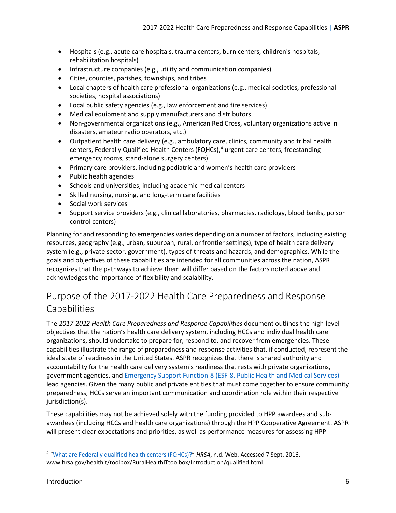- Hospitals (e.g., acute care hospitals, trauma centers, burn centers, children's hospitals, rehabilitation hospitals)
- Infrastructure companies (e.g., utility and communication companies)
- Cities, counties, parishes, townships, and tribes
- Local chapters of health care professional organizations (e.g., medical societies, professional societies, hospital associations)
- Local public safety agencies (e.g., law enforcement and fire services)
- Medical equipment and supply manufacturers and distributors
- Non-governmental organizations (e.g., American Red Cross, voluntary organizations active in disasters, amateur radio operators, etc.)
- Outpatient health care delivery (e.g., ambulatory care, clinics, community and tribal health centers, Federally Qualified Health Centers (FQHCs),<sup>[4](#page-5-1)</sup> urgent care centers, freestanding emergency rooms, stand-alone surgery centers)
- Primary care providers, including pediatric and women's health care providers
- Public health agencies
- Schools and universities, including academic medical centers
- Skilled nursing, nursing, and long-term care facilities
- Social work services
- Support service providers (e.g., clinical laboratories, pharmacies, radiology, blood banks, poison control centers)

Planning for and responding to emergencies varies depending on a number of factors, including existing resources, geography (e.g., urban, suburban, rural, or frontier settings), type of health care delivery system (e.g., private sector, government), types of threats and hazards, and demographics. While the goals and objectives of these capabilities are intended for all communities across the nation, ASPR recognizes that the pathways to achieve them will differ based on the factors noted above and acknowledges the importance of flexibility and scalability.

### <span id="page-5-0"></span>Purpose of the 2017-2022 Health Care Preparedness and Response Capabilities

The *2017-2022 Health Care Preparedness and Response Capabilities* document outlines the high-level objectives that the nation's health care delivery system, including HCCs and individual health care organizations, should undertake to prepare for, respond to, and recover from emergencies. These capabilities illustrate the range of preparedness and response activities that, if conducted, represent the ideal state of readiness in the United States. ASPR recognizes that there is shared authority and accountability for the health care delivery system's readiness that rests with private organizations, government agencies, an[d Emergency Support Function-8 \(ESF-8, Public Health and Medical Services\)](#page-59-0) lead agencies. Given the many public and private entities that must come together to ensure community preparedness, HCCs serve an important communication and coordination role within their respective jurisdiction(s).

These capabilities may not be achieved solely with the funding provided to HPP awardees and subawardees (including HCCs and health care organizations) through the HPP Cooperative Agreement. ASPR will present clear expectations and priorities, as well as performance measures for assessing HPP

<span id="page-5-1"></span><sup>&</sup>lt;sup>4</sup> ["What are Federally qualified health centers \(FQHCs\)?"](http://www.hrsa.gov/healthit/toolbox/RuralHealthITtoolbox/Introduction/qualified.html) HRSA, n.d. Web. Accessed 7 Sept. 2016. www.hrsa.gov/healthit/toolbox/RuralHealthITtoolbox/Introduction/qualified.html.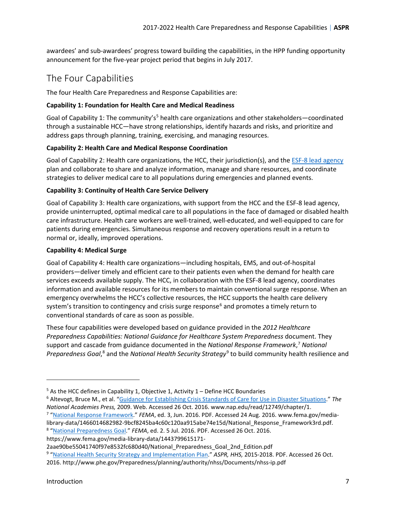awardees' and sub-awardees' progress toward building the capabilities, in the HPP funding opportunity announcement for the five-year project period that begins in July 2017.

### <span id="page-6-0"></span>The Four Capabilities

The four Health Care Preparedness and Response Capabilities are:

#### **Capability 1: Foundation for Health Care and Medical Readiness**

Goal of Capability 1: The community's<sup>5</sup> health care organizations and other stakeholders—coordinated through a sustainable HCC—have strong relationships, identify hazards and risks, and prioritize and address gaps through planning, training, exercising, and managing resources.

#### **Capability 2: Health Care and Medical Response Coordination**

Goal of Capability 2: Health care organizations, the HCC, their jurisdiction(s), and the [ESF-8 lead agency](#page-60-0) plan and collaborate to share and analyze information, manage and share resources, and coordinate strategies to deliver medical care to all populations during emergencies and planned events.

#### **Capability 3: Continuity of Health Care Service Delivery**

Goal of Capability 3: Health care organizations, with support from the HCC and the ESF-8 lead agency, provide uninterrupted, optimal medical care to all populations in the face of damaged or disabled health care infrastructure. Health care workers are well-trained, well-educated, and well-equipped to care for patients during emergencies. Simultaneous response and recovery operations result in a return to normal or, ideally, improved operations.

#### **Capability 4: Medical Surge**

Goal of Capability 4: Health care organizations—including hospitals, EMS, and out-of-hospital providers—deliver timely and efficient care to their patients even when the demand for health care services exceeds available supply. The HCC, in collaboration with the ESF-8 lead agency, coordinates information and available resources for its members to maintain conventional surge response. When an emergency overwhelms the HCC's collective resources, the HCC supports the health care delivery system's transition to contingency and crisis surge response<sup>6</sup> and promotes a timely return to conventional standards of care as soon as possible.

These four capabilities were developed based on guidance provided in the *2012 Healthcare Preparedness Capabilities: National Guidance for Healthcare System Preparedness* document. They support and cascade from guidance documented in the *National Response Framework*, [7](#page-6-1) *National*  Preparedness Goal,<sup>[8](#page-6-2)</sup> and the *National Health Security Strategy*<sup>[9](#page-6-3)</sup> to build community health resilience and

<sup>5</sup> As the HCC defines in Capability 1, Objective 1, Activity 1 – Define HCC Boundaries 6 Altevogt, Bruce M., et al. ["Guidance for Establishing Crisis Standards of Care for Use in Disaster Situations."](https://www.nap.edu/read/12749/chapter/1) The *National Academies Press,* 2009. Web. Accessed 26 Oct. 2016. www.nap.edu/read/12749/chapter/1. <sup>7</sup> "<u>National Response Framework</u>." *FEMA*, ed. 3, Jun. 2016. PDF. Accessed 24 Aug. 2016. www.fema.gov/media-

<span id="page-6-1"></span>library-data/1466014682982-9bcf8245ba4c60c120aa915abe74e15d/National\_Response\_Framework3rd.pdf. <sup>8</sup> ["National Preparedness Goal.](https://www.fema.gov/media-library-data/1443799615171-2aae90be55041740f97e8532fc680d40/National_Preparedness_Goal_2nd_Edition.pdf)" FEMA, ed. 2. 5 Jul. 2016. PDF. Accessed 26 Oct. 2016.

<span id="page-6-2"></span>https://www.fema.gov/media-library-data/1443799615171-

2aae90be55041740f97e8532fc680d40/National\_Preparedness\_Goal\_2nd\_Edition.pdf

<span id="page-6-3"></span><sup>9</sup> ["National Health Security Strategy and Implementation Plan.](http://www.phe.gov/Preparedness/planning/authority/nhss/Documents/nhss-ip.pdf)" *ASPR, HHS,* 2015-2018. PDF. Accessed 26 Oct. 2016. http://www.phe.gov/Preparedness/planning/authority/nhss/Documents/nhss-ip.pdf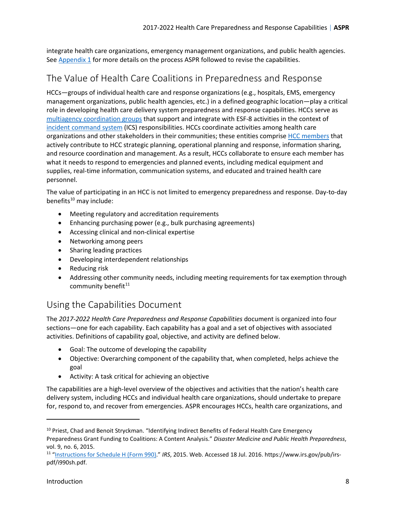integrate health care organizations, emergency management organizations, and public health agencies. Se[e Appendix 1](#page-68-0) for more details on the process ASPR followed to revise the capabilities.

### <span id="page-7-0"></span>The Value of Health Care Coalitions in Preparedness and Response

HCCs—groups of individual health care and response organizations (e.g., hospitals, EMS, emergency management organizations, public health agencies, etc.) in a defined geographic location—play a critical role in developing health care delivery system preparedness and response capabilities. HCCs serve as [multiagency coordination](#page-65-0) groups that support and integrate with ESF-8 activities in the context of [incident command system](#page-63-0) (ICS) responsibilities. HCCs coordinate activities among health care organizations and other stakeholders in their communities; these entities comprise [HCC members](#page-61-1) that actively contribute to HCC strategic planning, operational planning and response, information sharing, and resource coordination and management. As a result, HCCs collaborate to ensure each member has what it needs to respond to emergencies and planned events, including medical equipment and supplies, real-time information, communication systems, and educated and trained health care personnel.

The value of participating in an HCC is not limited to emergency preparedness and response. Day-to-day benefits $10$  may include:

- Meeting regulatory and accreditation requirements
- Enhancing purchasing power (e.g., bulk purchasing agreements)
- Accessing clinical and non-clinical expertise
- Networking among peers
- Sharing leading practices
- Developing interdependent relationships
- Reducing risk
- Addressing other community needs, including meeting requirements for tax exemption through community benefit $11$

### <span id="page-7-1"></span>Using the Capabilities Document

The *2017-2022 Health Care Preparedness and Response Capabilities* document is organized into four sections—one for each capability. Each capability has a goal and a set of objectives with associated activities. Definitions of capability goal, objective, and activity are defined below.

- Goal: The outcome of developing the capability
- Objective: Overarching component of the capability that, when completed, helps achieve the goal
- Activity: A task critical for achieving an objective

The capabilities are a high-level overview of the objectives and activities that the nation's health care delivery system, including HCCs and individual health care organizations, should undertake to prepare for, respond to, and recover from emergencies. ASPR encourages HCCs, health care organizations, and

<span id="page-7-2"></span><sup>&</sup>lt;sup>10</sup> Priest, Chad and Benoit Stryckman. "Identifying Indirect Benefits of Federal Health Care Emergency Preparedness Grant Funding to Coalitions: A Content Analysis." *Disaster Medicine and Public Health Preparedness*, vol. 9, no. 6, 2015.

<span id="page-7-3"></span><sup>11</sup> ["Instructions for Schedule H \(Form 990\).](https://www.irs.gov/pub/irs-pdf/i990sh.pdf)" *IRS*, 2015. Web. Accessed 18 Jul. 2016. https://www.irs.gov/pub/irspdf/i990sh.pdf.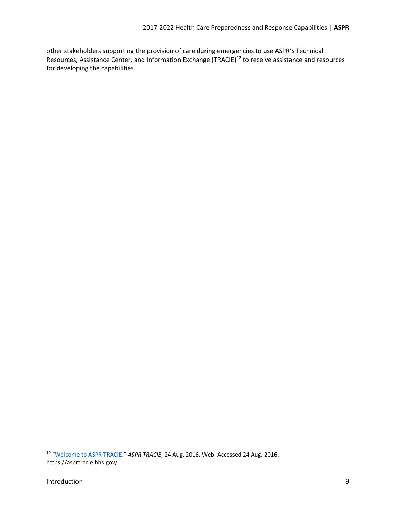other stakeholders supporting the provision of care during emergencies to use ASPR's Technical Resources, Assistance Center, and Information Exchange (TRACIE)<sup>[12](#page-8-0)</sup> to receive assistance and resources for developing the capabilities.

 $\overline{\phantom{a}}$ 

<span id="page-8-0"></span><sup>12</sup> ["Welcome to ASPR TRACIE.](https://asprtracie.hhs.gov/)" *ASPR TRACIE*, 24 Aug. 2016. Web. Accessed 24 Aug. 2016. https://asprtracie.hhs.gov/.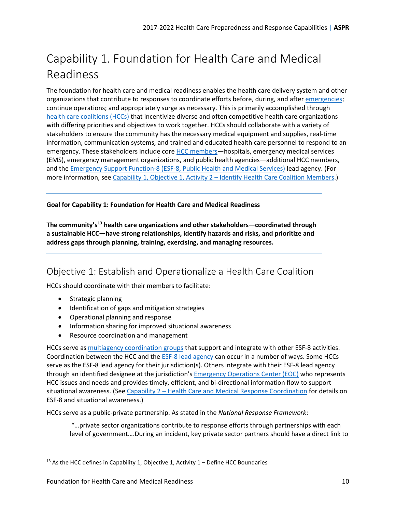# <span id="page-9-0"></span>Capability 1. Foundation for Health Care and Medical Readiness

The foundation for health care and medical readiness enables the health care delivery system and other organizations that contribute to responses to coordinate efforts before, during, and after [emergencies;](#page-58-0) continue operations; and appropriately surge as necessary. This is primarily accomplished through [health care coalitions \(HCCs\)](#page-61-0) that incentivize diverse and often competitive health care organizations with differing priorities and objectives to work together. HCCs should collaborate with a variety of stakeholders to ensure the community has the necessary medical equipment and supplies, real-time information, communication systems, and trained and educated health care personnel to respond to an emergency. These stakeholders include core [HCC members—](#page-61-1)hospitals, emergency medical services (EMS), emergency management organizations, and public health agencies—additional HCC members, and the [Emergency Support Function-8 \(ESF-8, Public Health and Medical Services\)](#page-59-0) lead agency. (For more information, see [Capability 1, Objective 1, Activity 2 – Identify Health Care Coalition Members.](#page-10-1))

**Goal for Capability 1: Foundation for Health Care and Medical Readiness**

**The community's[13](#page-9-2) health care organizations and other stakeholders—coordinated through a sustainable HCC—have strong relationships, identify hazards and risks, and prioritize and address gaps through planning, training, exercising, and managing resources.** 

### <span id="page-9-1"></span>Objective 1: Establish and Operationalize a Health Care Coalition

HCCs should coordinate with their members to facilitate:

• Strategic planning

 $\overline{a}$ 

- Identification of gaps and mitigation strategies
- Operational planning and response
- Information sharing for improved situational awareness
- Resource coordination and management

HCCs serve as [multiagency coordination groups](#page-65-0) that support and integrate with other ESF-8 activities. Coordination between the HCC and the [ESF-8 lead agency](#page-60-0) can occur in a number of ways. Some HCCs serve as the ESF-8 lead agency for their jurisdiction(s). Others integrate with their ESF-8 lead agency through an identified designee at the jurisdiction's [Emergency Operations Center \(EOC\)](#page-58-1) who represents HCC issues and needs and provides timely, efficient, and bi-directional information flow to support situational awareness. (See [Capability 2 – Health Care and Medical Response Coordination](#page-24-0) for details on ESF-8 and situational awareness.)

HCCs serve as a public-private partnership. As stated in the *National Response Framework*:

"…private sector organizations contribute to response efforts through partnerships with each level of government….During an incident, key private sector partners should have a direct link to

<span id="page-9-2"></span> $13$  As the HCC defines in Capability 1, Objective 1, Activity 1 – Define HCC Boundaries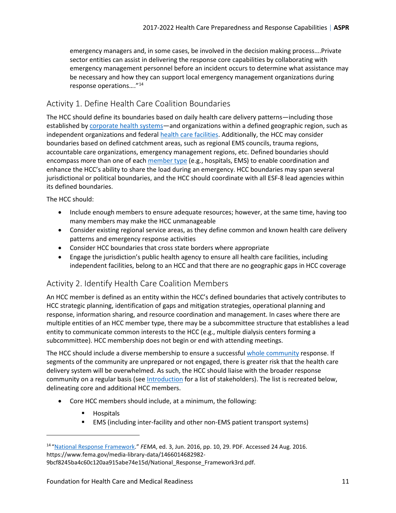emergency managers and, in some cases, be involved in the decision making process….Private sector entities can assist in delivering the response core capabilities by collaborating with emergency management personnel before an incident occurs to determine what assistance may be necessary and how they can support local emergency management organizations during response operations…."14

### <span id="page-10-0"></span>Activity 1. Define Health Care Coalition Boundaries

The HCC should define its boundaries based on daily health care delivery patterns—including those established by [corporate health systems—](#page-57-1)and organizations within a defined geographic region, such as independent organizations and federal [health care facilities.](#page-62-0) Additionally, the HCC may consider boundaries based on defined catchment areas, such as regional EMS councils, trauma regions, accountable care organizations, emergency management regions, etc. Defined boundaries should encompass more than one of each [member type](#page-64-1) (e.g., hospitals, EMS) to enable coordination and enhance the HCC's ability to share the load during an emergency. HCC boundaries may span several jurisdictional or political boundaries, and the HCC should coordinate with all ESF-8 lead agencies within its defined boundaries.

The HCC should:

- Include enough members to ensure adequate resources; however, at the same time, having too many members may make the HCC unmanageable
- Consider existing regional service areas, as they define common and known health care delivery patterns and emergency response activities
- Consider HCC boundaries that cross state borders where appropriate
- Engage the jurisdiction's public health agency to ensure all health care facilities, including independent facilities, belong to an HCC and that there are no geographic gaps in HCC coverage

### <span id="page-10-1"></span>Activity 2. Identify Health Care Coalition Members

An HCC member is defined as an entity within the HCC's defined boundaries that actively contributes to HCC strategic planning, identification of gaps and mitigation strategies, operational planning and response, information sharing, and resource coordination and management. In cases where there are multiple entities of an HCC member type, there may be a subcommittee structure that establishes a lead entity to communicate common interests to the HCC (e.g., multiple dialysis centers forming a subcommittee). HCC membership does not begin or end with attending meetings.

The HCC should include a diverse membership to ensure a successfu[l whole community](#page-67-0) response. If segments of the community are unprepared or not engaged, there is greater risk that the health care delivery system will be overwhelmed. As such, the HCC should liaise with the broader response community on a regular basis (see [Introduction](#page-4-0) for a list of stakeholders). The list is recreated below, delineating core and additional HCC members.

- Core HCC members should include, at a minimum, the following:
	- **Hospitals**

 $\overline{a}$ 

EMS (including inter-facility and other non-EMS patient transport systems)

<sup>14</sup> ["National Response Framework."](https://www.fema.gov/media-library-data/1466014682982-9bcf8245ba4c60c120aa915abe74e15d/National_Response_Framework3rd.pdf) *FEMA*, ed. 3, Jun. 2016, pp. 10, 29. PDF. Accessed 24 Aug. 2016. https://www.fema.gov/media-library-data/1466014682982-

<sup>9</sup>bcf8245ba4c60c120aa915abe74e15d/National\_Response\_Framework3rd.pdf.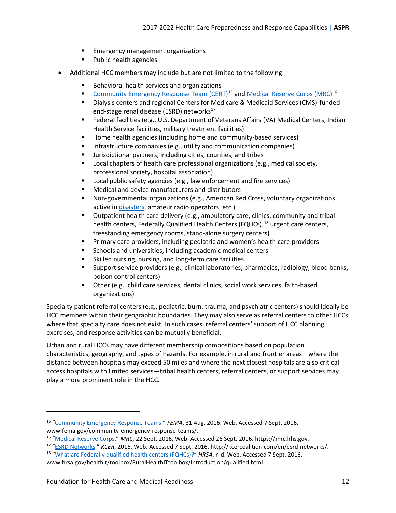- **Emergency management organizations**
- **Public health agencies**
- Additional HCC members may include but are not limited to the following:
	- Behavioral health services and organizations
	- **[Community Emergency Response Team \(CERT\)](#page-56-0)<sup>[15](#page-11-0)</sup> and [Medical Reserve Corps \(MRC\)](#page-64-0)<sup>[16](#page-11-1)</sup>**
	- Dialysis centers and regional Centers for Medicare & Medicaid Services (CMS)-funded end-stage renal disease (ESRD) networks<sup>17</sup>
	- Federal facilities (e.g., U.S. Department of Veterans Affairs (VA) Medical Centers, Indian Health Service facilities, military treatment facilities)
	- Home health agencies (including home and community-based services)
	- **Infrastructure companies (e.g., utility and communication companies)**
	- Jurisdictional partners, including cities, counties, and tribes
	- **Local chapters of health care professional organizations (e.g., medical society,** professional society, hospital association)
	- **EXECT** Local public safety agencies (e.g., law enforcement and fire services)
	- Medical and device manufacturers and distributors
	- Non-governmental organizations (e.g., American Red Cross, voluntary organizations active in [disasters,](#page-57-0) amateur radio operators, etc.)
	- Outpatient health care delivery (e.g., ambulatory care, clinics, community and tribal health centers, Federally Qualified Health Centers (FQHCs), <sup>[18](#page-11-3)</sup> urgent care centers, freestanding emergency rooms, stand-alone surgery centers)
	- **Primary care providers, including pediatric and women's health care providers**
	- Schools and universities, including academic medical centers
	- Skilled nursing, nursing, and long-term care facilities
	- Support service providers (e.g., clinical laboratories, pharmacies, radiology, blood banks, poison control centers)
	- Other (e.g., child care services, dental clinics, social work services, faith-based organizations)

Specialty patient referral centers (e.g., pediatric, burn, trauma, and psychiatric centers) should ideally be HCC members within their geographic boundaries. They may also serve as referral centers to other HCCs where that specialty care does not exist. In such cases, referral centers' support of HCC planning, exercises, and response activities can be mutually beneficial.

Urban and rural HCCs may have different membership compositions based on population characteristics, geography, and types of hazards. For example, in rural and frontier areas—where the distance between hospitals may exceed 50 miles and where the next closest hospitals are also critical access hospitals with limited services—tribal health centers, referral centers, or support services may play a more prominent role in the HCC.

<span id="page-11-3"></span><sup>18</sup> ["What are Federally qualified health centers \(FQHCs\)?"](http://www.hrsa.gov/healthit/toolbox/RuralHealthITtoolbox/Introduction/qualified.html) HRSA, n.d. Web. Accessed 7 Sept. 2016. www.hrsa.gov/healthit/toolbox/RuralHealthITtoolbox/Introduction/qualified.html.

l

<span id="page-11-0"></span><sup>15</sup> ["Community Emergency Response Teams.](https://www.fema.gov/community-emergency-response-teams/)" *FEMA*, 31 Aug. 2016. Web. Accessed 7 Sept. 2016. www.fema.gov/community-emergency-response-teams/.

<span id="page-11-1"></span><sup>16</sup> ["Medical Reserve Corps."](https://mrc.hhs.gov/HomePage) *MRC,* 22 Sept. 2016. Web. Accessed 26 Sept. 2016. https://mrc.hhs.gov.

<span id="page-11-2"></span><sup>17</sup> ["ESRD Networks."](http://kcercoalition.com/en/esrd-networks/) *KCER*, 2016. Web. Accessed 7 Sept. 2016. http://kcercoalition.com/en/esrd-networks/.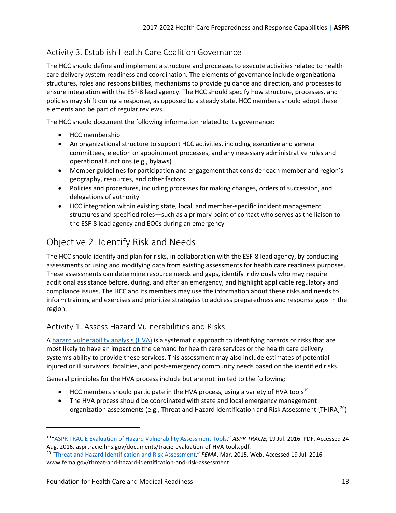### <span id="page-12-0"></span>Activity 3. Establish Health Care Coalition Governance

The HCC should define and implement a structure and processes to execute activities related to health care delivery system readiness and coordination. The elements of governance include organizational structures, roles and responsibilities, mechanisms to provide guidance and direction, and processes to ensure integration with the ESF-8 lead agency. The HCC should specify how structure, processes, and policies may shift during a response, as opposed to a steady state. HCC members should adopt these elements and be part of regular reviews.

The HCC should document the following information related to its governance:

- HCC membership
- An organizational structure to support HCC activities, including executive and general committees, election or appointment processes, and any necessary administrative rules and operational functions (e.g., bylaws)
- Member guidelines for participation and engagement that consider each member and region's geography, resources, and other factors
- Policies and procedures, including processes for making changes, orders of succession, and delegations of authority
- HCC integration within existing state, local, and member-specific incident management structures and specified roles—such as a primary point of contact who serves as the liaison to the ESF-8 lead agency and EOCs during an emergency

### <span id="page-12-1"></span>Objective 2: Identify Risk and Needs

The HCC should identify and plan for risks, in collaboration with the ESF-8 lead agency, by conducting assessments or using and modifying data from existing assessments for health care readiness purposes. These assessments can determine resource needs and gaps, identify individuals who may require additional assistance before, during, and after an emergency, and highlight applicable regulatory and compliance issues. The HCC and its members may use the information about these risks and needs to inform training and exercises and prioritize strategies to address preparedness and response gaps in the region.

### <span id="page-12-2"></span>Activity 1. Assess Hazard Vulnerabilities and Risks

A [hazard vulnerability analysis \(HVA\)](#page-60-1) is a systematic approach to identifying hazards or risks that are most likely to have an impact on the demand for health care services or the health care delivery system's ability to provide these services. This assessment may also include estimates of potential injured or ill survivors, fatalities, and post-emergency community needs based on the identified risks.

General principles for the HVA process include but are not limited to the following:

- HCC members should participate in the HVA process, using a variety of HVA tools<sup>[19](#page-12-3)</sup>
- The HVA process should be coordinated with state and local emergency management organization assessments (e.g., Threat and Hazard Identification and Risk Assessment [THIRA]<sup>[20](#page-12-4)</sup>)

l

<span id="page-12-3"></span><sup>19</sup> ["ASPR TRACIE Evaluation of Hazard Vulnerability Assessment Tools.](https://asprtracie.hhs.gov/documents/tracie-evaluation-of-HVA-tools.pdf)" *ASPR TRACIE,* 19 Jul. 2016. PDF. Accessed 24 Aug. 2016. asprtracie.hhs.gov/documents/tracie-evaluation-of-HVA-tools.pdf.

<span id="page-12-4"></span><sup>20</sup> ["Threat and Hazard Identification and Risk Assessment.](https://www.fema.gov/threat-and-hazard-identification-and-risk-assessment)" *FEMA*, Mar. 2015. Web. Accessed 19 Jul. 2016. www.fema.gov/threat-and-hazard-identification-and-risk-assessment.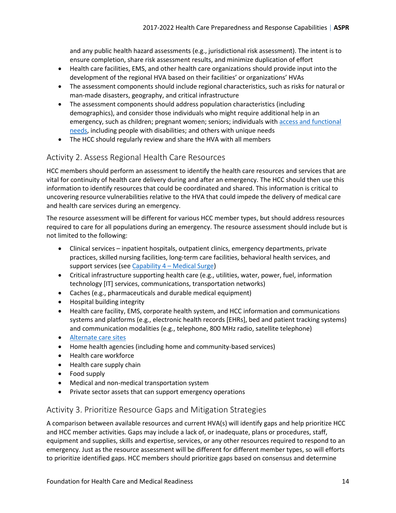and any public health hazard assessments (e.g., jurisdictional risk assessment). The intent is to ensure completion, share risk assessment results, and minimize duplication of effort

- Health care facilities, EMS, and other health care organizations should provide input into the development of the regional HVA based on their facilities' or organizations' HVAs
- The assessment components should include regional characteristics, such as risks for natural or man-made disasters, geography, and critical infrastructure
- The assessment components should address population characteristics (including demographics), and consider those individuals who might require additional help in an emergency, such as children; pregnant women; seniors; individuals with [access and functional](#page-55-1)  [needs,](#page-55-1) including people with disabilities; and others with unique needs
- The HCC should regularly review and share the HVA with all members

### <span id="page-13-0"></span>Activity 2. Assess Regional Health Care Resources

HCC members should perform an assessment to identify the health care resources and services that are vital for continuity of health care delivery during and after an emergency. The HCC should then use this information to identify resources that could be coordinated and shared. This information is critical to uncovering resource vulnerabilities relative to the HVA that could impede the delivery of medical care and health care services during an emergency.

The resource assessment will be different for various HCC member types, but should address resources required to care for all populations during an emergency. The resource assessment should include but is not limited to the following:

- Clinical services inpatient hospitals, outpatient clinics, emergency departments, private practices, skilled nursing facilities, long-term care facilities, behavioral health services, and support services (se[e Capability 4 – Medical](#page-43-0) Surge)
- Critical infrastructure supporting health care (e.g., utilities, water, power, fuel, information technology [IT] services, communications, transportation networks)
- Caches (e.g., pharmaceuticals and durable medical equipment)
- Hospital building integrity
- Health care facility, EMS, corporate health system, and HCC information and communications systems and platforms (e.g., electronic health records [EHRs], bed and patient tracking systems) and communication modalities (e.g., telephone, 800 MHz radio, satellite telephone)
- [Alternate care sites](#page-55-2)
- Home health agencies (including home and community-based services)
- Health care workforce
- Health care supply chain
- Food supply
- Medical and non-medical transportation system
- Private sector assets that can support emergency operations

#### <span id="page-13-1"></span>Activity 3. Prioritize Resource Gaps and Mitigation Strategies

A comparison between available resources and current HVA(s) will identify gaps and help prioritize HCC and HCC member activities. Gaps may include a lack of, or inadequate, plans or procedures, staff, equipment and supplies, skills and expertise, services, or any other resources required to respond to an emergency. Just as the resource assessment will be different for different member types, so will efforts to prioritize identified gaps. HCC members should prioritize gaps based on consensus and determine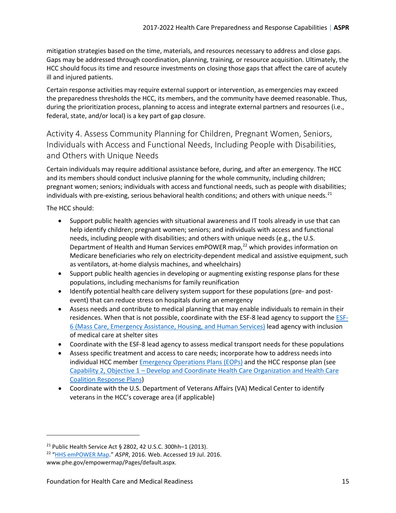mitigation strategies based on the time, materials, and resources necessary to address and close gaps. Gaps may be addressed through coordination, planning, training, or resource acquisition. Ultimately, the HCC should focus its time and resource investments on closing those gaps that affect the care of acutely ill and injured patients.

Certain response activities may require external support or intervention, as emergencies may exceed the preparedness thresholds the HCC, its members, and the community have deemed reasonable. Thus, during the prioritization process, planning to access and integrate external partners and resources (i.e., federal, state, and/or local) is a key part of gap closure.

<span id="page-14-0"></span>Activity 4. Assess Community Planning for Children, Pregnant Women, Seniors, Individuals with Access and Functional Needs, Including People with Disabilities, and Others with Unique Needs

Certain individuals may require additional assistance before, during, and after an emergency. The HCC and its members should conduct inclusive planning for the whole community, including children; pregnant women; seniors; individuals with access and functional needs, such as people with disabilities; individuals with pre-existing, serious behavioral health conditions; and others with unique needs.<sup>[21](#page-14-1)</sup>

The HCC should:

- Support public health agencies with situational awareness and IT tools already in use that can help identify children; pregnant women; seniors; and individuals with access and functional needs, including people with disabilities; and others with unique needs (e.g., the U.S. Department of Health and Human Services emPOWER map,<sup>[22](#page-14-2)</sup> which provides information on Medicare beneficiaries who rely on electricity-dependent medical and assistive equipment, such as ventilators, at-home dialysis machines, and wheelchairs)
- Support public health agencies in developing or augmenting existing response plans for these populations, including mechanisms for family reunification
- Identify potential health care delivery system support for these populations (pre- and postevent) that can reduce stress on hospitals during an emergency
- Assess needs and contribute to medical planning that may enable individuals to remain in their residences. When that is not possible, coordinate with the ESF-8 lead agency to support the [ESF-](#page-59-1)[6 \(Mass Care, Emergency Assistance, Housing, and Human Services\)](#page-59-1) lead agency with inclusion of medical care at shelter sites
- Coordinate with the ESF-8 lead agency to assess medical transport needs for these populations
- Assess specific treatment and access to care needs; incorporate how to address needs into individual HCC member [Emergency Operations Plans \(EOPs\)](#page-58-2) and the HCC response plan (see [Capability 2, Objective 1 – Develop and Coordinate Health Care Organization and Health Care](#page-24-1)  [Coalition Response Plans\)](#page-24-1)
- Coordinate with the U.S. Department of Veterans Affairs (VA) Medical Center to identify veterans in the HCC's coverage area (if applicable)

<span id="page-14-1"></span><sup>21</sup> Public Health Service Act § 2802, 42 U.S.C. 300hh–1 (2013).

<span id="page-14-2"></span><sup>22</sup> ["HHS emPOWER Map.](http://www.phe.gov/empowermap/Pages/default.aspx)" *ASPR*, 2016. Web. Accessed 19 Jul. 2016.

www.phe.gov/empowermap/Pages/default.aspx.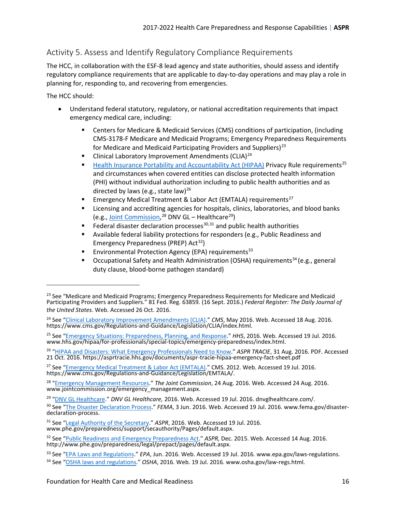### <span id="page-15-0"></span>Activity 5. Assess and Identify Regulatory Compliance Requirements

The HCC, in collaboration with the ESF-8 lead agency and state authorities, should assess and identify regulatory compliance requirements that are applicable to day-to-day operations and may play a role in planning for, responding to, and recovering from emergencies.

The HCC should:

- Understand federal statutory, regulatory, or national accreditation requirements that impact emergency medical care, including:
	- Centers for Medicare & Medicaid Services (CMS) conditions of participation, (including CMS-3178-F Medicare and Medicaid Programs; Emergency Preparedness Requirements for Medicare and Medicaid Participating Providers and Suppliers)<sup>23</sup>
	- Clinical Laboratory Improvement Amendments (CLIA)<sup>[24](#page-15-1)</sup>
	- **[Health Insurance Portability and Accountability Act \(HIPAA\)](#page-62-1) Privacy Rule requirements**<sup>[25](#page-15-2)</sup> and circumstances when covered entities can disclose protected health information (PHI) without individual authorization including to public health authorities and as directed by laws (e.g., state law)<sup>26</sup>
	- **Emergency Medical Treatment & Labor Act (EMTALA) requirements**<sup>[27](#page-15-4)</sup>
	- **EXEC** Licensing and accrediting agencies for hospitals, clinics, laboratories, and blood banks (e.g., [Joint Commission,](#page-63-1) <sup>[28](#page-15-5)</sup> DNV GL – Healthcare<sup>29</sup>)
	- Federal disaster declaration processes<sup>[30,](#page-15-7)[31](#page-15-8)</sup> and public health authorities
	- Available federal liability protections for responders (e.g., Public Readiness and Emergency Preparedness (PREP)  $Act^{32}$ )
	- **Environmental Protection Agency (EPA) requirements**<sup>[33](#page-15-10)</sup>
	- Occupational Safety and Health Administration (OSHA) requirements<sup>[34](#page-15-11)</sup> (e.g., general duty clause, blood-borne pathogen standard)

<span id="page-15-3"></span>26 "HIPAA and Disasters: What [Emergency Professionals Need to Know."](https://asprtracie.hhs.gov/documents/aspr-tracie-hipaa-emergency-fact-sheet.pdf) *ASPR TRACIE*, 31 Aug. 2016. PDF. Accessed 21 Oct. 2016. https://asprtracie.hhs.gov/documents/aspr-tracie-hipaa-emergency-fact-sheet.pdf

<span id="page-15-4"></span><sup>27</sup> See ["Emergency Medical Treatment & Labor Act \(EMTALA\).](https://www.cms.gov/Regulations-and-Guidance/Legislation/EMTALA/)" CMS. 2012. Web. Accessed 19 Jul. 2016. https://www.cms.gov/Regulations-and-Guidance/Legislation/EMTALA/.

<span id="page-15-5"></span>28 ["Emergency Management Resources.](https://www.jointcommission.org/emergency_management.aspx)" *The Joint Commission*, 24 Aug. 2016. Web. Accessed 24 Aug. 2016. www.jointcommission.org/emergency\_management.aspx.

29 "DNV [GL Healthcare.](http://dnvglhealthcare.com/)" *DNV GL Healthcare,* 2016. Web. Accessed 19 Jul. 2016. dnvglhealthcare.com/.

<span id="page-15-7"></span><span id="page-15-6"></span><sup>30</sup> See "The Disaster [Declaration Process."](https://www.fema.gov/disaster-declaration-process) *FEMA*, 3 Jun. 2016. Web. Accessed 19 Jul. 2016. www.fema.gov/disasterdeclaration-process.

<span id="page-15-8"></span><sup>31</sup> See ["Legal Authority of the Secretary.](http://www.phe.gov/preparedness/support/secauthority/Pages/default.aspx)" *ASPR*, 2016. Web. Accessed 19 Jul. 2016. www.phe.gov/preparedness/support/secauthority/Pages/default.aspx.

<sup>&</sup>lt;sup>23</sup> See "Medicare and Medicaid Programs; Emergency Preparedness Requirements for Medicare and Medicaid Participating Providers and Suppliers." 81 Fed. Reg. 63859*.* (16 Sept. 2016.) *Federal Register: The Daily Journal of the United States*. Web. Accessed 26 Oct. 2016.

<span id="page-15-1"></span><sup>24</sup> See ["Clinical Laboratory Improvement Amendments \(CLIA\).](https://www.cms.gov/Regulations-and-Guidance/Legislation/CLIA/index.html)" *CMS*, May 2016. Web. Accessed 18 Aug. 2016. https://www.cms.gov/Regulations-and-Guidance/Legislation/CLIA/index.html.

<span id="page-15-2"></span><sup>25</sup> See ["Emergency Situations: Preparedness, Planning, and Response.](http://www.hhs.gov/hipaa/for-professionals/special-topics/emergency-preparedness/index.html)" *HHS*, 2016. Web. Accessed 19 Jul. 2016. www.hhs.gov/hipaa/for-professionals/special-topics/emergency-preparedness/index.html.

<span id="page-15-9"></span><sup>32</sup> See ["Public Readiness and Emergency Preparedness Act."](http://www.phe.gov/preparedness/legal/prepact/pages/default.aspx) *ASPR,* Dec. 2015. Web. Accessed 14 Aug. 2016. http://www.phe.gov/preparedness/legal/prepact/pages/default.aspx.

<span id="page-15-10"></span><sup>33</sup> See ["EPA Laws and Regulations."](https://www.epa.gov/laws-regulations) *EPA*, Jun. 2016. Web. Accessed 19 Jul. 2016. www.epa.gov/laws-regulations.

<span id="page-15-11"></span><sup>34</sup> See ["OSHA laws and regulations.](https://www.osha.gov/law-regs.html)" *OSHA*, 2016. Web. 19 Jul. 2016. www.osha.gov/law-regs.html.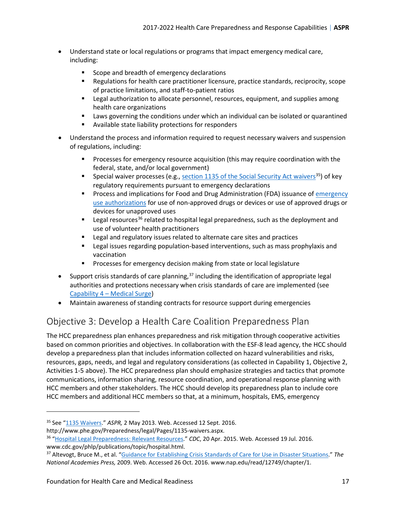- Understand state or local regulations or programs that impact emergency medical care, including:
	- Scope and breadth of emergency declarations
	- Regulations for health care practitioner licensure, practice standards, reciprocity, scope of practice limitations, and staff-to-patient ratios
	- **EXECTE LEGAL AUTABLE 2018 12 THE AUTHORY CONCOCCOLLEGAT ACT AUTHORY FOR THE LEGAT AUTHORY CONCOCCOLLEGAT ACT LEGAT AUTHORY FOR AUTHORY AUTHORY FOR AUTHORY AND THE LEGAT AUTHORY FOR AUTHORY FOR AUTHORY FOR AUTHORY FOR AUTH** health care organizations
	- Laws governing the conditions under which an individual can be isolated or quarantined
	- Available state liability protections for responders
- Understand the process and information required to request necessary waivers and suspension of regulations, including:
	- **Processes for emergency resource acquisition (this may require coordination with the** federal, state, and/or local government)
	- **Special waiver processes (e.g., [section 1135 of the Social Security Act waivers](#page-66-0)**<sup>35</sup>) of key regulatory requirements pursuant to emergency declarations
	- **Process and implications for Food and Drug Administration (FDA) issuance of [emergency](#page-59-2)** [use authorizations](#page-59-2) for use of non-approved drugs or devices or use of approved drugs or devices for unapproved uses
	- **EXECUTE:** Legal resources<sup>36</sup> related to hospital legal preparedness, such as the deployment and use of volunteer health practitioners
	- Legal and regulatory issues related to alternate care sites and practices
	- **EXECTE 1** Legal issues regarding population-based interventions, such as mass prophylaxis and vaccination
	- **Processes for emergency decision making from state or local legislature**
- Support crisis standards of care planning,<sup>[37](#page-16-3)</sup> including the identification of appropriate legal authorities and protections necessary when crisis standards of care are implemented (see [Capability 4 – Medical Surge\)](#page-43-0)
- Maintain awareness of standing contracts for resource support during emergencies

### <span id="page-16-0"></span>Objective 3: Develop a Health Care Coalition Preparedness Plan

The HCC preparedness plan enhances preparedness and risk mitigation through cooperative activities based on common priorities and objectives. In collaboration with the ESF-8 lead agency, the HCC should develop a preparedness plan that includes information collected on hazard vulnerabilities and risks, resources, gaps, needs, and legal and regulatory considerations (as collected in Capability 1, Objective 2, Activities 1-5 above). The HCC preparedness plan should emphasize strategies and tactics that promote communications, information sharing, resource coordination, and operational response planning with HCC members and other stakeholders. The HCC should develop its preparedness plan to include core HCC members and additional HCC members so that, at a minimum, hospitals, EMS, emergency

<span id="page-16-1"></span><sup>35</sup> See ["1135 Waivers.](http://www.phe.gov/Preparedness/legal/Pages/1135-waivers.aspx)" *ASPR,* 2 May 2013. Web. Accessed 12 Sept. 2016.

http://www.phe.gov/Preparedness/legal/Pages/1135-waivers.aspx.

<span id="page-16-2"></span><sup>36</sup> ["Hospital Legal Preparedness: Relevant Resources."](http://www.cdc.gov/phlp/publications/topic/hospital.html) *CDC*, 20 Apr. 2015. Web. Accessed 19 Jul. 2016. www.cdc.gov/phlp/publications/topic/hospital.html.<br><sup>37</sup> Altevogt, Bruce M., et al. ["Guidance for Establishing Crisis Standards of Care for Use in Disaster Situations.](https://www.nap.edu/read/12749/chapter/1)" The

<span id="page-16-3"></span>*National Academies Press,* 2009. Web. Accessed 26 Oct. 2016. www.nap.edu/read/12749/chapter/1.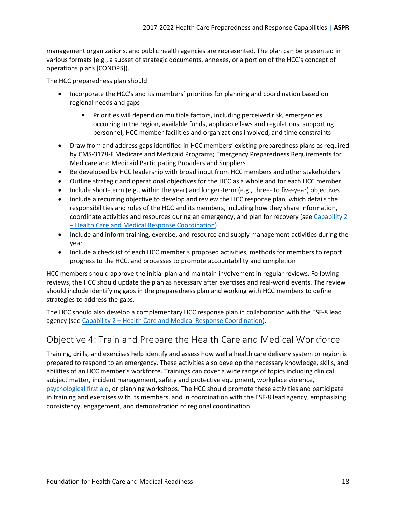management organizations, and public health agencies are represented. The plan can be presented in various formats (e.g., a subset of strategic documents, annexes, or a portion of the HCC's concept of operations plans [CONOPS]).

The HCC preparedness plan should:

- Incorporate the HCC's and its members' priorities for planning and coordination based on regional needs and gaps
	- Priorities will depend on multiple factors, including perceived risk, emergencies occurring in the region, available funds, applicable laws and regulations, supporting personnel, HCC member facilities and organizations involved, and time constraints
- Draw from and address gaps identified in HCC members' existing preparedness plans as required by CMS-3178-F Medicare and Medicaid Programs; Emergency Preparedness Requirements for Medicare and Medicaid Participating Providers and Suppliers
- Be developed by HCC leadership with broad input from HCC members and other stakeholders
- Outline strategic and operational objectives for the HCC as a whole and for each HCC member
- Include short-term (e.g., within the year) and longer-term (e.g., three- to five-year) objectives
- Include a recurring objective to develop and review the HCC response plan, which details the responsibilities and roles of the HCC and its members, including how they share information, coordinate activities and resources during an emergency, and plan for recovery (see Capability 2 [– Health Care and Medical Response Coordination\)](#page-24-0)
- Include and inform training, exercise, and resource and supply management activities during the year
- Include a checklist of each HCC member's proposed activities, methods for members to report progress to the HCC, and processes to promote accountability and completion

HCC members should approve the initial plan and maintain involvement in regular reviews. Following reviews, the HCC should update the plan as necessary after exercises and real-world events. The review should include identifying gaps in the preparedness plan and working with HCC members to define strategies to address the gaps.

The HCC should also develop a complementary HCC response plan in collaboration with the ESF-8 lead agency (see Capability 2 – Health Care and [Medical Response Coordination\)](#page-24-0).

### <span id="page-17-0"></span>Objective 4: Train and Prepare the Health Care and Medical Workforce

Training, drills, and exercises help identify and assess how well a health care delivery system or region is prepared to respond to an emergency. These activities also develop the necessary knowledge, skills, and abilities of an HCC member's workforce. Trainings can cover a wide range of topics including clinical subject matter, incident management, safety and protective equipment, workplace violence, [psychological first aid,](#page-65-1) or planning workshops. The HCC should promote these activities and participate in training and exercises with its members, and in coordination with the ESF-8 lead agency, emphasizing consistency, engagement, and demonstration of regional coordination.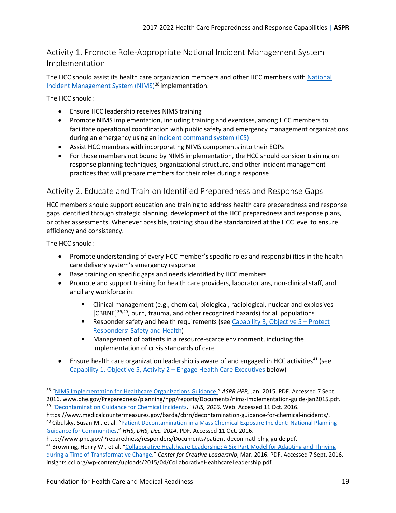### <span id="page-18-0"></span>Activity 1. Promote Role-Appropriate National Incident Management System Implementation

The HCC should assist its health care organization members and other HCC members with [National](#page-65-2)  [Incident Management System \(NIMS\)](#page-65-2)<sup>[38](#page-18-2)</sup> implementation.

The HCC should:

- Ensure HCC leadership receives NIMS training
- Promote NIMS implementation, including training and exercises, among HCC members to facilitate operational coordination with public safety and emergency management organizations during an emergency using an [incident command system](#page-63-0) (ICS)
- Assist HCC members with incorporating NIMS components into their EOPs
- For those members not bound by NIMS implementation, the HCC should consider training on response planning techniques, organizational structure, and other incident management practices that will prepare members for their roles during a response

### <span id="page-18-1"></span>Activity 2. Educate and Train on Identified Preparedness and Response Gaps

HCC members should support education and training to address health care preparedness and response gaps identified through strategic planning, development of the HCC preparedness and response plans, or other assessments. Whenever possible, training should be standardized at the HCC level to ensure efficiency and consistency.

The HCC should:

l

- Promote understanding of every HCC member's specific roles and responsibilities in the health care delivery system's emergency response
- Base training on specific gaps and needs identified by HCC members
- Promote and support training for health care providers, laboratorians, non-clinical staff, and ancillary workforce in:
	- **EXT** Clinical management (e.g., chemical, biological, radiological, nuclear and explosives [CBRNE]<sup>[39,](#page-18-3)40</sup>, burn, trauma, and other recognized hazards) for all populations
	- **Responder safety and health requirements (see Capability 3, Objective**  $5 -$  **Protect** [Responders' Safety and Health\)](#page-37-0)
	- Management of patients in a resource-scarce environment, including the implementation of crisis standards of care
- Ensure health care organization leadership is aware of and engaged in HCC activities<sup>[41](#page-18-5)</sup> (see [Capability 1, Objective 5, Activity 2 – Engage Health Care Executives](#page-22-0) below)

<span id="page-18-5"></span>http://www.phe.gov/Preparedness/responders/Documents/patient-decon-natl-plng-guide.pdf. <sup>41</sup> Browning, Henry W., et al. "Collaborative Healthcare Leadership: A Six-Part Model for Adapting and Thriving [during a Time of Transformative Change.](http://www.ccl.org/wp-content/uploads/2015/04/CollaborativeHealthcareLeadership.pdf)" *Center for Creative Leadership*, Mar. 2016. PDF. Accessed 7 Sept. 2016. insights.ccl.org/wp-content/uploads/2015/04/CollaborativeHealthcareLeadership.pdf.

<span id="page-18-2"></span><sup>38</sup> ["NIMS Implementation for Healthcare Organizations Guidance."](http://www.phe.gov/Preparedness/planning/hpp/reports/Documents/nims-implementation-guide-jan2015.pdf) *ASPR HPP,* Jan. 2015. PDF. Accessed 7 Sept. 2016. www.phe.gov/Preparedness/planning/hpp/reports/Documents/nims-implementation-guide-jan2015.pdf. 39 ["Decontamination Guidance for Chemical Incidents.](https://www.medicalcountermeasures.gov/barda/cbrn/decontamination-guidance-for-chemical-incidents)" *HHS, 2016.* Web. Accessed 11 Oct. 2016.

<span id="page-18-4"></span><span id="page-18-3"></span>https://www.medicalcountermeasures.gov/barda/cbrn/decontamination-guidance-for-chemical-incidents/. <sup>40</sup> Cibulsky, Susan M., et al. ["Patient Decontamination in a Mass Chemical Exposure Incident: National Planning](http://www.phe.gov/Preparedness/responders/Documents/patient-decon-natl-plng-guide.pdf)  [Guidance for Communities.](http://www.phe.gov/Preparedness/responders/Documents/patient-decon-natl-plng-guide.pdf)" *HHS, DHS, Dec. 2014.* PDF. Accessed 11 Oct. 2016.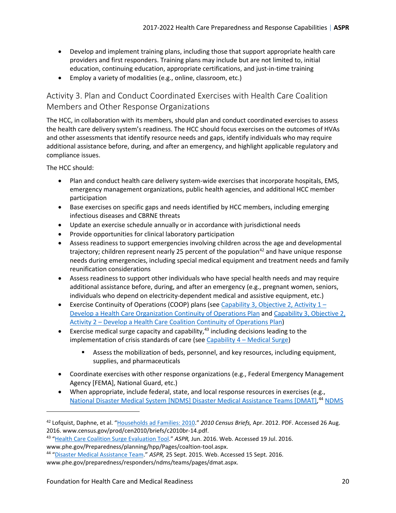- Develop and implement training plans, including those that support appropriate health care providers and first responders. Training plans may include but are not limited to, initial education, continuing education, appropriate certifications, and just-in-time training
- Employ a variety of modalities (e.g., online, classroom, etc.)

<span id="page-19-0"></span>Activity 3. Plan and Conduct Coordinated Exercises with Health Care Coalition Members and Other Response Organizations

The HCC, in collaboration with its members, should plan and conduct coordinated exercises to assess the health care delivery system's readiness. The HCC should focus exercises on the outcomes of HVAs and other assessments that identify resource needs and gaps, identify individuals who may require additional assistance before, during, and after an emergency, and highlight applicable regulatory and compliance issues.

The HCC should:

l

- Plan and conduct health care delivery system-wide exercises that incorporate hospitals, EMS, emergency management organizations, public health agencies, and additional HCC member participation
- Base exercises on specific gaps and needs identified by HCC members, including emerging infectious diseases and CBRNE threats
- Update an exercise schedule annually or in accordance with jurisdictional needs
- Provide opportunities for clinical laboratory participation
- Assess readiness to support emergencies involving children across the age and developmental trajectory; children represent nearly 25 percent of the population<sup>[42](#page-19-1)</sup> and have unique response needs during emergencies, including special medical equipment and treatment needs and family reunification considerations
- Assess readiness to support other individuals who have special health needs and may require additional assistance before, during, and after an emergency (e.g., pregnant women, seniors, individuals who depend on electricity-dependent medical and assistive equipment, etc.)
- Exercise Continuity of Operations (COOP) plans (see Capability 3, Objective 2, Activity  $1 -$ [Develop a Health Care Organization Continuity of Operations](#page-32-1) Plan and Capability 3, Objective 2, [Activity 2 – Develop a Health Care Coalition Continuity of Operations](#page-33-0) Plan)
- **•** Exercise medical surge capacity and capability, $43$  including decisions leading to the implementation of crisis standards of care (see Capability  $4 -$  Medical Surge)
	- Assess the mobilization of beds, personnel, and key resources, including equipment, supplies, and pharmaceuticals
- Coordinate exercises with other response organizations (e.g., Federal Emergency Management Agency [FEMA], National Guard, etc.)
- When appropriate, include federal, state, and local response resources in exercises (e.g., [National Disaster Medical System \[NDMS\] Disaster Medical Assistance Teams \[DMAT\],](#page-58-3)<sup>[44](#page-19-3)</sup> [NDMS](#page-60-2)

<span id="page-19-1"></span><sup>42</sup> Lofquist, Daphne, et al. ["Households ad Families: 2010.](http://www.census.gov/prod/cen2010/briefs/c2010br-14.pdf)" *2010 Census Briefs,* Apr. 2012. PDF. Accessed 26 Aug. 2016. www.census.gov/prod/cen2010/briefs/c2010br-14.pdf. 43 ["Health Care Coalition Surge Evaluation Tool."](http://www.phe.gov/Preparedness/planning/hpp/Pages/coaltion-tool.aspx) *ASPR,* Jun. 2016. Web. Accessed 19 Jul. 2016.

<span id="page-19-2"></span>www.phe.gov/Preparedness/planning/hpp/Pages/coaltion-tool.aspx. 44 ["Disaster Medical Assistance Team.](http://www.phe.gov/preparedness/responders/ndms/teams/pages/dmat.aspx)" *ASPR,* 25 Sept. 2015. Web. Accessed 15 Sept. 2016.

<span id="page-19-3"></span>www.phe.gov/preparedness/responders/ndms/teams/pages/dmat.aspx.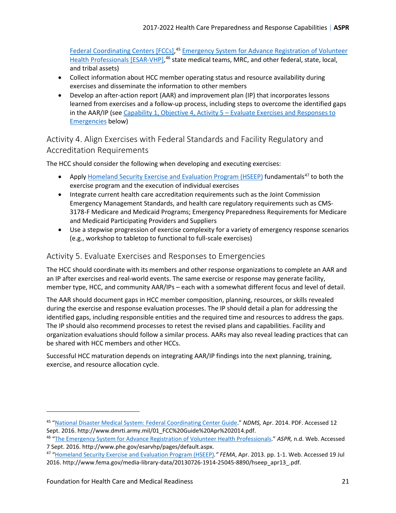[Federal Coordinating Centers \[FCCs\],](#page-60-2)<sup>[45](#page-20-2)</sup> Emergency System for Advance Registration of Volunteer [Health Professionals \[ESAR-VHP\],](#page-59-3)<sup>[46](#page-20-3)</sup> state medical teams, MRC, and other federal, state, local, and tribal assets)

- Collect information about HCC member operating status and resource availability during exercises and disseminate the information to other members
- Develop an after-action report (AAR) and improvement plan (IP) that incorporates lessons learned from exercises and a follow-up process, including steps to overcome the identified gaps in the AAR/IP (see [Capability 1, Objective 4, Activity 5 – Evaluate Exercises and Responses to](#page-20-1)  [Emergencies](#page-20-1) below)

### <span id="page-20-0"></span>Activity 4. Align Exercises with Federal Standards and Facility Regulatory and Accreditation Requirements

The HCC should consider the following when developing and executing exercises:

- Apply [Homeland Security Exercise and Evaluation Program \(HSEEP\)](#page-62-2) fundamentals<sup>[47](#page-20-4)</sup> to both the exercise program and the execution of individual exercises
- Integrate current health care accreditation requirements such as the Joint Commission Emergency Management Standards, and health care regulatory requirements such as CMS-3178-F Medicare and Medicaid Programs; Emergency Preparedness Requirements for Medicare and Medicaid Participating Providers and Suppliers
- Use a stepwise progression of exercise complexity for a variety of emergency response scenarios (e.g., workshop to tabletop to functional to full-scale exercises)

### <span id="page-20-1"></span>Activity 5. Evaluate Exercises and Responses to Emergencies

The HCC should coordinate with its members and other response organizations to complete an AAR and an IP after exercises and real-world events. The same exercise or response may generate facility, member type, HCC, and community AAR/IPs – each with a somewhat different focus and level of detail.

The AAR should document gaps in HCC member composition, planning, resources, or skills revealed during the exercise and response evaluation processes. The IP should detail a plan for addressing the identified gaps, including responsible entities and the required time and resources to address the gaps. The IP should also recommend processes to retest the revised plans and capabilities. Facility and organization evaluations should follow a similar process. AARs may also reveal leading practices that can be shared with HCC members and other HCCs.

Successful HCC maturation depends on integrating AAR/IP findings into the next planning, training, exercise, and resource allocation cycle.

l

<span id="page-20-2"></span><sup>45</sup> ["National Disaster Medical System: Federal Coordinating Center Guide.](http://www.dmrti.army.mil/01_FCC%20Guide%20Apr%202014.pdf)" *NDMS,* Apr. 2014. PDF. Accessed 12 Sept. 2016. http://www.dmrti.army.mil/01\_FCC%20Guide%20Apr%202014.pdf. 46 ["The Emergency](http://www.phe.gov/esarvhp/pages/default.aspx) System for Advance Registration of Volunteer Health Professionals." *ASPR,* n.d. Web. Accessed

<span id="page-20-3"></span><sup>7</sup> Sept. 2016. http://www.phe.gov/esarvhp/pages/default.aspx.<br><sup>47</sup> ["Homeland Security Exercise and Evaluation Program \(HSEEP\)](https://www.fema.gov/media-library-data/20130726-1914-25045-8890/hseep_apr13_.pdf)." *FEMA*, Apr. 2013. pp. 1-1. Web. Accessed 19 Jul

<span id="page-20-4"></span><sup>2016.</sup> http://www.fema.gov/media-library-data/20130726-1914-25045-8890/hseep\_apr13\_.pdf.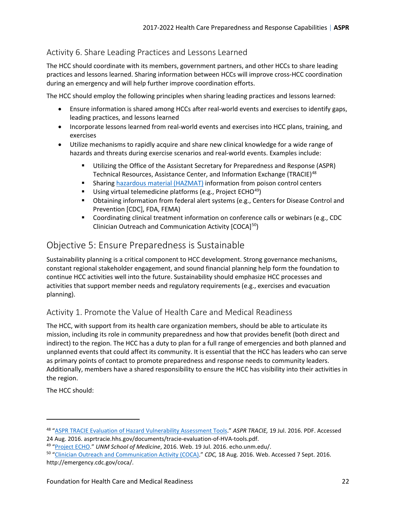### <span id="page-21-0"></span>Activity 6. Share Leading Practices and Lessons Learned

The HCC should coordinate with its members, government partners, and other HCCs to share leading practices and lessons learned. Sharing information between HCCs will improve cross-HCC coordination during an emergency and will help further improve coordination efforts.

The HCC should employ the following principles when sharing leading practices and lessons learned:

- Ensure information is shared among HCCs after real-world events and exercises to identify gaps, leading practices, and lessons learned
- Incorporate lessons learned from real-world events and exercises into HCC plans, training, and exercises
- Utilize mechanisms to rapidly acquire and share new clinical knowledge for a wide range of hazards and threats during exercise scenarios and real-world events. Examples include:
	- Utilizing the Office of the Assistant Secretary for Preparedness and Response (ASPR) Technical Resources, Assistance Center, and Information Exchange (TRACIE)<sup>[48](#page-21-3)</sup>
	- Sharing [hazardous material](#page-61-2) (HAZMAT) information from poison control centers
	- Using virtual telemedicine platforms (e.g., Project ECHO<sup>49</sup>)
	- Obtaining information from federal alert systems (e.g., Centers for Disease Control and Prevention [CDC], FDA, FEMA)
	- Coordinating clinical treatment information on conference calls or webinars (e.g., CDC Clinician Outreach and Communication Activity [COCA][50](#page-21-5))

### <span id="page-21-1"></span>Objective 5: Ensure Preparedness is Sustainable

Sustainability planning is a critical component to HCC development. Strong governance mechanisms, constant regional stakeholder engagement, and sound financial planning help form the foundation to continue HCC activities well into the future. Sustainability should emphasize HCC processes and activities that support member needs and regulatory requirements (e.g., exercises and evacuation planning).

### <span id="page-21-2"></span>Activity 1. Promote the Value of Health Care and Medical Readiness

The HCC, with support from its health care organization members, should be able to articulate its mission, including its role in community preparedness and how that provides benefit (both direct and indirect) to the region. The HCC has a duty to plan for a full range of emergencies and both planned and unplanned events that could affect its community. It is essential that the HCC has leaders who can serve as primary points of contact to promote preparedness and response needs to community leaders. Additionally, members have a shared responsibility to ensure the HCC has visibility into their activities in the region.

The HCC should:

 $\overline{\phantom{a}}$ 

<span id="page-21-3"></span><sup>48</sup> ["ASPR TRACIE Evaluation of Hazard Vulnerability Assessment Tools."](https://asprtracie.hhs.gov/documents/tracie-evaluation-of-HVA-tools.pdf) *ASPR TRACIE,* 19 Jul. 2016. PDF. Accessed

<span id="page-21-5"></span>

<span id="page-21-4"></span><sup>24</sup> Aug. 2016. asprtracie.hhs.gov/documents/tracie-evaluation-of-HVA-tools.pdf.<br><sup>49</sup> ["Project ECHO.](http://echo.unm.edu/)" UNM School of Medicine, 2016. Web. 19 Jul. 2016. echo.unm.edu/.<br><sup>50</sup> "Clinician Outreach and Communication Activity (COCA) http://emergency.cdc.gov/coca/.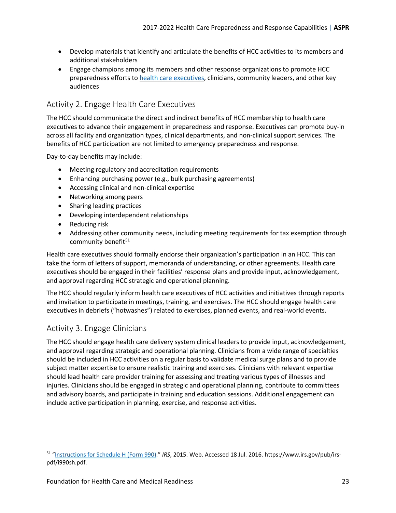- Develop materials that identify and articulate the benefits of HCC activities to its members and additional stakeholders
- Engage champions among its members and other response organizations to promote HCC preparedness efforts to [health care executives,](#page-61-3) clinicians, community leaders, and other key audiences

### <span id="page-22-0"></span>Activity 2. Engage Health Care Executives

The HCC should communicate the direct and indirect benefits of HCC membership to health care executives to advance their engagement in preparedness and response. Executives can promote buy-in across all facility and organization types, clinical departments, and non-clinical support services. The benefits of HCC participation are not limited to emergency preparedness and response.

Day-to-day benefits may include:

- Meeting regulatory and accreditation requirements
- Enhancing purchasing power (e.g., bulk purchasing agreements)
- Accessing clinical and non-clinical expertise
- Networking among peers
- Sharing leading practices
- Developing interdependent relationships
- Reducing risk
- Addressing other community needs, including meeting requirements for tax exemption through community benefit<sup>[51](#page-22-2)</sup>

Health care executives should formally endorse their organization's participation in an HCC. This can take the form of letters of support, memoranda of understanding, or other agreements. Health care executives should be engaged in their facilities' response plans and provide input, acknowledgement, and approval regarding HCC strategic and operational planning.

The HCC should regularly inform health care executives of HCC activities and initiatives through reports and invitation to participate in meetings, training, and exercises. The HCC should engage health care executives in debriefs ("hotwashes") related to exercises, planned events, and real-world events.

### <span id="page-22-1"></span>Activity 3. Engage Clinicians

 $\overline{\phantom{a}}$ 

The HCC should engage health care delivery system clinical leaders to provide input, acknowledgement, and approval regarding strategic and operational planning. Clinicians from a wide range of specialties should be included in HCC activities on a regular basis to validate medical surge plans and to provide subject matter expertise to ensure realistic training and exercises. Clinicians with relevant expertise should lead health care provider training for assessing and treating various types of illnesses and injuries. Clinicians should be engaged in strategic and operational planning, contribute to committees and advisory boards, and participate in training and education sessions. Additional engagement can include active participation in planning, exercise, and response activities.

<span id="page-22-2"></span><sup>51</sup> ["Instructions for Schedule H \(Form 990\).](https://www.irs.gov/pub/irs-pdf/i990sh.pdf)" *IRS*, 2015. Web. Accessed 18 Jul. 2016. https://www.irs.gov/pub/irspdf/i990sh.pdf.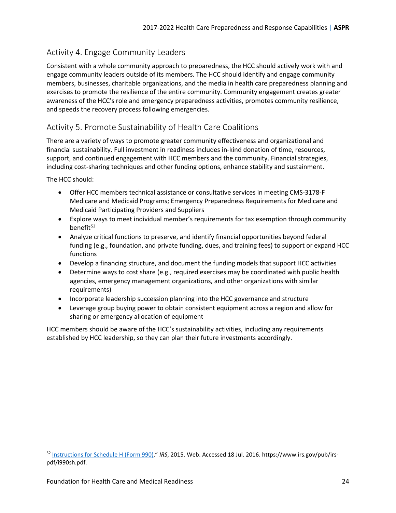### <span id="page-23-0"></span>Activity 4. Engage Community Leaders

Consistent with a whole community approach to preparedness, the HCC should actively work with and engage community leaders outside of its members. The HCC should identify and engage community members, businesses, charitable organizations, and the media in health care preparedness planning and exercises to promote the resilience of the entire community. Community engagement creates greater awareness of the HCC's role and emergency preparedness activities, promotes community resilience, and speeds the recovery process following emergencies.

### <span id="page-23-1"></span>Activity 5. Promote Sustainability of Health Care Coalitions

There are a variety of ways to promote greater community effectiveness and organizational and financial sustainability. Full investment in readiness includes in-kind donation of time, resources, support, and continued engagement with HCC members and the community. Financial strategies, including cost-sharing techniques and other funding options, enhance stability and sustainment.

The HCC should:

 $\overline{\phantom{a}}$ 

- Offer HCC members technical assistance or consultative services in meeting CMS-3178-F Medicare and Medicaid Programs; Emergency Preparedness Requirements for Medicare and Medicaid Participating Providers and Suppliers
- Explore ways to meet individual member's requirements for tax exemption through community benefit $52$
- Analyze critical functions to preserve, and identify financial opportunities beyond federal funding (e.g., foundation, and private funding, dues, and training fees) to support or expand HCC functions
- Develop a financing structure, and document the funding models that support HCC activities
- Determine ways to cost share (e.g., required exercises may be coordinated with public health agencies, emergency management organizations, and other organizations with similar requirements)
- Incorporate leadership succession planning into the HCC governance and structure
- Leverage group buying power to obtain consistent equipment across a region and allow for sharing or emergency allocation of equipment

HCC members should be aware of the HCC's sustainability activities, including any requirements established by HCC leadership, so they can plan their future investments accordingly.

<span id="page-23-2"></span><sup>52</sup> [Instructions for Schedule H \(Form 990\).](https://www.irs.gov/pub/irs-pdf/i990sh.pdf)" *IRS*, 2015. Web. Accessed 18 Jul. 2016. https://www.irs.gov/pub/irspdf/i990sh.pdf.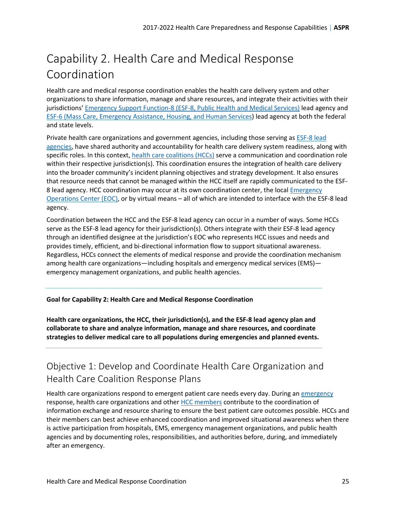# <span id="page-24-0"></span>Capability 2. Health Care and Medical Response Coordination

Health care and medical response coordination enables the health care delivery system and other organizations to share information, manage and share resources, and integrate their activities with their jurisdictions' [Emergency Support Function-8 \(ESF-8, Public Health and Medical Services\)](#page-59-0) lead agency and [ESF-6 \(Mass Care, Emergency Assistance, Housing, and Human Services\)](#page-59-1) lead agency at both the federal and state levels.

Private health care organizations and government agencies, including those serving as [ESF-8 lead](#page-60-0)  [agencies,](#page-60-0) have shared authority and accountability for health care delivery system readiness, along with specific roles. In this context, [health care coalitions \(HCCs\)](#page-61-0) serve a communication and coordination role within their respective jurisdiction(s). This coordination ensures the integration of health care delivery into the broader community's incident planning objectives and strategy development. It also ensures that resource needs that cannot be managed within the HCC itself are rapidly communicated to the ESF-8 lead agency. HCC coordination may occur at its own coordination center, the local **Emergency** [Operations Center \(EOC\),](#page-58-1) or by virtual means – all of which are intended to interface with the ESF-8 lead agency.

Coordination between the HCC and the ESF-8 lead agency can occur in a number of ways. Some HCCs serve as the ESF-8 lead agency for their jurisdiction(s). Others integrate with their ESF-8 lead agency through an identified designee at the jurisdiction's EOC who represents HCC issues and needs and provides timely, efficient, and bi-directional information flow to support situational awareness. Regardless, HCCs connect the elements of medical response and provide the coordination mechanism among health care organizations—including hospitals and emergency medical services (EMS) emergency management organizations, and public health agencies.

#### **Goal for Capability 2: Health Care and Medical Response Coordination**

**Health care organizations, the HCC, their jurisdiction(s), and the ESF-8 lead agency plan and collaborate to share and analyze information, manage and share resources, and coordinate strategies to deliver medical care to all populations during emergencies and planned events.**

### <span id="page-24-1"></span>Objective 1: Develop and Coordinate Health Care Organization and Health Care Coalition Response Plans

Health care organizations respond to emergent patient care needs every day. During an [emergency](#page-58-0) response, health care organizations and othe[r HCC members](#page-61-1) contribute to the coordination of information exchange and resource sharing to ensure the best patient care outcomes possible. HCCs and their members can best achieve enhanced coordination and improved situational awareness when there is active participation from hospitals, EMS, emergency management organizations, and public health agencies and by documenting roles, responsibilities, and authorities before, during, and immediately after an emergency.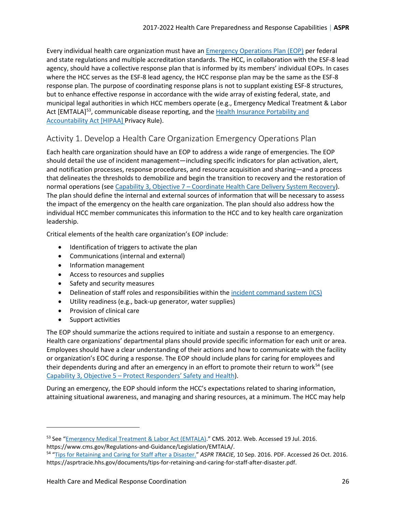Every individual health care organization must have an [Emergency Operations Plan \(EOP\)](#page-58-2) per federal and state regulations and multiple accreditation standards. The HCC, in collaboration with the ESF-8 lead agency, should have a collective response plan that is informed by its members' individual EOPs. In cases where the HCC serves as the ESF-8 lead agency, the HCC response plan may be the same as the ESF-8 response plan. The purpose of coordinating response plans is not to supplant existing ESF-8 structures, but to enhance effective response in accordance with the wide array of existing federal, state, and municipal legal authorities in which HCC members operate (e.g., Emergency Medical Treatment & Labor Act [EMTALA]<sup>53</sup>, communicable disease reporting, and the Health Insurance Portability and [Accountability Act \[HIPAA\]](#page-62-3) Privacy Rule).

### <span id="page-25-0"></span>Activity 1. Develop a Health Care Organization Emergency Operations Plan

Each health care organization should have an EOP to address a wide range of emergencies. The EOP should detail the use of incident management—including specific indicators for plan activation, alert, and notification processes, response procedures, and resource acquisition and sharing—and a process that delineates the thresholds to demobilize and begin the transition to recovery and the restoration of normal operations (see [Capability 3, Objective 7 – Coordinate Health Care Delivery System](#page-41-0) Recovery). The plan should define the internal and external sources of information that will be necessary to assess the impact of the emergency on the health care organization. The plan should also address how the individual HCC member communicates this information to the HCC and to key health care organization leadership.

Critical elements of the health care organization's EOP include:

- Identification of triggers to activate the plan
- Communications (internal and external)
- Information management
- Access to resources and supplies
- Safety and security measures
- Delineation of staff roles and responsibilities within th[e incident command system \(ICS\)](#page-63-0)
- Utility readiness (e.g., back-up generator, water supplies)
- Provision of clinical care
- Support activities

l

The EOP should summarize the actions required to initiate and sustain a response to an emergency. Health care organizations' departmental plans should provide specific information for each unit or area. Employees should have a clear understanding of their actions and how to communicate with the facility or organization's EOC during a response. The EOP should include plans for caring for employees and their dependents during and after an emergency in an effort to promote their return to work<sup>[54](#page-25-2)</sup> (see [Capability 3, Objective 5 – Protect Responders' Safety and Health\)](#page-37-0).

During an emergency, the EOP should inform the HCC's expectations related to sharing information, attaining situational awareness, and managing and sharing resources, at a minimum. The HCC may help

<span id="page-25-1"></span><sup>53</sup> See ["Emergency Medical Treatment & Labor Act \(EMTALA\).](https://www.cms.gov/Regulations-and-Guidance/Legislation/EMTALA/)" CMS. 2012. Web. Accessed 19 Jul. 2016. https://www.cms.gov/Regulations-and-Guidance/Legislation/EMTALA/.

<span id="page-25-2"></span><sup>54</sup> ["Tips for Retaining and Caring for Staff after a Disaster.](https://asprtracie.hhs.gov/documents/tips-for-retaining-and-caring-for-staff-after-disaster.pdf)" *ASPR TRACIE,* 10 Sep. 2016. PDF. Accessed 26 Oct. 2016. https://asprtracie.hhs.gov/documents/tips-for-retaining-and-caring-for-staff-after-disaster.pdf.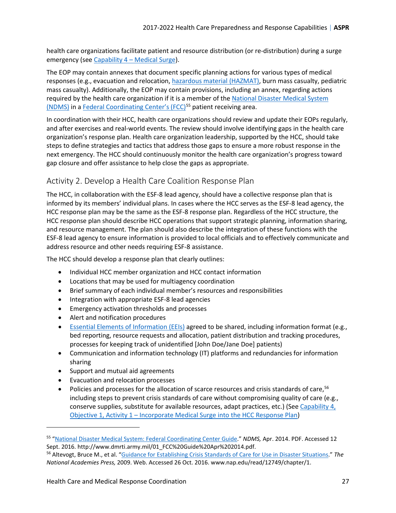health care organizations facilitate patient and resource distribution (or re-distribution) during a surge emergency (see [Capability 4 – Medical Surge\)](#page-43-0).

The EOP may contain annexes that document specific planning actions for various types of medical responses (e.g., evacuation and relocation, [hazardous material \(HAZMAT\),](#page-61-2) burn mass casualty, pediatric mass casualty). Additionally, the EOP may contain provisions, including an annex, regarding actions required by the health care organization if it is a member of th[e National Disaster Medical System](#page-65-3)  [\(NDMS\)](#page-65-3) in a [Federal Coordinating Center's \(FCC\)](#page-60-2)<sup>[55](#page-26-1)</sup> patient receiving area.

In coordination with their HCC, health care organizations should review and update their EOPs regularly, and after exercises and real-world events. The review should involve identifying gaps in the health care organization's response plan. Health care organization leadership, supported by the HCC, should take steps to define strategies and tactics that address those gaps to ensure a more robust response in the next emergency. The HCC should continuously monitor the health care organization's progress toward gap closure and offer assistance to help close the gaps as appropriate.

### <span id="page-26-0"></span>Activity 2. Develop a Health Care Coalition Response Plan

The HCC, in collaboration with the ESF-8 lead agency, should have a collective response plan that is informed by its members' individual plans. In cases where the HCC serves as the ESF-8 lead agency, the HCC response plan may be the same as the ESF-8 response plan. Regardless of the HCC structure, the HCC response plan should describe HCC operations that support strategic planning, information sharing, and resource management. The plan should also describe the integration of these functions with the ESF-8 lead agency to ensure information is provided to local officials and to effectively communicate and address resource and other needs requiring ESF-8 assistance.

The HCC should develop a response plan that clearly outlines:

- Individual HCC member organization and HCC contact information
- Locations that may be used for multiagency coordination
- Brief summary of each individual member's resources and responsibilities
- Integration with appropriate ESF-8 lead agencies
- Emergency activation thresholds and processes
- Alert and notification procedures
- [Essential Elements of Information \(EEIs\)](#page-60-3) agreed to be shared, including information format (e.g., bed reporting, resource requests and allocation, patient distribution and tracking procedures, processes for keeping track of unidentified [John Doe/Jane Doe] patients)
- Communication and information technology (IT) platforms and redundancies for information sharing
- Support and mutual aid agreements
- Evacuation and relocation processes

l

• Policies and processes for the allocation of scarce resources and crisis standards of care, <sup>[56](#page-26-2)</sup> including steps to prevent crisis standards of care without compromising quality of care (e.g., conserve supplies, substitute for available resources, adapt practices, etc.) (See [Capability 4,](#page-46-0)  [Objective 1, Activity 1 – Incorporate Medical Surge into the HCC Response Plan\)](#page-46-0)

<span id="page-26-1"></span><sup>55</sup> ["National Disaster Medical System: Federal Coordinating Center Guide.](http://www.dmrti.army.mil/01_FCC%20Guide%20Apr%202014.pdf)" *NDMS,* Apr. 2014. PDF. Accessed 12 Sept. 2016. http://www.dmrti.army.mil/01\_FCC%20Guide%20Apr%202014.pdf.<br><sup>56</sup> Altevogt, Bruce M., et al. ["Guidance for Establishing Crisis Standards of Care for Use in Disaster Situations.](https://www.nap.edu/read/12749/chapter/1)" The

<span id="page-26-2"></span>*National Academies Press,* 2009. Web. Accessed 26 Oct. 2016. www.nap.edu/read/12749/chapter/1.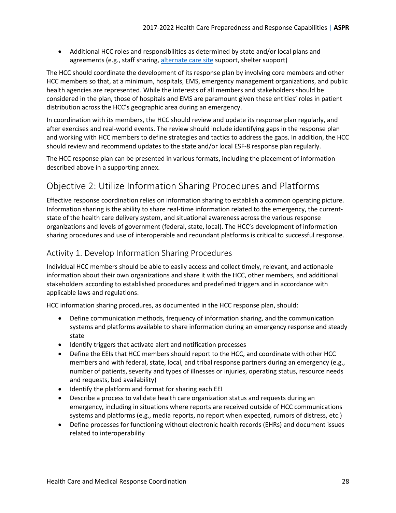• Additional HCC roles and responsibilities as determined by state and/or local plans and agreements (e.g., staff sharing, [alternate care site](#page-55-2) support, shelter support)

The HCC should coordinate the development of its response plan by involving core members and other HCC members so that, at a minimum, hospitals, EMS, emergency management organizations, and public health agencies are represented. While the interests of all members and stakeholders should be considered in the plan, those of hospitals and EMS are paramount given these entities' roles in patient distribution across the HCC's geographic area during an emergency.

In coordination with its members, the HCC should review and update its response plan regularly, and after exercises and real-world events. The review should include identifying gaps in the response plan and working with HCC members to define strategies and tactics to address the gaps. In addition, the HCC should review and recommend updates to the state and/or local ESF-8 response plan regularly.

The HCC response plan can be presented in various formats, including the placement of information described above in a supporting annex.

### <span id="page-27-0"></span>Objective 2: Utilize Information Sharing Procedures and Platforms

Effective response coordination relies on information sharing to establish a common operating picture. Information sharing is the ability to share real-time information related to the emergency, the currentstate of the health care delivery system, and situational awareness across the various response organizations and levels of government (federal, state, local). The HCC's development of information sharing procedures and use of interoperable and redundant platforms is critical to successful response.

### <span id="page-27-1"></span>Activity 1. Develop Information Sharing Procedures

Individual HCC members should be able to easily access and collect timely, relevant, and actionable information about their own organizations and share it with the HCC, other members, and additional stakeholders according to established procedures and predefined triggers and in accordance with applicable laws and regulations.

HCC information sharing procedures, as documented in the HCC response plan, should:

- Define communication methods, frequency of information sharing, and the communication systems and platforms available to share information during an emergency response and steady state
- Identify triggers that activate alert and notification processes
- Define the EEIs that HCC members should report to the HCC, and coordinate with other HCC members and with federal, state, local, and tribal response partners during an emergency (e.g., number of patients, severity and types of illnesses or injuries, operating status, resource needs and requests, bed availability)
- Identify the platform and format for sharing each EEI
- Describe a process to validate health care organization status and requests during an emergency, including in situations where reports are received outside of HCC communications systems and platforms (e.g., media reports, no report when expected, rumors of distress, etc.)
- Define processes for functioning without electronic health records (EHRs) and document issues related to interoperability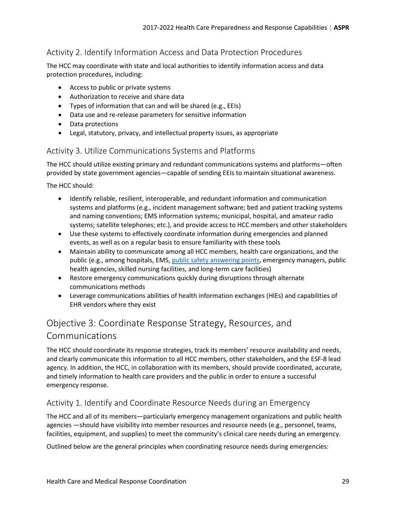### <span id="page-28-0"></span>Activity 2. Identify Information Access and Data Protection Procedures

The HCC may coordinate with state and local authorities to identify information access and data protection procedures, including:

- Access to public or private systems
- Authorization to receive and share data
- Types of information that can and will be shared (e.g., EEIs)
- Data use and re-release parameters for sensitive information
- Data protections
- Legal, statutory, privacy, and intellectual property issues, as appropriate

#### <span id="page-28-1"></span>Activity 3. Utilize Communications Systems and Platforms

The HCC should utilize existing primary and redundant communications systems and platforms—often provided by state government agencies—capable of sending EEIs to maintain situational awareness.

The HCC should:

- Identify reliable, resilient, interoperable, and redundant information and communication systems and platforms (e.g., incident management software; bed and patient tracking systems and naming conventions; EMS information systems; municipal, hospital, and amateur radio systems; satellite telephones; etc.), and provide access to HCC members and other stakeholders
- Use these systems to effectively coordinate information during emergencies and planned events, as well as on a regular basis to ensure familiarity with these tools
- Maintain ability to communicate among all HCC members, health care organizations, and the public (e.g., among hospitals, EMS, [public safety answering points,](#page-66-1) emergency managers, public health agencies, skilled nursing facilities, and long-term care facilities)
- Restore emergency communications quickly during disruptions through alternate communications methods
- Leverage communications abilities of health information exchanges (HIEs) and capabilities of EHR vendors where they exist

### <span id="page-28-2"></span>Objective 3: Coordinate Response Strategy, Resources, and Communications

The HCC should coordinate its response strategies, track its members' resource availability and needs, and clearly communicate this information to all HCC members, other stakeholders, and the ESF-8 lead agency. In addition, the HCC, in collaboration with its members, should provide coordinated, accurate, and timely information to health care providers and the public in order to ensure a successful emergency response.

### <span id="page-28-3"></span>Activity 1. Identify and Coordinate Resource Needs during an Emergency

The HCC and all of its members—particularly emergency management organizations and public health agencies —should have visibility into member resources and resource needs (e.g., personnel, teams, facilities, equipment, and supplies) to meet the community's clinical care needs during an emergency.

Outlined below are the general principles when coordinating resource needs during emergencies: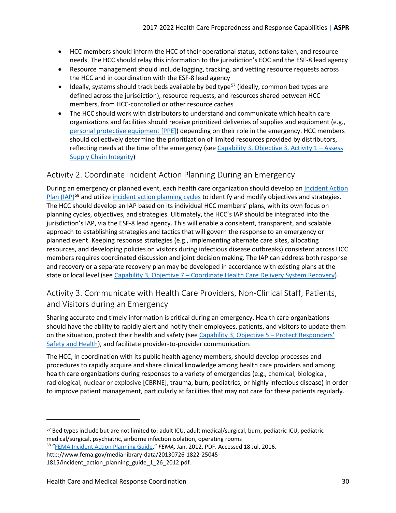- HCC members should inform the HCC of their operational status, actions taken, and resource needs. The HCC should relay this information to the jurisdiction's EOC and the ESF-8 lead agency
- Resource management should include logging, tracking, and vetting resource requests across the HCC and in coordination with the ESF-8 lead agency
- Ideally, systems should track beds available by bed type<sup>[57](#page-29-2)</sup> (ideally, common bed types are defined across the jurisdiction), resource requests, and resources shared between HCC members, from HCC-controlled or other resource caches
- The HCC should work with distributors to understand and communicate which health care organizations and facilities should receive prioritized deliveries of supplies and equipment (e.g., [personal protective equipment \[PPE\]\)](#page-65-4) depending on their role in the emergency. HCC members should collectively determine the prioritization of limited resources provided by distributors, reflecting needs at the time of the emergency (see Capability 3, Objective 3, Activity  $1 -$  Assess [Supply Chain Integrity\)](#page-34-1)

### <span id="page-29-0"></span>Activity 2. Coordinate Incident Action Planning During an Emergency

During an emergency or planned event, each health care organization should develop an Incident Action [Plan \(IAP\)](#page-62-4)<sup>[58](#page-29-3)</sup> and utilize [incident action planning cycles](#page-63-2) to identify and modify objectives and strategies. The HCC should develop an IAP based on its individual HCC members' plans, with its own focus on planning cycles, objectives, and strategies. Ultimately, the HCC's IAP should be integrated into the jurisdiction's IAP, via the ESF-8 lead agency. This will enable a consistent, transparent, and scalable approach to establishing strategies and tactics that will govern the response to an emergency or planned event. Keeping response strategies (e.g., implementing alternate care sites, allocating resources, and developing policies on visitors during infectious disease outbreaks) consistent across HCC members requires coordinated discussion and joint decision making. The IAP can address both response and recovery or a separate recovery plan may be developed in accordance with existing plans at the state or local level (see [Capability 3, Objective 7 – Coordinate Health Care Delivery System](#page-41-0) Recovery).

### <span id="page-29-1"></span>Activity 3. Communicate with Health Care Providers, Non-Clinical Staff, Patients, and Visitors during an Emergency

Sharing accurate and timely information is critical during an emergency. Health care organizations should have the ability to rapidly alert and notify their employees, patients, and visitors to update them on the situation, protect their health and safety (see [Capability 3, Objective 5 – Protect Responders'](#page-37-0)  [Safety and Health\)](#page-37-0), and facilitate provider-to-provider communication.

The HCC, in coordination with its public health agency members, should develop processes and procedures to rapidly acquire and share clinical knowledge among health care providers and among health care organizations during responses to a variety of emergencies (e.g., chemical, biological, radiological, nuclear or explosive [CBRNE], trauma, burn, pediatrics, or highly infectious disease) in order to improve patient management, particularly at facilities that may not care for these patients regularly.

 $\overline{\phantom{a}}$ 

<span id="page-29-2"></span><sup>57</sup> Bed types include but are not limited to: adult ICU, adult medical/surgical, burn, pediatric ICU, pediatric medical/surgical, psychiatric, airborne infection isolation, operating rooms

<span id="page-29-3"></span><sup>58</sup> ["FEMA Incident Action Planning Guide."](https://www.fema.gov/media-library-data/20130726-1822-25045-1815/incident_action_planning_guide_1_26_2012.pdf) *FEMA,* Jan. 2012. PDF. Accessed 18 Jul. 2016.

http://www.fema.gov/media-library-data/20130726-1822-25045-

<sup>1815/</sup>incident action planning guide 1 26 2012.pdf.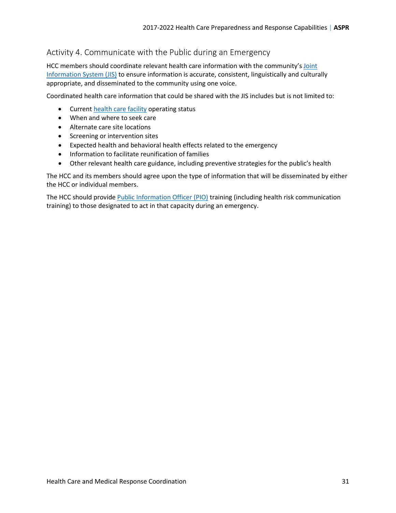### <span id="page-30-0"></span>Activity 4. Communicate with the Public during an Emergency

HCC members should coordinate relevant health care information with the community's [Joint](#page-63-3)  [Information System \(JIS\)](#page-63-3) to ensure information is accurate, consistent, linguistically and culturally appropriate, and disseminated to the community using one voice.

Coordinated health care information that could be shared with the JIS includes but is not limited to:

- Curren[t health care facility](#page-62-0) operating status
- When and where to seek care
- Alternate care site locations
- Screening or intervention sites
- Expected health and behavioral health effects related to the emergency
- Information to facilitate reunification of families
- Other relevant health care guidance, including preventive strategies for the public's health

The HCC and its members should agree upon the type of information that will be disseminated by either the HCC or individual members.

The HCC should provide [Public Information Officer \(PIO\)](#page-66-2) training (including health risk communication training) to those designated to act in that capacity during an emergency.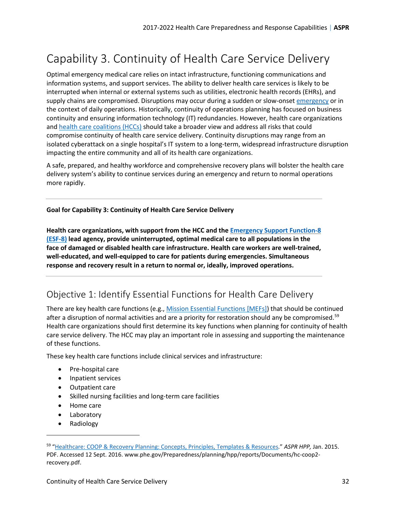# <span id="page-31-0"></span>Capability 3. Continuity of Health Care Service Delivery

Optimal emergency medical care relies on intact infrastructure, functioning communications and information systems, and support services. The ability to deliver health care services is likely to be interrupted when internal or external systems such as utilities, electronic health records (EHRs), and supply chains are compromised. Disruptions may occur during a sudden or slow-onse[t emergency](#page-58-0) or in the context of daily operations. Historically, continuity of operations planning has focused on business continuity and ensuring information technology (IT) redundancies. However, health care organizations and [health care coalitions \(HCCs\)](#page-61-0) should take a broader view and address all risks that could compromise continuity of health care service delivery. Continuity disruptions may range from an isolated cyberattack on a single hospital's IT system to a long-term, widespread infrastructure disruption impacting the entire community and all of its health care organizations.

A safe, prepared, and healthy workforce and comprehensive recovery plans will bolster the health care delivery system's ability to continue services during an emergency and return to normal operations more rapidly.

#### **Goal for Capability 3: Continuity of Health Care Service Delivery**

**Health care organizations, with support from the HCC and the [Emergency Support Function-8](#page-59-0)  [\(ESF-8\)](#page-59-0) lead agency, provide uninterrupted, optimal medical care to all populations in the face of damaged or disabled health care infrastructure. Health care workers are well-trained, well-educated, and well-equipped to care for patients during emergencies. Simultaneous response and recovery result in a return to normal or, ideally, improved operations.**

### <span id="page-31-1"></span>Objective 1: Identify Essential Functions for Health Care Delivery

There are key health care functions (e.g., Mission [Essential Functions \[MEFs\]\)](#page-64-2) that should be continued after a disruption of normal activities and are a priority for restoration should any be compromised.<sup>[59](#page-31-2)</sup> Health care organizations should first determine its key functions when planning for continuity of health care service delivery. The HCC may play an important role in assessing and supporting the maintenance of these functions.

These key health care functions include clinical services and infrastructure:

- Pre-hospital care
- Inpatient services
- Outpatient care
- Skilled nursing facilities and long-term care facilities
- Home care
- Laboratory
- Radiology

<span id="page-31-2"></span><sup>59</sup> ["Healthcare: COOP & Recovery Planning: Concepts, Principles, Templates & Resources."](http://www.phe.gov/Preparedness/planning/hpp/reports/Documents/hc-coop2-recovery.pdf) *ASPR HPP,* Jan. 2015.

PDF. Accessed 12 Sept. 2016. www.phe.gov/Preparedness/planning/hpp/reports/Documents/hc-coop2 recovery.pdf.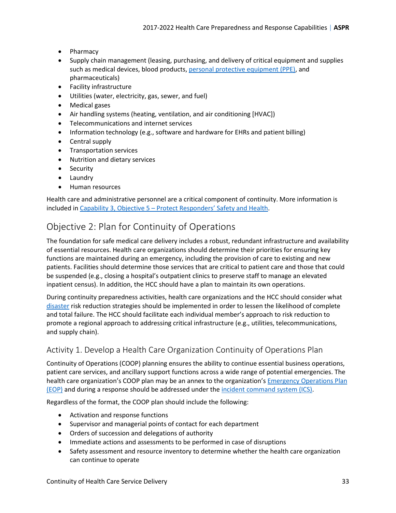- Pharmacy
- Supply chain management (leasing, purchasing, and delivery of critical equipment and supplies such as medical devices, blood products, [personal protective equipment \(PPE\),](#page-65-4) and pharmaceuticals)
- Facility infrastructure
- Utilities (water, electricity, gas, sewer, and fuel)
- Medical gases
- Air handling systems (heating, ventilation, and air conditioning [HVAC])
- Telecommunications and internet services
- Information technology (e.g., software and hardware for EHRs and patient billing)
- Central supply
- Transportation services
- Nutrition and dietary services
- Security
- Laundry
- Human resources

Health care and administrative personnel are a critical component of continuity. More information is included i[n Capability 3, Objective 5 – Protect Responders' Safety and Health.](#page-37-0)

### <span id="page-32-0"></span>Objective 2: Plan for Continuity of Operations

The foundation for safe medical care delivery includes a robust, redundant infrastructure and availability of essential resources. Health care organizations should determine their priorities for ensuring key functions are maintained during an emergency, including the provision of care to existing and new patients. Facilities should determine those services that are critical to patient care and those that could be suspended (e.g., closing a hospital's outpatient clinics to preserve staff to manage an elevated inpatient census). In addition, the HCC should have a plan to maintain its own operations.

During continuity preparedness activities, health care organizations and the HCC should consider what [disaster](#page-57-0) risk reduction strategies should be implemented in order to lessen the likelihood of complete and total failure. The HCC should facilitate each individual member's approach to risk reduction to promote a regional approach to addressing critical infrastructure (e.g., utilities, telecommunications, and supply chain).

### <span id="page-32-1"></span>Activity 1. Develop a Health Care Organization Continuity of Operations Plan

Continuity of Operations (COOP) planning ensures the ability to continue essential business operations, patient care services, and ancillary support functions across a wide range of potential emergencies. The health care organization's COOP plan may be an annex to the organization'[s Emergency Operations Plan](#page-58-2)  [\(EOP\)](#page-58-2) and during a response should be addressed under th[e incident command system \(ICS\).](#page-63-0)

Regardless of the format, the COOP plan should include the following:

- Activation and response functions
- Supervisor and managerial points of contact for each department
- Orders of succession and delegations of authority
- Immediate actions and assessments to be performed in case of disruptions
- Safety assessment and resource inventory to determine whether the health care organization can continue to operate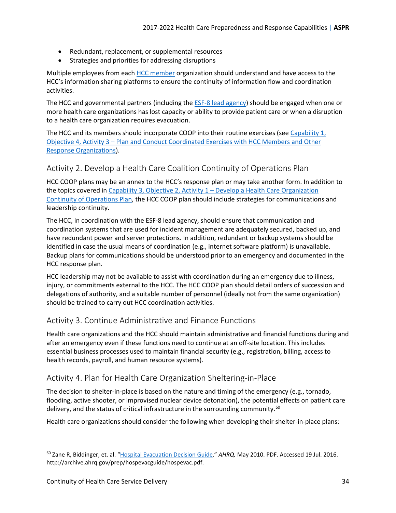- Redundant, replacement, or supplemental resources
- Strategies and priorities for addressing disruptions

Multiple employees from each [HCC member](#page-61-1) organization should understand and have access to the HCC's information sharing platforms to ensure the continuity of information flow and coordination activities.

The HCC and governmental partners (including the **ESF-8** lead agency) should be engaged when one or more health care organizations has lost capacity or ability to provide patient care or when a disruption to a health care organization requires evacuation.

The HCC and its members should incorporate COOP into their routine exercises (see [Capability 1,](#page-19-0)  [Objective 4, Activity 3 – Plan and Conduct Coordinated Exercises with HCC Members and Other](#page-19-0)  [Response Organizations\)](#page-19-0).

#### <span id="page-33-0"></span>Activity 2. Develop a Health Care Coalition Continuity of Operations Plan

HCC COOP plans may be an annex to the HCC's response plan or may take another form. In addition to the topics covered in [Capability 3, Objective 2, Activity 1 – Develop a Health Care Organization](#page-32-1)  [Continuity of Operations](#page-32-1) Plan, the HCC COOP plan should include strategies for communications and leadership continuity.

The HCC, in coordination with the ESF-8 lead agency, should ensure that communication and coordination systems that are used for incident management are adequately secured, backed up, and have redundant power and server protections. In addition, redundant or backup systems should be identified in case the usual means of coordination (e.g., internet software platform) is unavailable. Backup plans for communications should be understood prior to an emergency and documented in the HCC response plan.

HCC leadership may not be available to assist with coordination during an emergency due to illness, injury, or commitments external to the HCC. The HCC COOP plan should detail orders of succession and delegations of authority, and a suitable number of personnel (ideally not from the same organization) should be trained to carry out HCC coordination activities.

#### <span id="page-33-1"></span>Activity 3. Continue Administrative and Finance Functions

Health care organizations and the HCC should maintain administrative and financial functions during and after an emergency even if these functions need to continue at an off-site location. This includes essential business processes used to maintain financial security (e.g., registration, billing, access to health records, payroll, and human resource systems).

### <span id="page-33-2"></span>Activity 4. Plan for Health Care Organization Sheltering-in-Place

The decision to shelter-in-place is based on the nature and timing of the emergency (e.g., tornado, flooding, active shooter, or improvised nuclear device detonation), the potential effects on patient care delivery, and the status of critical infrastructure in the surrounding community.<sup>[60](#page-33-3)</sup>

Health care organizations should consider the following when developing their shelter-in-place plans:

 $\overline{\phantom{a}}$ 

<span id="page-33-3"></span><sup>60</sup> Zane R, Biddinger, et. al. ["Hospital Evacuation Decision Guide.](https://archive.ahrq.gov/prep/hospevacguide/hospevac.pdf)" *AHRQ,* May 2010. PDF. Accessed 19 Jul. 2016. http://archive.ahrq.gov/prep/hospevacguide/hospevac.pdf.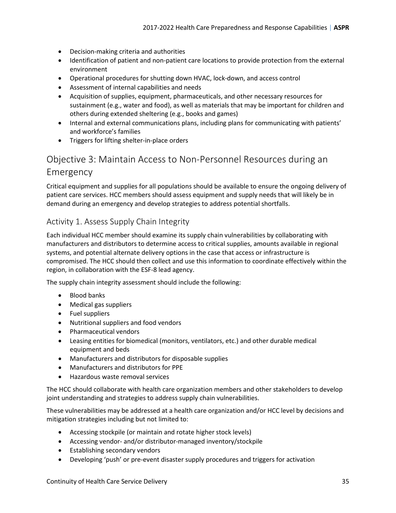- Decision-making criteria and authorities
- Identification of patient and non-patient care locations to provide protection from the external environment
- Operational procedures for shutting down HVAC, lock-down, and access control
- Assessment of internal capabilities and needs
- Acquisition of supplies, equipment, pharmaceuticals, and other necessary resources for sustainment (e.g., water and food), as well as materials that may be important for children and others during extended sheltering (e.g., books and games)
- Internal and external communications plans, including plans for communicating with patients' and workforce's families
- Triggers for lifting shelter-in-place orders

### <span id="page-34-0"></span>Objective 3: Maintain Access to Non-Personnel Resources during an Emergency

Critical equipment and supplies for all populations should be available to ensure the ongoing delivery of patient care services. HCC members should assess equipment and supply needs that will likely be in demand during an emergency and develop strategies to address potential shortfalls.

#### <span id="page-34-1"></span>Activity 1. Assess Supply Chain Integrity

Each individual HCC member should examine its supply chain vulnerabilities by collaborating with manufacturers and distributors to determine access to critical supplies, amounts available in regional systems, and potential alternate delivery options in the case that access or infrastructure is compromised. The HCC should then collect and use this information to coordinate effectively within the region, in collaboration with the ESF-8 lead agency.

The supply chain integrity assessment should include the following:

- Blood banks
- Medical gas suppliers
- Fuel suppliers
- Nutritional suppliers and food vendors
- Pharmaceutical vendors
- Leasing entities for biomedical (monitors, ventilators, etc.) and other durable medical equipment and beds
- Manufacturers and distributors for disposable supplies
- Manufacturers and distributors for PPE
- Hazardous waste removal services

The HCC should collaborate with health care organization members and other stakeholders to develop joint understanding and strategies to address supply chain vulnerabilities.

These vulnerabilities may be addressed at a health care organization and/or HCC level by decisions and mitigation strategies including but not limited to:

- Accessing stockpile (or maintain and rotate higher stock levels)
- Accessing vendor- and/or distributor-managed inventory/stockpile
- Establishing secondary vendors
- Developing 'push' or pre-event disaster supply procedures and triggers for activation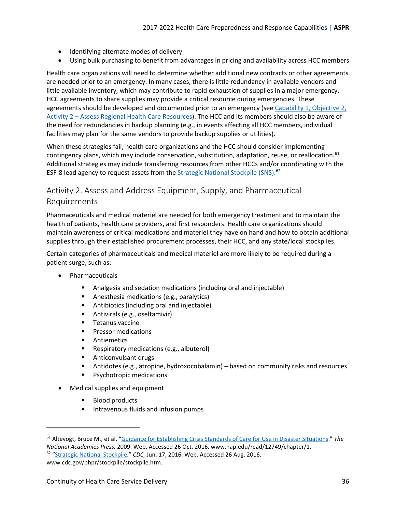- Identifying alternate modes of delivery
- Using bulk purchasing to benefit from advantages in pricing and availability across HCC members

Health care organizations will need to determine whether additional new contracts or other agreements are needed prior to an emergency. In many cases, there is little redundancy in available vendors and little available inventory, which may contribute to rapid exhaustion of supplies in a major emergency. HCC agreements to share supplies may provide a critical resource during emergencies. These agreements should be developed and documented prior to an emergency (see [Capability 1, Objective 2,](#page-13-0)  [Activity 2 – Assess Regional Health Care Resources\)](#page-13-0). The HCC and its members should also be aware of the need for redundancies in backup planning (e.g., in events affecting all HCC members, individual facilities may plan for the same vendors to provide backup supplies or utilities).

When these strategies fail, health care organizations and the HCC should consider implementing contingency plans, which may include conservation, substitution, adaptation, reuse, or reallocation.<sup>[61](#page-35-1)</sup> Additional strategies may include transferring resources from other HCCs and/or coordinating with the ESF-8 lead agency to request assets from the **[Strategic National Stockpile \(SNS\).](#page-66-3)**<sup>[62](#page-35-2)</sup>

### <span id="page-35-0"></span>Activity 2. Assess and Address Equipment, Supply, and Pharmaceutical Requirements

Pharmaceuticals and medical materiel are needed for both emergency treatment and to maintain the health of patients, health care providers, and first responders. Health care organizations should maintain awareness of critical medications and materiel they have on hand and how to obtain additional supplies through their established procurement processes, their HCC, and any state/local stockpiles.

Certain categories of pharmaceuticals and medical materiel are more likely to be required during a patient surge, such as:

- Pharmaceuticals
	- Analgesia and sedation medications (including oral and injectable)
	- **Anesthesia medications (e.g., paralytics)**
	- **Antibiotics (including oral and injectable)**
	- **Antivirals (e.g., oseltamivir)**
	- **Tetanus vaccine**
	- **Pressor medications**
	- **Antiemetics**
	- **Respiratory medications (e.g., albuterol)**
	- **Anticonvulsant drugs**
	- Antidotes (e.g., atropine, hydroxocobalamin) based on community risks and resources
	- Psychotropic medications
- Medical supplies and equipment
	- **Blood products**

l

Intravenous fluids and infusion pumps

<span id="page-35-2"></span><span id="page-35-1"></span><sup>61</sup> Altevogt, Bruce M., et al. ["Guidance for Establishing Crisis Standards of Care for Use in Disaster Situations.](https://www.nap.edu/read/12749/chapter/1)" *The National Academies Press,* 2009. Web. Accessed 26 Oct. 2016. www.nap.edu/read/12749/chapter/1. 62 ["Strategic National Stockpile.](http://www.cdc.gov/phpr/stockpile/stockpile.htm)" *CDC,* Jun. 17, 2016. Web. Accessed 26 Aug. 2016. www.cdc.gov/phpr/stockpile/stockpile.htm.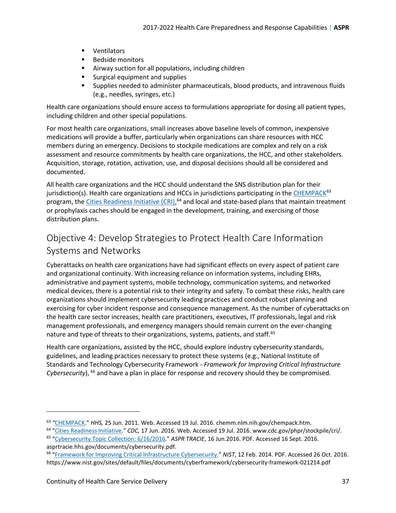- **•** Ventilators
- **Bedside monitors**
- Airway suction for all populations, including children
- **Surgical equipment and supplies**
- Supplies needed to administer pharmaceuticals, blood products, and intravenous fluids (e.g., needles, syringes, etc.)

Health care organizations should ensure access to formulations appropriate for dosing all patient types, including children and other special populations.

For most health care organizations, small increases above baseline levels of common, inexpensive medications will provide a buffer, particularly when organizations can share resources with HCC members during an emergency. Decisions to stockpile medications are complex and rely on a risk assessment and resource commitments by health care organizations, the HCC, and other stakeholders. Acquisition, storage, rotation, activation, use, and disposal decisions should all be considered and documented.

All health care organizations and the HCC should understand the SNS distribution plan for their jurisdiction(s). Health care organizations and HCCs in jurisdictions participating in th[e CHEMPACK](#page-56-1) $63$ program, the *Cities Readiness Initiative (CRI)*,<sup>[64](#page-36-2)</sup> and local and state-based plans that maintain treatment or prophylaxis caches should be engaged in the development, training, and exercising of those distribution plans.

### <span id="page-36-0"></span>Objective 4: Develop Strategies to Protect Health Care Information Systems and Networks

Cyberattacks on health care organizations have had significant effects on every aspect of patient care and organizational continuity. With increasing reliance on information systems, including EHRs, administrative and payment systems, mobile technology, communication systems, and networked medical devices, there is a potential risk to their integrity and safety. To combat these risks, health care organizations should implement cybersecurity leading practices and conduct robust planning and exercising for cyber incident response and consequence management. As the number of cyberattacks on the health care sector increases, health care practitioners, executives, IT professionals, legal and risk management professionals, and emergency managers should remain current on the ever-changing nature and type of threats to their organizations, systems, patients, and staff.<sup>[65](#page-36-3)</sup>

Health care organizations, assisted by the HCC, should explore industry cybersecurity standards, guidelines, and leading practices necessary to protect these systems (e.g., National Institute of Standards and Technology Cybersecurity Framework - *Framework for Improving Critical Infrastructure Cybersecurity*), [66](#page-36-4) and have a plan in place for response and recovery should they be compromised.

l

<span id="page-36-2"></span><span id="page-36-1"></span><sup>&</sup>lt;sup>63</sup> "CHEMPACK." HHS, 25 Jun. 2011. Web. Accessed 19 Jul. 2016. chemm.nlm.nih.gov/chempack.htm.<br><sup>64</sup> ["Cities Readiness Initiative.](http://www.cdc.gov/phpr/stockpile/cri/)" CDC, 17 Jun. 2016. Web. Accessed 19 Jul. 2016. www.cdc.gov/phpr/stockpile/cri/.<br><sup>65</sup> "Cyb

<span id="page-36-3"></span>asprtracie.hhs.gov/documents/cybersecurity.pdf.<br><sup>66</sup> ["Framework for Improving Critical Infrastructure Cybersecurity.](https://www.nist.gov/sites/default/files/documents/cyberframework/cybersecurity-framework-021214.pdf)" *NIST*, 12 Feb. 2014. PDF. Accessed 26 Oct. 2016.

<span id="page-36-4"></span>https://www.nist.gov/sites/default/files/documents/cyberframework/cybersecurity-framework-021214.pdf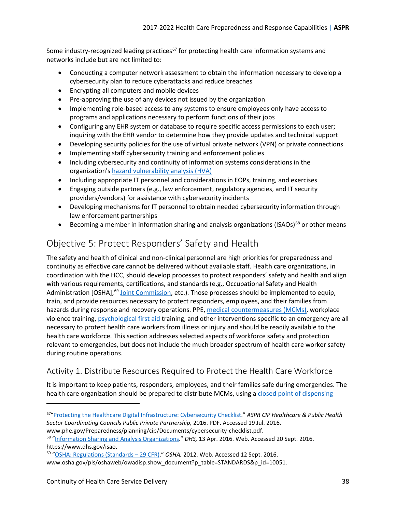Some industry-recognized leading practices<sup>[67](#page-37-2)</sup> for protecting health care information systems and networks include but are not limited to:

- Conducting a computer network assessment to obtain the information necessary to develop a cybersecurity plan to reduce cyberattacks and reduce breaches
- Encrypting all computers and mobile devices
- Pre-approving the use of any devices not issued by the organization
- Implementing role-based access to any systems to ensure employees only have access to programs and applications necessary to perform functions of their jobs
- Configuring any EHR system or database to require specific access permissions to each user; inquiring with the EHR vendor to determine how they provide updates and technical support
- Developing security policies for the use of virtual private network (VPN) or private connections
- Implementing staff cybersecurity training and enforcement policies
- Including cybersecurity and continuity of information systems considerations in the organization's [hazard vulnerability analysis](#page-60-1) (HVA)
- Including appropriate IT personnel and considerations in EOPs, training, and exercises
- Engaging outside partners (e.g., law enforcement, regulatory agencies, and IT security providers/vendors) for assistance with cybersecurity incidents
- Developing mechanisms for IT personnel to obtain needed cybersecurity information through law enforcement partnerships
- Becoming a member in information sharing and analysis organizations (ISAOs)<sup>[68](#page-37-3)</sup> or other means

### <span id="page-37-0"></span>Objective 5: Protect Responders' Safety and Health

The safety and health of clinical and non-clinical personnel are high priorities for preparedness and continuity as effective care cannot be delivered without available staff. Health care organizations, in coordination with the HCC, should develop processes to protect responders' safety and health and align with various requirements, certifications, and standards (e.g., Occupational Safety and Health Administration [OSHA],<sup>[69](#page-37-4)</sup> [Joint Commission,](#page-63-1) etc.). Those processes should be implemented to equip, train, and provide resources necessary to protect responders, employees, and their families from hazards during response and recovery operations. PPE, [medical countermeasures \(MCMs\),](#page-64-3) workplace violence training[, psychological first aid](#page-65-1) training, and other interventions specific to an emergency are all necessary to protect health care workers from illness or injury and should be readily available to the health care workforce. This section addresses selected aspects of workforce safety and protection relevant to emergencies, but does not include the much broader spectrum of health care worker safety during routine operations.

### <span id="page-37-1"></span>Activity 1. Distribute Resources Required to Protect the Health Care Workforce

It is important to keep patients, responders, employees, and their families safe during emergencies. The health care organization should be prepared to distribute MCMs, using a closed point of dispensing

www.phe.gov/Preparedness/planning/cip/Documents/cybersecurity-checklist.pdf.<br><sup>68</sup> ["Information Sharing and Analysis Organizations.](https://www.dhs.gov/isao)" *DHS*, 13 Apr. 2016. Web. Accessed 20 Sept. 2016.

<span id="page-37-2"></span><sup>67</sup>["Protecting the Healthcare Digital Infrastructure: Cybersecurity Checklist.](http://www.phe.gov/Preparedness/planning/cip/Documents/cybersecurity-checklist.pdf)" *ASPR CIP Healthcare & Public Health Sector Coordinating Councils Public Private Partnership,* 2016. PDF. Accessed 19 Jul. 2016.

<span id="page-37-3"></span>https://www.dhs.gov/isao.<br><sup>69</sup> ["OSHA: Regulations \(Standards – 29 CFR\).](https://www.osha.gov/pls/oshaweb/owadisp.show_document?p_table=STANDARDS&p_id=10051)" *OSHA*, 2012. Web. Accessed 12 Sept. 2016.

<span id="page-37-4"></span>

www.osha.gov/pls/oshaweb/owadisp.show\_document?p\_table=STANDARDS&p\_id=10051.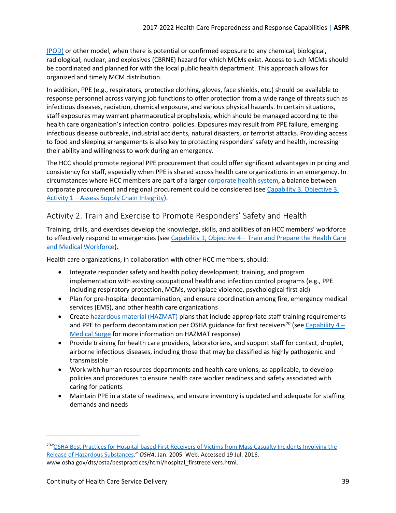[\(POD\)](#page-56-3) or other model, when there is potential or confirmed exposure to any chemical, biological, radiological, nuclear, and explosives (CBRNE) hazard for which MCMs exist. Access to such MCMs should be coordinated and planned for with the local public health department. This approach allows for organized and timely MCM distribution.

In addition, PPE (e.g., respirators, protective clothing, gloves, face shields, etc.) should be available to response personnel across varying job functions to offer protection from a wide range of threats such as infectious diseases, radiation, chemical exposure, and various physical hazards. In certain situations, staff exposures may warrant pharmaceutical prophylaxis, which should be managed according to the health care organization's infection control policies. Exposures may result from PPE failure, emerging infectious disease outbreaks, industrial accidents, natural disasters, or terrorist attacks. Providing access to food and sleeping arrangements is also key to protecting responders' safety and health, increasing their ability and willingness to work during an emergency.

The HCC should promote regional PPE procurement that could offer significant advantages in pricing and consistency for staff, especially when PPE is shared across health care organizations in an emergency. In circumstances where HCC members are part of a larger [corporate health system,](#page-57-1) a balance between corporate procurement and regional procurement could be considered (see [Capability 3, Objective 3,](#page-34-1) [Activity 1 – Assess Supply Chain Integrity\)](#page-34-1).

### <span id="page-38-0"></span>Activity 2. Train and Exercise to Promote Responders' Safety and Health

Training, drills, and exercises develop the knowledge, skills, and abilities of an HCC members' workforce to effectively respond to emergencies (see Capability 1, Objective 4 – Train and Prepare the Health Care [and Medical Workforce\)](#page-17-0).

Health care organizations, in collaboration with other HCC members, should:

- Integrate responder safety and health policy development, training, and program implementation with existing occupational health and infection control programs (e.g., PPE including respiratory protection, MCMs, workplace violence, psychological first aid)
- Plan for pre-hospital decontamination, and ensure coordination among fire, emergency medical services (EMS), and other health care organizations
- Create [hazardous material \(HAZMAT\)](#page-61-2) plans that include appropriate staff training requirements and PPE to perform decontamination per OSHA guidance for first receivers<sup>[70](#page-38-1)</sup> (see Capability 4 – [Medical Surge](#page-43-0) for more information on HAZMAT response)
- Provide training for health care providers, laboratorians, and support staff for contact, droplet, airborne infectious diseases, including those that may be classified as highly pathogenic and transmissible
- Work with human resources departments and health care unions, as applicable, to develop policies and procedures to ensure health care worker readiness and safety associated with caring for patients
- Maintain PPE in a state of readiness, and ensure inventory is updated and adequate for staffing demands and needs

<span id="page-38-1"></span><sup>70</sup>*"*[OSHA Best Practices for Hospital-based First Receivers of Victims from Mass Casualty Incidents Involving the](https://www.osha.gov/dts/osta/bestpractices/html/hospital_firstreceivers.html)  [Release of Hazardous Substances.](https://www.osha.gov/dts/osta/bestpractices/html/hospital_firstreceivers.html)" *OSHA*, Jan. 2005. Web. Accessed 19 Jul. 2016. www.osha.gov/dts/osta/bestpractices/html/hospital\_firstreceivers.html.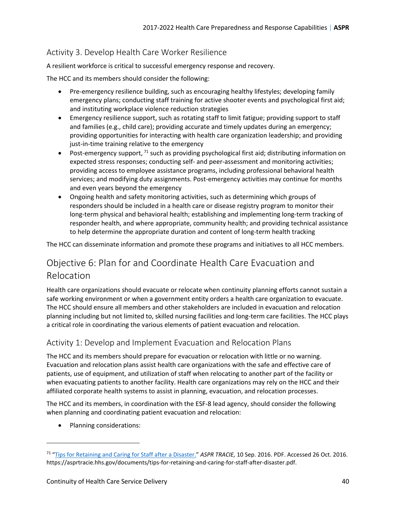### <span id="page-39-0"></span>Activity 3. Develop Health Care Worker Resilience

A resilient workforce is critical to successful emergency response and recovery.

The HCC and its members should consider the following:

- Pre-emergency resilience building, such as encouraging healthy lifestyles; developing family emergency plans; conducting staff training for active shooter events and psychological first aid; and instituting workplace violence reduction strategies
- Emergency resilience support, such as rotating staff to limit fatigue; providing support to staff and families (e.g., child care); providing accurate and timely updates during an emergency; providing opportunities for interacting with health care organization leadership; and providing just-in-time training relative to the emergency
- Post-emergency support,  $71$  such as providing psychological first aid; distributing information on expected stress responses; conducting self- and peer-assessment and monitoring activities; providing access to employee assistance programs, including professional behavioral health services; and modifying duty assignments. Post-emergency activities may continue for months and even years beyond the emergency
- Ongoing health and safety monitoring activities, such as determining which groups of responders should be included in a health care or disease registry program to monitor their long-term physical and behavioral health; establishing and implementing long-term tracking of responder health, and where appropriate, community health; and providing technical assistance to help determine the appropriate duration and content of long-term health tracking

The HCC can disseminate information and promote these programs and initiatives to all HCC members.

### <span id="page-39-1"></span>Objective 6: Plan for and Coordinate Health Care Evacuation and Relocation

Health care organizations should evacuate or relocate when continuity planning efforts cannot sustain a safe working environment or when a government entity orders a health care organization to evacuate. The HCC should ensure all members and other stakeholders are included in evacuation and relocation planning including but not limited to, skilled nursing facilities and long-term care facilities. The HCC plays a critical role in coordinating the various elements of patient evacuation and relocation.

#### <span id="page-39-2"></span>Activity 1: Develop and Implement Evacuation and Relocation Plans

The HCC and its members should prepare for evacuation or relocation with little or no warning. Evacuation and relocation plans assist health care organizations with the safe and effective care of patients, use of equipment, and utilization of staff when relocating to another part of the facility or when evacuating patients to another facility. Health care organizations may rely on the HCC and their affiliated corporate health systems to assist in planning, evacuation, and relocation processes.

The HCC and its members, in coordination with the ESF-8 lead agency, should consider the following when planning and coordinating patient evacuation and relocation:

• Planning considerations:

 $\overline{\phantom{a}}$ 

<span id="page-39-3"></span><sup>71</sup> ["Tips for Retaining and Caring for Staff after a Disaster.](https://asprtracie.hhs.gov/documents/tips-for-retaining-and-caring-for-staff-after-disaster.pdf)" *ASPR TRACIE,* 10 Sep. 2016. PDF. Accessed 26 Oct. 2016. https://asprtracie.hhs.gov/documents/tips-for-retaining-and-caring-for-staff-after-disaster.pdf.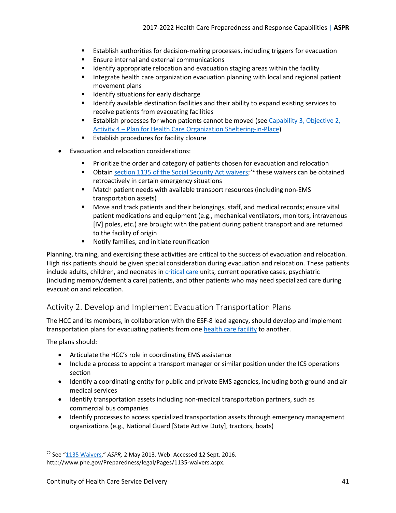- Establish authorities for decision-making processes, including triggers for evacuation
- **Ensure internal and external communications**
- **If all identify appropriate relocation and evacuation staging areas within the facility**
- **Integrate health care organization evacuation planning with local and regional patient** movement plans
- **If** Identify situations for early discharge
- **If all identify available destination facilities and their ability to expand existing services to** receive patients from evacuating facilities
- **Establish processes for when patients cannot be moved (see [Capability 3, Objective 2,](#page-33-2)** [Activity 4 – Plan for Health Care Organization Sheltering-in-Place\)](#page-33-2)
- **Establish procedures for facility closure**
- Evacuation and relocation considerations:
	- **Prioritize the order and category of patients chosen for evacuation and relocation**
	- Obtain [section 1135 of the Social Security Act waivers;](#page-66-0)<sup>[72](#page-40-1)</sup> these waivers can be obtained retroactively in certain emergency situations
	- Match patient needs with available transport resources (including non-EMS transportation assets)
	- Move and track patients and their belongings, staff, and medical records; ensure vital patient medications and equipment (e.g., mechanical ventilators, monitors, intravenous [IV] poles, etc.) are brought with the patient during patient transport and are returned to the facility of origin
	- **Notify families, and initiate reunification**

Planning, training, and exercising these activities are critical to the success of evacuation and relocation. High risk patients should be given special consideration during evacuation and relocation. These patients include adults, children, and neonates in [critical care](#page-57-2) units, current operative cases, psychiatric (including memory/dementia care) patients, and other patients who may need specialized care during evacuation and relocation.

### <span id="page-40-0"></span>Activity 2. Develop and Implement Evacuation Transportation Plans

The HCC and its members, in collaboration with the ESF-8 lead agency, should develop and implement transportation plans for evacuating patients from one [health care facility](#page-62-0) to another.

The plans should:

- Articulate the HCC's role in coordinating EMS assistance
- Include a process to appoint a transport manager or similar position under the ICS operations section
- Identify a coordinating entity for public and private EMS agencies, including both ground and air medical services
- Identify transportation assets including non-medical transportation partners, such as commercial bus companies
- Identify processes to access specialized transportation assets through emergency management organizations (e.g., National Guard [State Active Duty], tractors, boats)

<span id="page-40-1"></span><sup>72</sup> See ["1135 Waivers.](http://www.phe.gov/Preparedness/legal/Pages/1135-waivers.aspx)" *ASPR,* 2 May 2013. Web. Accessed 12 Sept. 2016. http://www.phe.gov/Preparedness/legal/Pages/1135-waivers.aspx.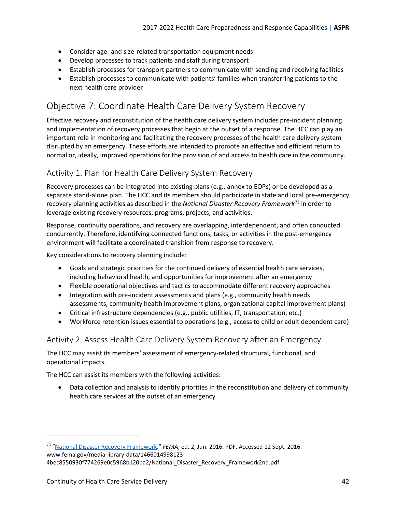- Consider age- and size-related transportation equipment needs
- Develop processes to track patients and staff during transport
- Establish processes for transport partners to communicate with sending and receiving facilities
- Establish processes to communicate with patients' families when transferring patients to the next health care provider

### <span id="page-41-0"></span>Objective 7: Coordinate Health Care Delivery System Recovery

Effective recovery and reconstitution of the health care delivery system includes pre-incident planning and implementation of recovery processes that begin at the outset of a response. The HCC can play an important role in monitoring and facilitating the recovery processes of the health care delivery system disrupted by an emergency. These efforts are intended to promote an effective and efficient return to normal or, ideally, improved operations for the provision of and access to health care in the community.

### <span id="page-41-1"></span>Activity 1. Plan for Health Care Delivery System Recovery

Recovery processes can be integrated into existing plans (e.g., annex to EOPs) or be developed as a separate stand-alone plan. The HCC and its members should participate in state and local pre-emergency recovery planning activities as described in the *National Disaster Recovery Framework*[73](#page-41-3) in order to leverage existing recovery resources, programs, projects, and activities.

Response, continuity operations, and recovery are overlapping, interdependent, and often conducted concurrently. Therefore, identifying connected functions, tasks, or activities in the post-emergency environment will facilitate a coordinated transition from response to recovery.

Key considerations to recovery planning include:

- Goals and strategic priorities for the continued delivery of essential health care services, including behavioral health, and opportunities for improvement after an emergency
- Flexible operational objectives and tactics to accommodate different recovery approaches
- Integration with pre-incident assessments and plans (e.g., community health needs assessments, community health improvement plans, organizational capital improvement plans)
- Critical infrastructure dependencies (e.g., public utilities, IT, transportation, etc.)
- Workforce retention issues essential to operations (e.g., access to child or adult dependent care)

#### <span id="page-41-2"></span>Activity 2. Assess Health Care Delivery System Recovery after an Emergency

The HCC may assist its members' assessment of emergency-related structural, functional, and operational impacts.

The HCC can assist its members with the following activities:

• Data collection and analysis to identify priorities in the reconstitution and delivery of community health care services at the outset of an emergency

<span id="page-41-3"></span><sup>73</sup> ["National Disaster Recovery Framework.](https://www.fema.gov/media-library-data/1466014998123-4bec8550930f774269e0c5968b120ba2/National_Disaster_Recovery_Framework2nd.pdf)" *FEMA*, ed. 2, Jun. 2016. PDF. Accessed 12 Sept. 2016. www.fema.gov/media-library-data/1466014998123-

<sup>4</sup>bec8550930f774269e0c5968b120ba2/National\_Disaster\_Recovery\_Framework2nd.pdf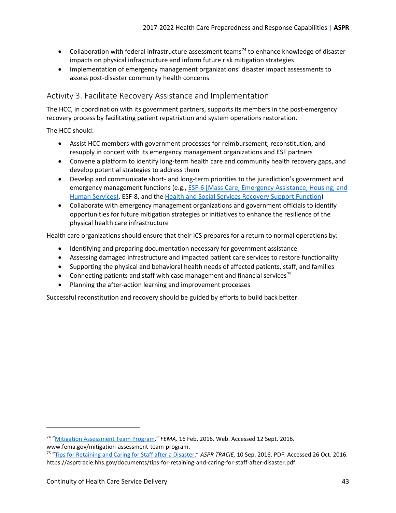- Collaboration with federal infrastructure assessment teams<sup>[74](#page-42-1)</sup> to enhance knowledge of disaster impacts on physical infrastructure and inform future risk mitigation strategies
- Implementation of emergency management organizations' disaster impact assessments to assess post-disaster community health concerns

#### <span id="page-42-0"></span>Activity 3. Facilitate Recovery Assistance and Implementation

The HCC, in coordination with its government partners, supports its members in the post-emergency recovery process by facilitating patient repatriation and system operations restoration.

The HCC should:

- Assist HCC members with government processes for reimbursement, reconstitution, and resupply in concert with its emergency management organizations and ESF partners
- Convene a platform to identify long-term health care and community health recovery gaps, and develop potential strategies to address them
- Develop and communicate short- and long-term priorities to the jurisdiction's government and emergency management functions (e.g., [ESF-6 \[Mass Care, Emergency Assistance, Housing, and](#page-59-1)  [Human Services\],](#page-59-1) ESF-8, and the [Health and Social Services Recovery Support Function\)](#page-61-4)
- Collaborate with emergency management organizations and government officials to identify opportunities for future mitigation strategies or initiatives to enhance the resilience of the physical health care infrastructure

Health care organizations should ensure that their ICS prepares for a return to normal operations by:

- Identifying and preparing documentation necessary for government assistance
- Assessing damaged infrastructure and impacted patient care services to restore functionality
- Supporting the physical and behavioral health needs of affected patients, staff, and families
- Connecting patients and staff with case management and financial services<sup>[75](#page-42-2)</sup>
- Planning the after-action learning and improvement processes

Successful reconstitution and recovery should be guided by efforts to build back better.

l

<span id="page-42-1"></span><sup>74</sup> ["Mitigation Assessment](https://www.fema.gov/mitigation-assessment-team-program) Team Program." *FEMA,* 16 Feb. 2016. Web. Accessed 12 Sept. 2016.

<span id="page-42-2"></span>www.fema.gov/mitigation-assessment-team-program.<br><sup>75</sup> ["Tips for Retaining and Caring for Staff after a Disaster.](https://asprtracie.hhs.gov/documents/tips-for-retaining-and-caring-for-staff-after-disaster.pdf)" *ASPR TRACIE*, 10 Sep. 2016. PDF. Accessed 26 Oct. 2016. https://asprtracie.hhs.gov/documents/tips-for-retaining-and-caring-for-staff-after-disaster.pdf.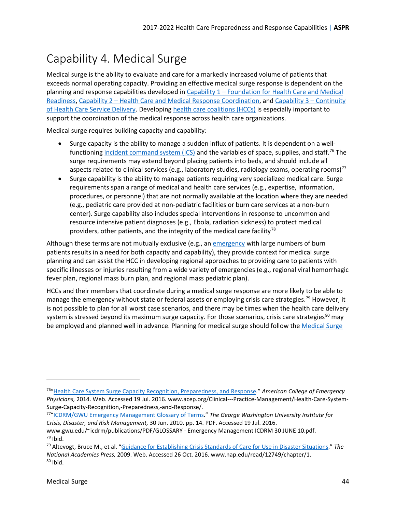# <span id="page-43-0"></span>Capability 4. Medical Surge

Medical surge is the ability to evaluate and care for a markedly increased volume of patients that exceeds normal operating capacity. Providing an effective medical surge response is dependent on the planning and response capabilities developed in [Capability 1 – Foundation for Health Care and Medical](#page-9-0)  [Readiness,](#page-9-0) [Capability 2 – Health Care and Medical Response Coordination,](#page-24-0) and [Capability 3 – Continuity](#page-31-0)  [of Health Care Service Delivery.](#page-31-0) Developin[g health care coalitions \(HCCs\)](#page-61-0) is especially important to support the coordination of the medical response across health care organizations.

Medical surge requires building capacity and capability:

- Surge capacity is the ability to manage a sudden influx of patients. It is dependent on a wellfunctioning [incident command system \(ICS\)](#page-63-0) and the variables of space, supplies, and staff.<sup>[76](#page-43-1)</sup> The surge requirements may extend beyond placing patients into beds, and should include all aspects related to clinical services (e.g., laboratory studies, radiology exams, operating rooms)<sup>[77](#page-43-2)</sup>
- Surge capability is the ability to manage patients requiring very specialized medical care. Surge requirements span a range of medical and health care services (e.g., expertise, information, procedures, or personnel) that are not normally available at the location where they are needed (e.g., pediatric care provided at non-pediatric facilities or burn care services at a non-burn center). Surge capability also includes special interventions in response to uncommon and resource intensive patient diagnoses (e.g., Ebola, radiation sickness) to protect medical providers, other patients, and the integrity of the medical care facility<sup>[78](#page-43-3)</sup>

Although these terms are not mutually exclusive (e.g., an [emergency](#page-58-0) with large numbers of burn patients results in a need for both capacity and capability), they provide context for medical surge planning and can assist the HCC in developing regional approaches to providing care to patients with specific illnesses or injuries resulting from a wide variety of emergencies (e.g., regional viral hemorrhagic fever plan, regional mass burn plan, and regional mass pediatric plan).

HCCs and their members that coordinate during a medical surge response are more likely to be able to manage the emergency without state or federal assets or employing crisis care strategies.<sup>[79](#page-43-4)</sup> However, it is not possible to plan for all worst case scenarios, and there may be times when the health care delivery system is stressed beyond its maximum surge capacity. For those scenarios, crisis care strategies<sup>[80](#page-43-5)</sup> may be employed and planned well in advance. Planning for medical surge should follow th[e Medical Surge](#page-64-4) 

<span id="page-43-1"></span><sup>76</sup>["Health Care System Surge Capacity Recognition, Preparedness, and Response."](https://www.acep.org/Clinical---Practice-Management/Health-Care-System-Surge-Capacity-Recognition,-Preparedness,-and-Response/) *American College of Emergency Physicians,* 2014. Web. Accessed 19 Jul. 2016. www.acep.org/Clinical---Practice-Management/Health-Care-System-Surge-Capacity-Recognition,-Preparedness,-and-Response/.<br><sup>77</sup>["ICDRM/GWU Emergency Management Glossary of Terms."](https://www2.gwu.edu/%7Eicdrm/publications/PDF/GLOSSARY%20-%20Emergency%20Management%20ICDRM%2030%20JUNE%2010.pdf) *The George Washington University Institute for* 

<span id="page-43-2"></span>*Crisis, Disaster, and Risk Management,* 30 Jun. 2010. pp. 14. PDF. Accessed 19 Jul. 2016.

<span id="page-43-3"></span>www.gwu.edu/~icdrm/publications/PDF/GLOSSARY - Emergency Management ICDRM 30 JUNE 10.pdf.<br><sup>78</sup> Ibid.

<span id="page-43-5"></span><span id="page-43-4"></span><sup>79</sup> Altevogt, Bruce M., et al. ["Guidance for Establishing Crisis Standards of Care for Use in Disaster Situations.](https://www.nap.edu/read/12749/chapter/1)" *The National Academies Press,* 2009. Web. Accessed 26 Oct. 2016. www.nap.edu/read/12749/chapter/1.  $80$  Ibid.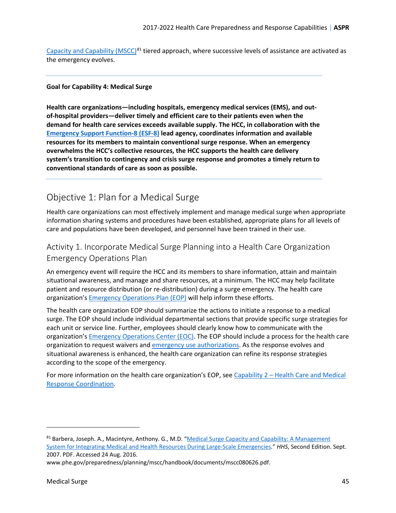[Capacity and Capability \(MSCC\)](#page-64-4)<sup>[81](#page-44-2)</sup> tiered approach, where successive levels of assistance are activated as the emergency evolves.

#### **Goal for Capability 4: Medical Surge**

**Health care organizations—including hospitals, emergency medical services (EMS), and outof-hospital providers—deliver timely and efficient care to their patients even when the demand for health care services exceeds available supply. The HCC, in collaboration with the [Emergency Support Function-8 \(ESF-8\)](#page-59-4) lead agency, coordinates information and available resources for its members to maintain conventional surge response. When an emergency overwhelms the HCC's collective resources, the HCC supports the health care delivery system's transition to contingency and crisis surge response and promotes a timely return to conventional standards of care as soon as possible.** 

### <span id="page-44-0"></span>Objective 1: Plan for a Medical Surge

Health care organizations can most effectively implement and manage medical surge when appropriate information sharing systems and procedures have been established, appropriate plans for all levels of care and populations have been developed, and personnel have been trained in their use.

### <span id="page-44-1"></span>Activity 1. Incorporate Medical Surge Planning into a Health Care Organization Emergency Operations Plan

An emergency event will require the HCC and its members to share information, attain and maintain situational awareness, and manage and share resources, at a minimum. The HCC may help facilitate patient and resource distribution (or re-distribution) during a surge emergency. The health care organization's **[Emergency Operations Plan \(EOP\)](#page-58-2)** will help inform these efforts.

The health care organization EOP should summarize the actions to initiate a response to a medical surge. The EOP should include individual departmental sections that provide specific surge strategies for each unit or service line. Further, employees should clearly know how to communicate with the organization's [Emergency Operations Center \(EOC\).](#page-58-1) The EOP should include a process for the health care organization to request waivers and [emergency use authorizations.](#page-59-2) As the response evolves and situational awareness is enhanced, the health care organization can refine its response strategies according to the scope of the emergency.

For more information on the health care organization's EOP, see Capability 2 – Health Care and Medical [Response Coordination.](#page-24-0)

l

<span id="page-44-2"></span><sup>81</sup> Barbera, Joseph. A., Macintyre, Anthony. G., M.D. "Medical Surge Capacity and Capability: A Management [System for Integrating Medical and Health Resources During Large-Scale Emergencies.](http://www.phe.gov/preparedness/planning/mscc/handbook/documents/mscc080626.pdf)" *HHS*, Second Edition. Sept. 2007. PDF. Accessed 24 Aug. 2016.

www.phe.gov/preparedness/planning/mscc/handbook/documents/mscc080626.pdf.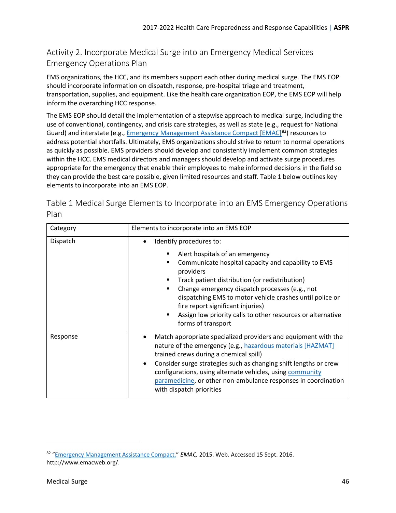### <span id="page-45-0"></span>Activity 2. Incorporate Medical Surge into an Emergency Medical Services Emergency Operations Plan

EMS organizations, the HCC, and its members support each other during medical surge. The EMS EOP should incorporate information on dispatch, response, pre-hospital triage and treatment, transportation, supplies, and equipment. Like the health care organization EOP, the EMS EOP will help inform the overarching HCC response.

The EMS EOP should detail the implementation of a stepwise approach to medical surge, including the use of conventional, contingency, and crisis care strategies, as well as state (e.g., request for National Guard) and interstate (e.g., *Emergency Management Assistance Compact [EMAC]<sup>82</sup>*) resources to address potential shortfalls. Ultimately, EMS organizations should strive to return to normal operations as quickly as possible. EMS providers should develop and consistently implement common strategies within the HCC. EMS medical directors and managers should develop and activate surge procedures appropriate for the emergency that enable their employees to make informed decisions in the field so they can provide the best care possible, given limited resources and staff. Table 1 below outlines key elements to incorporate into an EMS EOP.

Table 1 Medical Surge Elements to Incorporate into an EMS Emergency Operations Plan

| Category | Elements to incorporate into an EMS EOP                                                                                                                                                                                                                                                                                                                                                                                                                   |
|----------|-----------------------------------------------------------------------------------------------------------------------------------------------------------------------------------------------------------------------------------------------------------------------------------------------------------------------------------------------------------------------------------------------------------------------------------------------------------|
| Dispatch | Identify procedures to:<br>٠<br>Alert hospitals of an emergency<br>Communicate hospital capacity and capability to EMS<br>providers<br>Track patient distribution (or redistribution)<br>п<br>Change emergency dispatch processes (e.g., not<br>$\blacksquare$<br>dispatching EMS to motor vehicle crashes until police or<br>fire report significant injuries)<br>Assign low priority calls to other resources or alternative<br>٠<br>forms of transport |
| Response | Match appropriate specialized providers and equipment with the<br>٠<br>nature of the emergency (e.g., hazardous materials [HAZMAT]<br>trained crews during a chemical spill)<br>Consider surge strategies such as changing shift lengths or crew<br>$\bullet$<br>configurations, using alternate vehicles, using community<br>paramedicine, or other non-ambulance responses in coordination<br>with dispatch priorities                                  |

<span id="page-45-1"></span><sup>82</sup> ["Emergency Management Assistance Compact.](http://www.emacweb.org/)" *EMAC,* 2015. Web. Accessed 15 Sept. 2016. http://www.emacweb.org/.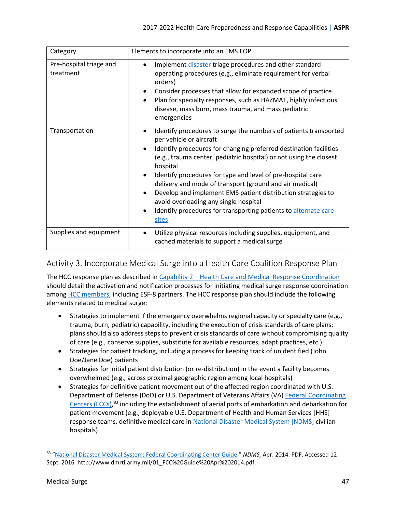| Category                             | Elements to incorporate into an EMS EOP                                                                                                                                                                                                                                                                                                                                                                                                                                                                                                                                                                       |
|--------------------------------------|---------------------------------------------------------------------------------------------------------------------------------------------------------------------------------------------------------------------------------------------------------------------------------------------------------------------------------------------------------------------------------------------------------------------------------------------------------------------------------------------------------------------------------------------------------------------------------------------------------------|
| Pre-hospital triage and<br>treatment | Implement disaster triage procedures and other standard<br>$\bullet$<br>operating procedures (e.g., eliminate requirement for verbal<br>orders)<br>Consider processes that allow for expanded scope of practice<br>$\bullet$<br>Plan for specialty responses, such as HAZMAT, highly infectious<br>$\bullet$<br>disease, mass burn, mass trauma, and mass pediatric<br>emergencies                                                                                                                                                                                                                            |
| Transportation                       | Identify procedures to surge the numbers of patients transported<br>per vehicle or aircraft<br>Identify procedures for changing preferred destination facilities<br>$\bullet$<br>(e.g., trauma center, pediatric hospital) or not using the closest<br>hospital<br>Identify procedures for type and level of pre-hospital care<br>$\bullet$<br>delivery and mode of transport (ground and air medical)<br>Develop and implement EMS patient distribution strategies to<br>$\bullet$<br>avoid overloading any single hospital<br>Identify procedures for transporting patients to alternate care<br>٠<br>sites |
| Supplies and equipment               | Utilize physical resources including supplies, equipment, and<br>$\bullet$<br>cached materials to support a medical surge                                                                                                                                                                                                                                                                                                                                                                                                                                                                                     |

### <span id="page-46-0"></span>Activity 3. Incorporate Medical Surge into a Health Care Coalition Response Plan

The HCC response plan as described in [Capability 2 – Health Care and Medical Response Coordination](#page-24-0) should detail the activation and notification processes for initiating medical surge response coordination among [HCC members,](#page-61-1) including ESF-8 partners. The HCC response plan should include the following elements related to medical surge:

- Strategies to implement if the emergency overwhelms regional capacity or specialty care (e.g., trauma, burn, pediatric) capability, including the execution of crisis standards of care plans; plans should also address steps to prevent crisis standards of care without compromising quality of care (e.g., conserve supplies, substitute for available resources, adapt practices, etc.)
- Strategies for patient tracking, including a process for keeping track of unidentified (John Doe/Jane Doe) patients
- Strategies for initial patient distribution (or re-distribution) in the event a facility becomes overwhelmed (e.g., across proximal geographic region among local hospitals)
- Strategies for definitive patient movement out of the affected region coordinated with U.S. Department of Defense (DoD) or U.S. Department of Veterans Affairs (VA) [Federal Coordinating](#page-60-2) [Centers](#page-60-2) (FCCs),<sup>[83](#page-46-1)</sup> including the establishment of aerial ports of embarkation and debarkation for patient movement (e.g., deployable U.S. Department of Health and Human Services [HHS] response teams, definitive medical care i[n National Disaster Medical System \[NDMS\]](#page-65-3) civilian hospitals)

<span id="page-46-1"></span><sup>83</sup> ["National Disaster Medical System: Federal Coordinating Center Guide.](http://www.dmrti.army.mil/01_FCC%20Guide%20Apr%202014.pdf)" *NDMS,* Apr. 2014. PDF. Accessed 12 Sept. 2016. http://www.dmrti.army.mil/01\_FCC%20Guide%20Apr%202014.pdf.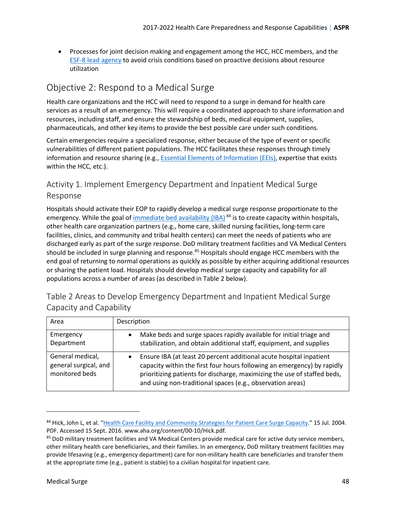• Processes for joint decision making and engagement among the HCC, HCC members, and the [ESF-8 lead agency](#page-60-0) to avoid crisis conditions based on proactive decisions about resource utilization

### <span id="page-47-0"></span>Objective 2: Respond to a Medical Surge

Health care organizations and the HCC will need to respond to a surge in demand for health care services as a result of an emergency. This will require a coordinated approach to share information and resources, including staff, and ensure the stewardship of beds, medical equipment, supplies, pharmaceuticals, and other key items to provide the best possible care under such conditions.

Certain emergencies require a specialized response, either because of the type of event or specific vulnerabilities of different patient populations. The HCC facilitates these responses through timely information and resource sharing (e.g., **Essential Elements of Information (EEIs)**, expertise that exists within the HCC, etc.).

### <span id="page-47-1"></span>Activity 1. Implement Emergency Department and Inpatient Medical Surge Response

Hospitals should activate their EOP to rapidly develop a medical surge response proportionate to the emergency. While the goal of [immediate bed availability \(IBA\)](#page-62-1)  $^{84}$  $^{84}$  $^{84}$  is to create capacity within hospitals, other health care organization partners (e.g., home care, skilled nursing facilities, long-term care facilities, clinics, and community and tribal health centers) can meet the needs of patients who are discharged early as part of the surge response. DoD military treatment facilities and VA Medical Centers should be included in surge planning and response.<sup>[85](#page-47-3)</sup> Hospitals should engage HCC members with the end goal of returning to normal operations as quickly as possible by either acquiring additional resources or sharing the patient load. Hospitals should develop medical surge capacity and capability for all populations across a number of areas (as described in Table 2 below).

| Area                                                        | Description                                                                                                                                                                                                                                                                                           |
|-------------------------------------------------------------|-------------------------------------------------------------------------------------------------------------------------------------------------------------------------------------------------------------------------------------------------------------------------------------------------------|
| Emergency<br>Department                                     | Make beds and surge spaces rapidly available for initial triage and<br>$\bullet$<br>stabilization, and obtain additional staff, equipment, and supplies                                                                                                                                               |
| General medical,<br>general surgical, and<br>monitored beds | Ensure IBA (at least 20 percent additional acute hospital inpatient<br>$\bullet$<br>capacity within the first four hours following an emergency) by rapidly<br>prioritizing patients for discharge, maximizing the use of staffed beds,<br>and using non-traditional spaces (e.g., observation areas) |

| Table 2 Areas to Develop Emergency Department and Inpatient Medical Surge |  |
|---------------------------------------------------------------------------|--|
| Capacity and Capability                                                   |  |

<span id="page-47-2"></span><sup>84</sup> Hick, John L, et al. ["Health Care Facility and Community Strategies for Patient Care Surge Capacity."](http://www.aha.org/content/00-10/Hick.pdf) 15 Jul. 2004. PDF. Accessed 15 Sept. 2016. www.aha.org/content/00-10/Hick.pdf.<br><sup>85</sup> DoD military treatment facilities and VA Medical Centers provide medical care for active duty service members,

<span id="page-47-3"></span>other military health care beneficiaries, and their families. In an emergency, DoD military treatment facilities may provide lifesaving (e.g., emergency department) care for non-military health care beneficiaries and transfer them at the appropriate time (e.g., patient is stable) to a civilian hospital for inpatient care.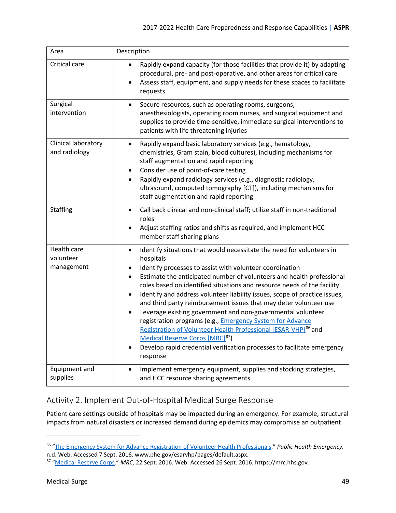| Area                                   | Description                                                                                                                                                                                                                                                                                                                                                                                                                                                                                                                                                                                                                                                                                                                                                                                                                                              |
|----------------------------------------|----------------------------------------------------------------------------------------------------------------------------------------------------------------------------------------------------------------------------------------------------------------------------------------------------------------------------------------------------------------------------------------------------------------------------------------------------------------------------------------------------------------------------------------------------------------------------------------------------------------------------------------------------------------------------------------------------------------------------------------------------------------------------------------------------------------------------------------------------------|
| Critical care                          | Rapidly expand capacity (for those facilities that provide it) by adapting<br>procedural, pre- and post-operative, and other areas for critical care<br>Assess staff, equipment, and supply needs for these spaces to facilitate<br>requests                                                                                                                                                                                                                                                                                                                                                                                                                                                                                                                                                                                                             |
| Surgical<br>intervention               | Secure resources, such as operating rooms, surgeons,<br>$\bullet$<br>anesthesiologists, operating room nurses, and surgical equipment and<br>supplies to provide time-sensitive, immediate surgical interventions to<br>patients with life threatening injuries                                                                                                                                                                                                                                                                                                                                                                                                                                                                                                                                                                                          |
| Clinical laboratory<br>and radiology   | Rapidly expand basic laboratory services (e.g., hematology,<br>$\bullet$<br>chemistries, Gram stain, blood cultures), including mechanisms for<br>staff augmentation and rapid reporting<br>Consider use of point-of-care testing<br>٠<br>Rapidly expand radiology services (e.g., diagnostic radiology,<br>$\bullet$<br>ultrasound, computed tomography [CT]), including mechanisms for<br>staff augmentation and rapid reporting                                                                                                                                                                                                                                                                                                                                                                                                                       |
| <b>Staffing</b>                        | Call back clinical and non-clinical staff; utilize staff in non-traditional<br>$\bullet$<br>roles<br>Adjust staffing ratios and shifts as required, and implement HCC<br>member staff sharing plans                                                                                                                                                                                                                                                                                                                                                                                                                                                                                                                                                                                                                                                      |
| Health care<br>volunteer<br>management | Identify situations that would necessitate the need for volunteers in<br>$\bullet$<br>hospitals<br>Identify processes to assist with volunteer coordination<br>Estimate the anticipated number of volunteers and health professional<br>٠<br>roles based on identified situations and resource needs of the facility<br>Identify and address volunteer liability issues, scope of practice issues,<br>$\bullet$<br>and third party reimbursement issues that may deter volunteer use<br>Leverage existing government and non-governmental volunteer<br>$\bullet$<br>registration programs (e.g., <i>Emergency System for Advance</i><br>Registration of Volunteer Health Professional [ESAR-VHP] <sup>86</sup> and<br>Medical Reserve Corps [MRC] <sup>87</sup> )<br>Develop rapid credential verification processes to facilitate emergency<br>response |
| Equipment and<br>supplies              | Implement emergency equipment, supplies and stocking strategies,<br>$\bullet$<br>and HCC resource sharing agreements                                                                                                                                                                                                                                                                                                                                                                                                                                                                                                                                                                                                                                                                                                                                     |

### <span id="page-48-0"></span>Activity 2. Implement Out-of-Hospital Medical Surge Response

Patient care settings outside of hospitals may be impacted during an emergency. For example, structural impacts from natural disasters or increased demand during epidemics may compromise an outpatient

<span id="page-48-1"></span><sup>86</sup> ["The Emergency System for Advance Registration of Volunteer Health Professionals.](http://www.phe.gov/esarvhp/pages/default.aspx)" *Public Health Emergency,* 

<span id="page-48-2"></span>n.d. Web. Accessed 7 Sept. 2016. www.phe.gov/esarvhp/pages/default.aspx.<br><sup>87</sup> "<u>Medical Reserve Corps</u>." *MRC,* 22 Sept. 2016. Web. Accessed 26 Sept. 2016. https://mrc.hhs.gov.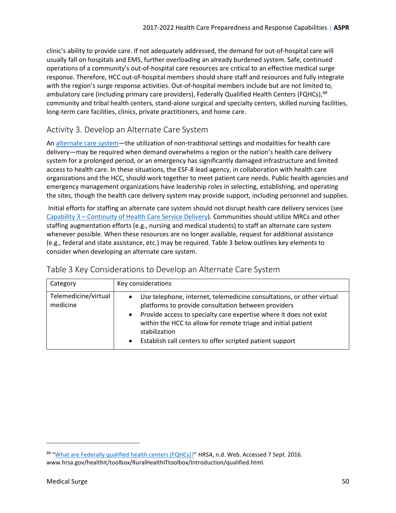clinic's ability to provide care. If not adequately addressed, the demand for out-of-hospital care will usually fall on hospitals and EMS, further overloading an already burdened system. Safe, continued operations of a community's out-of-hospital care resources are critical to an effective medical surge response. Therefore, HCC out-of-hospital members should share staff and resources and fully integrate with the region's surge response activities. Out-of-hospital members include but are not limited to, ambulatory care (including primary care providers), Federally Qualified Health Centers (FQHCs),<sup>[88](#page-49-1)</sup> community and tribal health centers, stand-alone surgical and specialty centers, skilled nursing facilities, long-term care facilities, clinics, private practitioners, and home care.

### <span id="page-49-0"></span>Activity 3. Develop an Alternate Care System

A[n alternate care system—](#page-55-3)the utilization of non-traditional settings and modalities for health care delivery—may be required when demand overwhelms a region or the nation's health care delivery system for a prolonged period, or an emergency has significantly damaged infrastructure and limited access to health care. In these situations, the ESF-8 lead agency, in collaboration with health care organizations and the HCC, should work together to meet patient care needs. Public health agencies and emergency management organizations have leadership roles in selecting, establishing, and operating the sites, though the health care delivery system may provide support, including personnel and supplies.

Initial efforts for staffing an alternate care system should not disrupt health care delivery services (see [Capability 3 – Continuity of Health Care Service Delivery\)](#page-31-0). Communities should utilize MRCs and other staffing augmentation efforts (e.g., nursing and medical students) to staff an alternate care system whenever possible. When these resources are no longer available, request for additional assistance (e.g., federal and state assistance, etc.) may be required. Table 3 below outlines key elements to consider when developing an alternate care system.

| Category                         | Key considerations                                                                                                                                                                                                                                                                                                                                            |
|----------------------------------|---------------------------------------------------------------------------------------------------------------------------------------------------------------------------------------------------------------------------------------------------------------------------------------------------------------------------------------------------------------|
| Telemedicine/virtual<br>medicine | Use telephone, internet, telemedicine consultations, or other virtual<br>platforms to provide consultation between providers<br>Provide access to specialty care expertise where it does not exist<br>within the HCC to allow for remote triage and initial patient<br>stabilization<br>Establish call centers to offer scripted patient support<br>$\bullet$ |

### Table 3 Key Considerations to Develop an Alternate Care System

<span id="page-49-1"></span><sup>88</sup> ["What are Federally qualified health centers \(FQHCs\)?"](http://www.hrsa.gov/healthit/toolbox/RuralHealthITtoolbox/Introduction/qualified.html) *HRSA*, n.d. Web. Accessed 7 Sept. 2016. www.hrsa.gov/healthit/toolbox/RuralHealthITtoolbox/Introduction/qualified.html.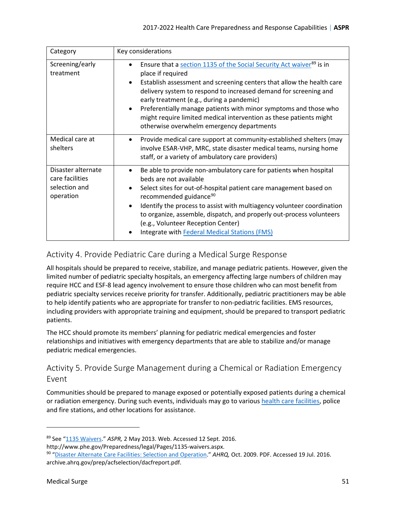| Category                                                            | Key considerations                                                                                                                                                                                                                                                                                                                                                                                                                                                                                               |
|---------------------------------------------------------------------|------------------------------------------------------------------------------------------------------------------------------------------------------------------------------------------------------------------------------------------------------------------------------------------------------------------------------------------------------------------------------------------------------------------------------------------------------------------------------------------------------------------|
| Screening/early<br>treatment                                        | Ensure that a section 1135 of the Social Security Act waiver <sup>89</sup> is in<br>place if required<br>Establish assessment and screening centers that allow the health care<br>$\bullet$<br>delivery system to respond to increased demand for screening and<br>early treatment (e.g., during a pandemic)<br>Preferentially manage patients with minor symptoms and those who<br>$\bullet$<br>might require limited medical intervention as these patients might<br>otherwise overwhelm emergency departments |
| Medical care at<br>shelters                                         | Provide medical care support at community-established shelters (may<br>$\bullet$<br>involve ESAR-VHP, MRC, state disaster medical teams, nursing home<br>staff, or a variety of ambulatory care providers)                                                                                                                                                                                                                                                                                                       |
| Disaster alternate<br>care facilities<br>selection and<br>operation | Be able to provide non-ambulatory care for patients when hospital<br>$\bullet$<br>beds are not available<br>Select sites for out-of-hospital patient care management based on<br>$\bullet$<br>recommended guidance <sup>90</sup><br>Identify the process to assist with multiagency volunteer coordination<br>$\bullet$<br>to organize, assemble, dispatch, and properly out-process volunteers<br>(e.g., Volunteer Reception Center)<br>Integrate with Federal Medical Stations (FMS)                           |

### <span id="page-50-0"></span>Activity 4. Provide Pediatric Care during a Medical Surge Response

All hospitals should be prepared to receive, stabilize, and manage pediatric patients. However, given the limited number of pediatric specialty hospitals, an emergency affecting large numbers of children may require HCC and ESF-8 lead agency involvement to ensure those children who can most benefit from pediatric specialty services receive priority for transfer. Additionally, pediatric practitioners may be able to help identify patients who are appropriate for transfer to non-pediatric facilities. EMS resources, including providers with appropriate training and equipment, should be prepared to transport pediatric patients.

The HCC should promote its members' planning for pediatric medical emergencies and foster relationships and initiatives with emergency departments that are able to stabilize and/or manage pediatric medical emergencies.

### <span id="page-50-1"></span>Activity 5. Provide Surge Management during a Chemical or Radiation Emergency Event

Communities should be prepared to manage exposed or potentially exposed patients during a chemical or radiation emergency. During such events, individuals may go to variou[s health care facilities,](#page-62-0) police and fire stations, and other locations for assistance.

http://www.phe.gov/Preparedness/legal/Pages/1135-waivers.aspx.

<span id="page-50-2"></span><sup>89</sup> See ["1135 Waivers.](http://www.phe.gov/Preparedness/legal/Pages/1135-waivers.aspx)" *ASPR,* 2 May 2013. Web. Accessed 12 Sept. 2016.

<span id="page-50-3"></span><sup>90</sup> ["Disaster Alternate Care Facilities: Selection and Operation.](https://archive.ahrq.gov/prep/acfselection/dacfreport.pdf)" *AHRQ,* Oct. 2009. PDF. Accessed 19 Jul. 2016. archive.ahrq.gov/prep/acfselection/dacfreport.pdf.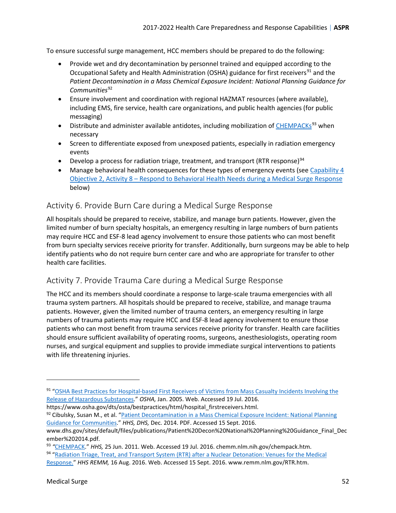To ensure successful surge management, HCC members should be prepared to do the following:

- Provide wet and dry decontamination by personnel trained and equipped according to the Occupational Safety and Health Administration (OSHA) guidance for first receivers<sup>[91](#page-51-2)</sup> and the *Patient Decontamination in a Mass Chemical Exposure Incident: National Planning Guidance for* Communities<sup>[92](#page-51-3)</sup>
- Ensure involvement and coordination with regional HAZMAT resources (where available), including EMS, fire service, health care organizations, and public health agencies (for public messaging)
- Distribute and administer available antidotes, including mobilization of [CHEMPACKs](#page-56-1)<sup>[93](#page-51-4)</sup> when necessary
- Screen to differentiate exposed from unexposed patients, especially in radiation emergency events
- Develop a process for radiation triage, treatment, and transport (RTR response)<sup>[94](#page-51-5)</sup>
- Manage behavioral health consequences for these types of emergency events (se[e Capability 4](#page-52-0) [Objective 2, Activity 8 – Respond to Behavioral Health Needs during a Medical Surge Response](#page-52-0) below)

### <span id="page-51-0"></span>Activity 6. Provide Burn Care during a Medical Surge Response

All hospitals should be prepared to receive, stabilize, and manage burn patients. However, given the limited number of burn specialty hospitals, an emergency resulting in large numbers of burn patients may require HCC and ESF-8 lead agency involvement to ensure those patients who can most benefit from burn specialty services receive priority for transfer. Additionally, burn surgeons may be able to help identify patients who do not require burn center care and who are appropriate for transfer to other health care facilities.

### <span id="page-51-1"></span>Activity 7. Provide Trauma Care during a Medical Surge Response

The HCC and its members should coordinate a response to large-scale trauma emergencies with all trauma system partners. All hospitals should be prepared to receive, stabilize, and manage trauma patients. However, given the limited number of trauma centers, an emergency resulting in large numbers of trauma patients may require HCC and ESF-8 lead agency involvement to ensure those patients who can most benefit from trauma services receive priority for transfer. Health care facilities should ensure sufficient availability of operating rooms, surgeons, anesthesiologists, operating room nurses, and surgical equipment and supplies to provide immediate surgical interventions to patients with life threatening injuries.

- https://www.osha.gov/dts/osta/bestpractices/html/hospital\_firstreceivers.html.
- <span id="page-51-3"></span>92 Cibulsky, Susan M., et al. "Patient Decontamination in a Mass Chemical Exposure Incident: National Planning [Guidance for Communities.](https://www.dhs.gov/sites/default/files/publications/Patient%20Decon%20National%20Planning%20Guidance_Final_December%202014.pdf)" *HHS, DHS,* Dec. 2014. PDF. Accessed 15 Sept. 2016.

<span id="page-51-2"></span><sup>91 &</sup>quot;OSHA Best Practices for Hospital-based First Receivers of Victims from Mass Casualty Incidents Involving the [Release of Hazardous Substances.](https://www.osha.gov/dts/osta/bestpractices/html/hospital_firstreceivers.html)" *OSHA,* Jan. 2005. Web. Accessed 19 Jul. 2016.

www.dhs.gov/sites/default/files/publications/Patient%20Decon%20National%20Planning%20Guidance\_Final\_Dec ember%202014.pdf.

<span id="page-51-5"></span><span id="page-51-4"></span><sup>&</sup>lt;sup>93</sup> "CHEMPACK." *HHS*, 25 Jun. 2011. Web. Accessed 19 Jul. 2016. chemm.nlm.nih.gov/chempack.htm.<br><sup>94</sup> "Radiation Triage, Treat, and Transport System (RTR) after a Nuclear Detonation: Venues for the Medical

[Response.](https://www.remm.nlm.gov/RTR.htm)" *HHS REMM,* 16 Aug. 2016. Web. Accessed 15 Sept. 2016. www.remm.nlm.gov/RTR.htm.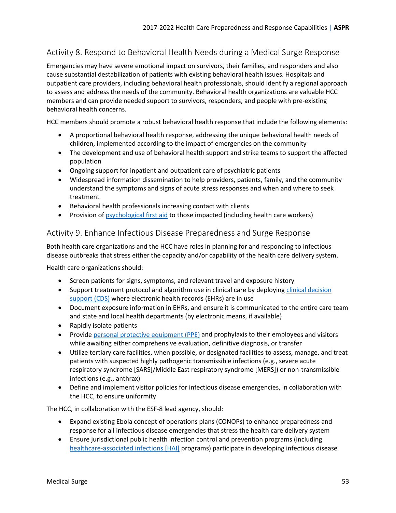### <span id="page-52-0"></span>Activity 8. Respond to Behavioral Health Needs during a Medical Surge Response

Emergencies may have severe emotional impact on survivors, their families, and responders and also cause substantial destabilization of patients with existing behavioral health issues. Hospitals and outpatient care providers, including behavioral health professionals, should identify a regional approach to assess and address the needs of the community. Behavioral health organizations are valuable HCC members and can provide needed support to survivors, responders, and people with pre-existing behavioral health concerns.

HCC members should promote a robust behavioral health response that include the following elements:

- A proportional behavioral health response, addressing the unique behavioral health needs of children, implemented according to the impact of emergencies on the community
- The development and use of behavioral health support and strike teams to support the affected population
- Ongoing support for inpatient and outpatient care of psychiatric patients
- Widespread information dissemination to help providers, patients, family, and the community understand the symptoms and signs of acute stress responses and when and where to seek treatment
- Behavioral health professionals increasing contact with clients
- Provision o[f psychological first aid](#page-65-1) to those impacted (including health care workers)

#### <span id="page-52-1"></span>Activity 9. Enhance Infectious Disease Preparedness and Surge Response

Both health care organizations and the HCC have roles in planning for and responding to infectious disease outbreaks that stress either the capacity and/or capability of the health care delivery system.

Health care organizations should:

- Screen patients for signs, symptoms, and relevant travel and exposure history
- Support treatment protocol and algorithm use in clinical care by deploying clinical decision [support \(CDS\)](#page-56-4) where electronic health records (EHRs) are in use
- Document exposure information in EHRs, and ensure it is communicated to the entire care team and state and local health departments (by electronic means, if available)
- Rapidly isolate patients
- Provide [personal protective equipment \(PPE\)](#page-65-4) and prophylaxis to their employees and visitors while awaiting either comprehensive evaluation, definitive diagnosis, or transfer
- Utilize tertiary care facilities, when possible, or designated facilities to assess, manage, and treat patients with suspected highly pathogenic transmissible infections (e.g., severe acute respiratory syndrome [SARS]/Middle East respiratory syndrome [MERS]) or non-transmissible infections (e.g., anthrax)
- Define and implement visitor policies for infectious disease emergencies, in collaboration with the HCC, to ensure uniformity

The HCC, in collaboration with the ESF-8 lead agency, should:

- Expand existing Ebola concept of operations plans (CONOPs) to enhance preparedness and response for all infectious disease emergencies that stress the health care delivery system
- Ensure jurisdictional public health infection control and prevention programs (including [healthcare-associated infections \[HAI\]](#page-61-6) programs) participate in developing infectious disease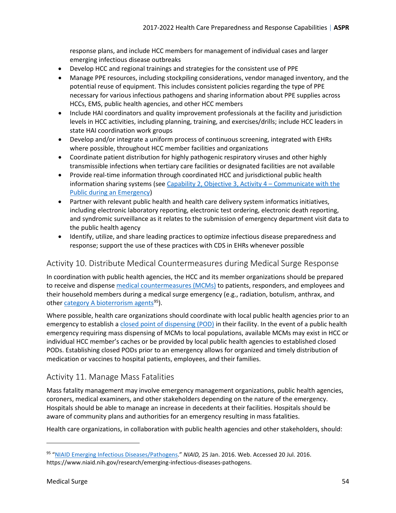response plans, and include HCC members for management of individual cases and larger emerging infectious disease outbreaks

- Develop HCC and regional trainings and strategies for the consistent use of PPE
- Manage PPE resources, including stockpiling considerations, vendor managed inventory, and the potential reuse of equipment. This includes consistent policies regarding the type of PPE necessary for various infectious pathogens and sharing information about PPE supplies across HCCs, EMS, public health agencies, and other HCC members
- Include HAI coordinators and quality improvement professionals at the facility and jurisdiction levels in HCC activities, including planning, training, and exercises/drills; include HCC leaders in state HAI coordination work groups
- Develop and/or integrate a uniform process of continuous screening, integrated with EHRs where possible, throughout HCC member facilities and organizations
- Coordinate patient distribution for highly pathogenic respiratory viruses and other highly transmissible infections when tertiary care facilities or designated facilities are not available
- Provide real-time information through coordinated HCC and jurisdictional public health information sharing systems (see [Capability 2, Objective 3, Activity 4 – Communicate with the](#page-30-0) [Public during an Emergency\)](#page-30-0)
- Partner with relevant public health and health care delivery system informatics initiatives, including electronic laboratory reporting, electronic test ordering, electronic death reporting, and syndromic surveillance as it relates to the submission of emergency department visit data to the public health agency
- Identify, utilize, and share leading practices to optimize infectious disease preparedness and response; support the use of these practices with CDS in EHRs whenever possible

### <span id="page-53-0"></span>Activity 10. Distribute Medical Countermeasures during Medical Surge Response

In coordination with public health agencies, the HCC and its member organizations should be prepared to receive and dispense [medical countermeasures \(MCMs\)](#page-64-3) to patients, responders, and employees and their household members during a medical surge emergency (e.g., radiation, botulism, anthrax, and other category A [bioterrorism agents](#page-55-4)<sup>[95](#page-53-2)</sup>).

Where possible, health care organizations should coordinate with local public health agencies prior to an emergency to establish a [closed point of dispensing \(POD\)](#page-56-3) in their facility. In the event of a public health emergency requiring mass dispensing of MCMs to local populations, available MCMs may exist in HCC or individual HCC member's caches or be provided by local public health agencies to established closed PODs. Establishing closed PODs prior to an emergency allows for organized and timely distribution of medication or vaccines to hospital patients, employees, and their families.

### <span id="page-53-1"></span>Activity 11. Manage Mass Fatalities

Mass fatality management may involve emergency management organizations, public health agencies, coroners, medical examiners, and other stakeholders depending on the nature of the emergency. Hospitals should be able to manage an increase in decedents at their facilities. Hospitals should be aware of community plans and authorities for an emergency resulting in mass fatalities.

Health care organizations, in collaboration with public health agencies and other stakeholders, should:

 $\overline{\phantom{a}}$ 

<span id="page-53-2"></span><sup>95</sup> ["NIAID Emerging Infectious Diseases/Pathogens.](https://www.niaid.nih.gov/research/emerging-infectious-diseases-pathogens)" *NIAID,* 25 Jan. 2016. Web. Accessed 20 Jul. 2016. https://www.niaid.nih.gov/research/emerging-infectious-diseases-pathogens.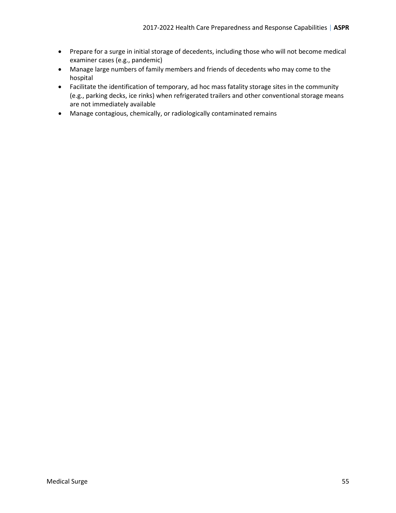- Prepare for a surge in initial storage of decedents, including those who will not become medical examiner cases (e.g., pandemic)
- Manage large numbers of family members and friends of decedents who may come to the hospital
- Facilitate the identification of temporary, ad hoc mass fatality storage sites in the community (e.g., parking decks, ice rinks) when refrigerated trailers and other conventional storage means are not immediately available
- Manage contagious, chemically, or radiologically contaminated remains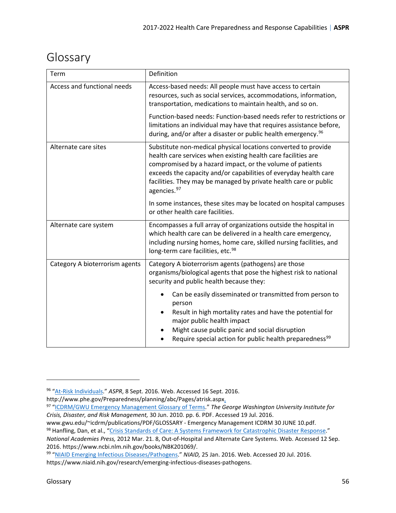## <span id="page-55-0"></span>Glossary

<span id="page-55-3"></span><span id="page-55-2"></span><span id="page-55-1"></span>

| Term                           | Definition                                                                                                                                                                                                                                                                                                                                                      |
|--------------------------------|-----------------------------------------------------------------------------------------------------------------------------------------------------------------------------------------------------------------------------------------------------------------------------------------------------------------------------------------------------------------|
| Access and functional needs    | Access-based needs: All people must have access to certain<br>resources, such as social services, accommodations, information,<br>transportation, medications to maintain health, and so on.<br>Function-based needs: Function-based needs refer to restrictions or                                                                                             |
|                                | limitations an individual may have that requires assistance before,<br>during, and/or after a disaster or public health emergency. <sup>96</sup>                                                                                                                                                                                                                |
| Alternate care sites           | Substitute non-medical physical locations converted to provide<br>health care services when existing health care facilities are<br>compromised by a hazard impact, or the volume of patients<br>exceeds the capacity and/or capabilities of everyday health care<br>facilities. They may be managed by private health care or public<br>agencies. <sup>97</sup> |
|                                | In some instances, these sites may be located on hospital campuses<br>or other health care facilities.                                                                                                                                                                                                                                                          |
| Alternate care system          | Encompasses a full array of organizations outside the hospital in<br>which health care can be delivered in a health care emergency,<br>including nursing homes, home care, skilled nursing facilities, and<br>long-term care facilities, etc. <sup>98</sup>                                                                                                     |
| Category A bioterrorism agents | Category A bioterrorism agents (pathogens) are those<br>organisms/biological agents that pose the highest risk to national<br>security and public health because they:                                                                                                                                                                                          |
|                                | Can be easily disseminated or transmitted from person to<br>person<br>Result in high mortality rates and have the potential for<br>major public health impact<br>Might cause public panic and social disruption<br>Require special action for public health preparedness <sup>99</sup>                                                                          |

www.gwu.edu/~icdrm/publications/PDF/GLOSSARY - Emergency Management ICDRM 30 JUNE 10.pdf. 98 Hanfling, Dan, et al., ["Crisis Standards of Care: A Systems Framework for Catastrophic Disaster Response.](https://www.ncbi.nlm.nih.gov/books/NBK201069/)"

<span id="page-55-7"></span>

<span id="page-55-4"></span>l

<span id="page-55-5"></span><sup>96</sup> ["At-Risk Individuals."](http://www.phe.gov/Preparedness/planning/abc/Pages/atrisk.aspx) *ASPR*, 8 Sept. 2016. Web. Accessed 16 Sept. 2016.

http://www.phe.gov/Preparedness/planning/abc/Pages/atrisk.aspx.

<span id="page-55-6"></span><sup>97</sup> ["ICDRM/GWU Emergency Management Glossary of Terms."](https://www2.gwu.edu/%7Eicdrm/publications/PDF/GLOSSARY%20-%20Emergency%20Management%20ICDRM%2030%20JUNE%2010.pdf) *The George Washington University Institute for Crisis, Disaster, and Risk Management,* 30 Jun. 2010. pp. 6. PDF. Accessed 19 Jul. 2016.

*National Academies Press,* 2012 Mar. 21. 8, Out-of-Hospital and Alternate Care Systems. Web. Accessed 12 Sep. 2016. https://www.ncbi.nlm.nih.gov/books/NBK201069/.

<span id="page-55-8"></span><sup>99</sup> ["NIAID Emerging Infectious Diseases/Pathogens.](https://www.niaid.nih.gov/research/emerging-infectious-diseases-pathogens)" *NIAID,* 25 Jan. 2016. Web. Accessed 20 Jul. 2016. https://www.niaid.nih.gov/research/emerging-infectious-diseases-pathogens.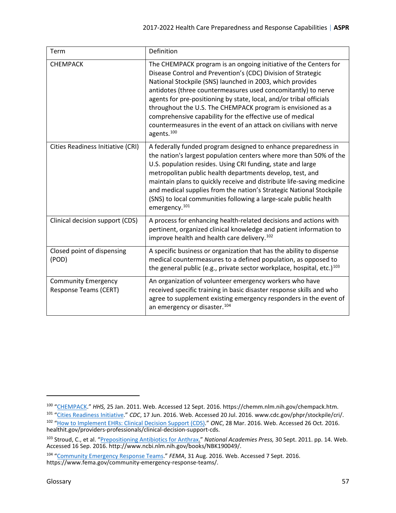<span id="page-56-4"></span><span id="page-56-2"></span><span id="page-56-1"></span>

| Term                                                       | Definition                                                                                                                                                                                                                                                                                                                                                                                                                                                                                                                                                       |
|------------------------------------------------------------|------------------------------------------------------------------------------------------------------------------------------------------------------------------------------------------------------------------------------------------------------------------------------------------------------------------------------------------------------------------------------------------------------------------------------------------------------------------------------------------------------------------------------------------------------------------|
| <b>CHEMPACK</b>                                            | The CHEMPACK program is an ongoing initiative of the Centers for<br>Disease Control and Prevention's (CDC) Division of Strategic<br>National Stockpile (SNS) launched in 2003, which provides<br>antidotes (three countermeasures used concomitantly) to nerve<br>agents for pre-positioning by state, local, and/or tribal officials<br>throughout the U.S. The CHEMPACK program is envisioned as a<br>comprehensive capability for the effective use of medical<br>countermeasures in the event of an attack on civilians with nerve<br>agents. <sup>100</sup> |
| Cities Readiness Initiative (CRI)                          | A federally funded program designed to enhance preparedness in<br>the nation's largest population centers where more than 50% of the<br>U.S. population resides. Using CRI funding, state and large<br>metropolitan public health departments develop, test, and<br>maintain plans to quickly receive and distribute life-saving medicine<br>and medical supplies from the nation's Strategic National Stockpile<br>(SNS) to local communities following a large-scale public health<br>emergency. <sup>101</sup>                                                |
| Clinical decision support (CDS)                            | A process for enhancing health-related decisions and actions with<br>pertinent, organized clinical knowledge and patient information to<br>improve health and health care delivery. <sup>102</sup>                                                                                                                                                                                                                                                                                                                                                               |
| Closed point of dispensing<br>(POD)                        | A specific business or organization that has the ability to dispense<br>medical countermeasures to a defined population, as opposed to<br>the general public (e.g., private sector workplace, hospital, etc.) <sup>103</sup>                                                                                                                                                                                                                                                                                                                                     |
| <b>Community Emergency</b><br><b>Response Teams (CERT)</b> | An organization of volunteer emergency workers who have<br>received specific training in basic disaster response skills and who<br>agree to supplement existing emergency responders in the event of<br>an emergency or disaster. <sup>104</sup>                                                                                                                                                                                                                                                                                                                 |

<span id="page-56-7"></span><span id="page-56-6"></span><span id="page-56-5"></span><span id="page-56-3"></span><span id="page-56-0"></span><sup>100</sup> ["CHEMPACK.](https://chemm.nlm.nih.gov/chempack.htm)" *HHS,* 25 Jan. 2011. Web. Accessed 12 Sept. 2016. https://chemm.nlm.nih.gov/chempack.htm. 101 ["Cities Readiness Initiative."](http://www.cdc.gov/phpr/stockpile/cri/) *CDC*, 17 Jun. 2016. Web. Accessed 20 Jul. 2016. www.cdc.gov/phpr/stockpile/cri/. 102 "How to Implement EHRs: Clinical Decision Support (CDS)." *ONC*, 28 Mar. 2016. Web. Accessed 26 Oct. 2016. healthit.gov/providers-professionals/clinical-decision-support-cds.

<span id="page-56-8"></span><sup>103</sup> Stroud, C., et al. ["Prepositioning Antibiotics for Anthrax](https://www.ncbi.nlm.nih.gov/books/NBK190049/)." *National Academies Press,* 30 Sept. 2011. pp. 14. Web. Accessed 16 Sep. 2016. http://www.ncbi.nlm.nih.gov/books/NBK190049/.

<span id="page-56-9"></span><sup>104</sup> ["Community Emergency Response Teams.](https://www.fema.gov/community-emergency-response-teams/)" *FEMA*, 31 Aug. 2016. Web. Accessed 7 Sept. 2016. https://www.fema.gov/community-emergency-response-teams/.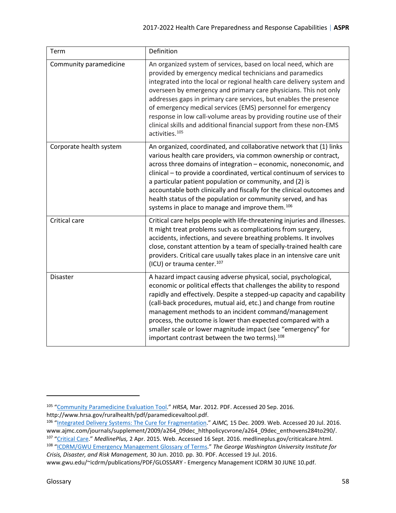<span id="page-57-3"></span><span id="page-57-2"></span><span id="page-57-1"></span>

| Term                    | Definition                                                                                                                                                                                                                                                                                                                                                                                                                                                                                                                                                                               |
|-------------------------|------------------------------------------------------------------------------------------------------------------------------------------------------------------------------------------------------------------------------------------------------------------------------------------------------------------------------------------------------------------------------------------------------------------------------------------------------------------------------------------------------------------------------------------------------------------------------------------|
| Community paramedicine  | An organized system of services, based on local need, which are<br>provided by emergency medical technicians and paramedics<br>integrated into the local or regional health care delivery system and<br>overseen by emergency and primary care physicians. This not only<br>addresses gaps in primary care services, but enables the presence<br>of emergency medical services (EMS) personnel for emergency<br>response in low call-volume areas by providing routine use of their<br>clinical skills and additional financial support from these non-EMS<br>activities. <sup>105</sup> |
| Corporate health system | An organized, coordinated, and collaborative network that (1) links<br>various health care providers, via common ownership or contract,<br>across three domains of integration - economic, noneconomic, and<br>clinical - to provide a coordinated, vertical continuum of services to<br>a particular patient population or community, and (2) is<br>accountable both clinically and fiscally for the clinical outcomes and<br>health status of the population or community served, and has<br>systems in place to manage and improve them. <sup>106</sup>                               |
| Critical care           | Critical care helps people with life-threatening injuries and illnesses.<br>It might treat problems such as complications from surgery,<br>accidents, infections, and severe breathing problems. It involves<br>close, constant attention by a team of specially-trained health care<br>providers. Critical care usually takes place in an intensive care unit<br>(ICU) or trauma center. <sup>107</sup>                                                                                                                                                                                 |
| <b>Disaster</b>         | A hazard impact causing adverse physical, social, psychological,<br>economic or political effects that challenges the ability to respond<br>rapidly and effectively. Despite a stepped-up capacity and capability<br>(call-back procedures, mutual aid, etc.) and change from routine<br>management methods to an incident command/management<br>process, the outcome is lower than expected compared with a<br>smaller scale or lower magnitude impact (see "emergency" for<br>important contrast between the two terms). <sup>108</sup>                                                |

<span id="page-57-4"></span><span id="page-57-0"></span><sup>&</sup>lt;sup>105</sup> ["Community Paramedicine Evaluation Tool."](http://www.hrsa.gov/ruralhealth/pdf/paramedicevaltool.pdf) HRSA, Mar. 2012. PDF. Accessed 20 Sep. 2016.<br>http://www.hrsa.gov/ruralhealth/pdf/paramedicevaltool.pdf.

<span id="page-57-6"></span><span id="page-57-5"></span><sup>&</sup>lt;sup>106</sup> ["Integrated Delivery Systems: The Cure for Fragmentation.](http://www.ajmc.com/journals/supplement/2009/a264_09dec_hlthpolicycvrone/a264_09dec_enthovens284to290/)" *AJMC*, 15 Dec. 2009. Web. Accessed 20 Jul. 2016.<br>www.ajmc.com/journals/supplement/2009/a264\_09dec\_hlthpolicycvrone/a264\_09dec\_enthovens284to290/. <sup>107</sup> ["Critical Care.](https://medlineplus.gov/criticalcare.html)" MedlinePlus, 2 Apr. 2015. Web. Accessed 16 Sept. 2016. medlineplus.gov/criticalcare.html.<br><sup>108</sup> ["ICDRM/GWU Emergency Management Glossary of Terms.](https://www2.gwu.edu/%7Eicdrm/publications/PDF/GLOSSARY%20-%20Emergency%20Management%20ICDRM%2030%20JUNE%2010.pdf)" The George Washington University Institute for

<span id="page-57-7"></span>*Crisis, Disaster, and Risk Management,* 30 Jun. 2010. pp. 30. PDF. Accessed 19 Jul. 2016. www.gwu.edu/~icdrm/publications/PDF/GLOSSARY - Emergency Management ICDRM 30 JUNE 10.pdf.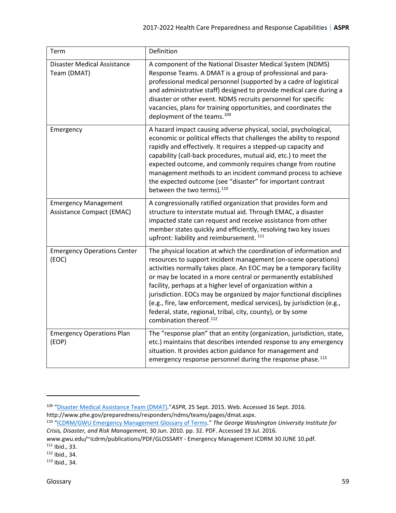<span id="page-58-4"></span><span id="page-58-3"></span><span id="page-58-0"></span>

| Term                                                            | Definition                                                                                                                                                                                                                                                                                                                                                                                                                                                                                                                                                                                            |
|-----------------------------------------------------------------|-------------------------------------------------------------------------------------------------------------------------------------------------------------------------------------------------------------------------------------------------------------------------------------------------------------------------------------------------------------------------------------------------------------------------------------------------------------------------------------------------------------------------------------------------------------------------------------------------------|
| <b>Disaster Medical Assistance</b><br>Team (DMAT)               | A component of the National Disaster Medical System (NDMS)<br>Response Teams. A DMAT is a group of professional and para-<br>professional medical personnel (supported by a cadre of logistical<br>and administrative staff) designed to provide medical care during a<br>disaster or other event. NDMS recruits personnel for specific<br>vacancies, plans for training opportunities, and coordinates the<br>deployment of the teams. <sup>109</sup>                                                                                                                                                |
| Emergency                                                       | A hazard impact causing adverse physical, social, psychological,<br>economic or political effects that challenges the ability to respond<br>rapidly and effectively. It requires a stepped-up capacity and<br>capability (call-back procedures, mutual aid, etc.) to meet the<br>expected outcome, and commonly requires change from routine<br>management methods to an incident command process to achieve<br>the expected outcome (see "disaster" for important contrast<br>between the two terms). <sup>110</sup>                                                                                 |
| <b>Emergency Management</b><br><b>Assistance Compact (EMAC)</b> | A congressionally ratified organization that provides form and<br>structure to interstate mutual aid. Through EMAC, a disaster<br>impacted state can request and receive assistance from other<br>member states quickly and efficiently, resolving two key issues<br>upfront: liability and reimbursement. 111                                                                                                                                                                                                                                                                                        |
| <b>Emergency Operations Center</b><br>(EOC)                     | The physical location at which the coordination of information and<br>resources to support incident management (on-scene operations)<br>activities normally takes place. An EOC may be a temporary facility<br>or may be located in a more central or permanently established<br>facility, perhaps at a higher level of organization within a<br>jurisdiction. EOCs may be organized by major functional disciplines<br>(e.g., fire, law enforcement, medical services), by jurisdiction (e.g.,<br>federal, state, regional, tribal, city, county), or by some<br>combination thereof. <sup>112</sup> |
| <b>Emergency Operations Plan</b><br>(EOP)                       | The "response plan" that an entity (organization, jurisdiction, state,<br>etc.) maintains that describes intended response to any emergency<br>situation. It provides action guidance for management and<br>emergency response personnel during the response phase. <sup>113</sup>                                                                                                                                                                                                                                                                                                                    |

<span id="page-58-5"></span><span id="page-58-2"></span><span id="page-58-1"></span><sup>&</sup>lt;sup>109</sup> ["Disaster Medical Assistance Team \(DMAT\).](http://www.phe.gov/preparedness/responders/ndms/teams/pages/dmat.aspx)"ASPR, 25 Sept. 2015. Web. Accessed 16 Sept. 2016.<br>http://www.phe.gov/preparedness/responders/ndms/teams/pages/dmat.aspx.

<span id="page-58-6"></span>http://www.phe.gov/preparedness/responders/ndms/teams/pages/dmat.aspx. 110 ["ICDRM/GWU Emergency Management Glossary of Terms.](https://www2.gwu.edu/%7Eicdrm/publications/PDF/GLOSSARY%20-%20Emergency%20Management%20ICDRM%2030%20JUNE%2010.pdf)" *The George Washington University Institute for Crisis, Disaster, and Risk Management,* 30 Jun. 2010. pp. 32. PDF. Accessed 19 Jul. 2016.

<span id="page-58-7"></span>www.gwu.edu/~icdrm/publications/PDF/GLOSSARY - Emergency Management ICDRM 30 JUNE 10.pdf.<br><sup>111</sup> Ibid., 33.<br><sup>112</sup> Ibid., 34.

<span id="page-58-9"></span><span id="page-58-8"></span><sup>113</sup> Ibid., 34.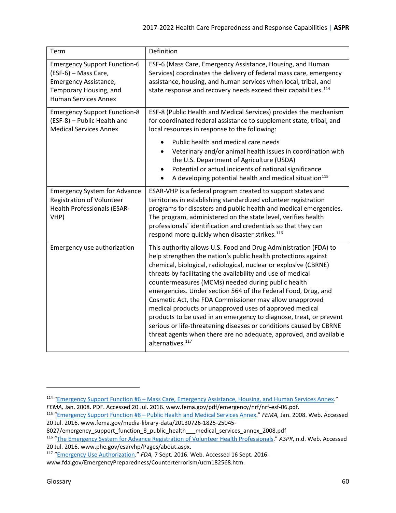<span id="page-59-4"></span><span id="page-59-3"></span><span id="page-59-1"></span><span id="page-59-0"></span>

| Term                                                                                                                                          | Definition                                                                                                                                                                                                                                                                                                                                                                                                                                                                                                                                                                                                                                                                                                                                                          |
|-----------------------------------------------------------------------------------------------------------------------------------------------|---------------------------------------------------------------------------------------------------------------------------------------------------------------------------------------------------------------------------------------------------------------------------------------------------------------------------------------------------------------------------------------------------------------------------------------------------------------------------------------------------------------------------------------------------------------------------------------------------------------------------------------------------------------------------------------------------------------------------------------------------------------------|
| <b>Emergency Support Function-6</b><br>(ESF-6) - Mass Care,<br>Emergency Assistance,<br>Temporary Housing, and<br><b>Human Services Annex</b> | ESF-6 (Mass Care, Emergency Assistance, Housing, and Human<br>Services) coordinates the delivery of federal mass care, emergency<br>assistance, housing, and human services when local, tribal, and<br>state response and recovery needs exceed their capabilities. <sup>114</sup>                                                                                                                                                                                                                                                                                                                                                                                                                                                                                  |
| <b>Emergency Support Function-8</b><br>(ESF-8) - Public Health and<br><b>Medical Services Annex</b>                                           | ESF-8 (Public Health and Medical Services) provides the mechanism<br>for coordinated federal assistance to supplement state, tribal, and<br>local resources in response to the following:                                                                                                                                                                                                                                                                                                                                                                                                                                                                                                                                                                           |
|                                                                                                                                               | Public health and medical care needs<br>Veterinary and/or animal health issues in coordination with<br>the U.S. Department of Agriculture (USDA)<br>Potential or actual incidents of national significance<br>A developing potential health and medical situation <sup>115</sup>                                                                                                                                                                                                                                                                                                                                                                                                                                                                                    |
| <b>Emergency System for Advance</b><br><b>Registration of Volunteer</b><br><b>Health Professionals (ESAR-</b><br>VHP)                         | ESAR-VHP is a federal program created to support states and<br>territories in establishing standardized volunteer registration<br>programs for disasters and public health and medical emergencies.<br>The program, administered on the state level, verifies health<br>professionals' identification and credentials so that they can<br>respond more quickly when disaster strikes. <sup>116</sup>                                                                                                                                                                                                                                                                                                                                                                |
| Emergency use authorization                                                                                                                   | This authority allows U.S. Food and Drug Administration (FDA) to<br>help strengthen the nation's public health protections against<br>chemical, biological, radiological, nuclear or explosive (CBRNE)<br>threats by facilitating the availability and use of medical<br>countermeasures (MCMs) needed during public health<br>emergencies. Under section 564 of the Federal Food, Drug, and<br>Cosmetic Act, the FDA Commissioner may allow unapproved<br>medical products or unapproved uses of approved medical<br>products to be used in an emergency to diagnose, treat, or prevent<br>serious or life-threatening diseases or conditions caused by CBRNE<br>threat agents when there are no adequate, approved, and available<br>alternatives. <sup>117</sup> |

8027/emergency\_support\_function\_8\_public\_health\_\_\_medical\_services\_annex\_2008.pdf

<span id="page-59-2"></span> $\overline{\phantom{a}}$ 

<span id="page-59-5"></span><sup>&</sup>lt;sup>114</sup> ["Emergency Support Function #6 – Mass Care, Emergency Assistance, Housing, and Human Services Annex.](https://www.fema.gov/pdf/emergency/nrf/nrf-esf-06.pdf)"<br>FEMA, Jan. 2008. PDF. Accessed 20 Jul. 2016. www.fema.gov/pdf/emergency/nrf/nrf-esf-06.pdf.

<span id="page-59-6"></span><sup>115</sup> ["Emergency Support Function #8 – Public Health and Medical Services Annex."](https://www.fema.gov/media-library-data/20130726-1825-25045-8027/emergency_support_function_8_public_health___medical_services_annex_2008.pdf) *FEMA*, Jan. 2008. Web. Accessed 20 Jul. 2016. www.fema.gov/media-library-data/20130726-1825-25045-

<span id="page-59-7"></span><sup>116</sup> ["The Emergency System for Advance Registration of Volunteer Health Professionals.](http://www.phe.gov/esarvhp/Pages/about.aspx)" *ASPR*, n.d. Web. Accessed 20 Jul. 2016. www.phe.gov/esarvhp/Pages/about.aspx. 117 ["Emergency Use Authorization.](http://www.fda.gov/EmergencyPreparedness/Counterterrorism/ucm182568.htm)" *FDA,* 7 Sept. 2016. Web. Accessed 16 Sept. 2016.

<span id="page-59-8"></span>www.fda.gov/EmergencyPreparedness/Counterterrorism/ucm182568.htm.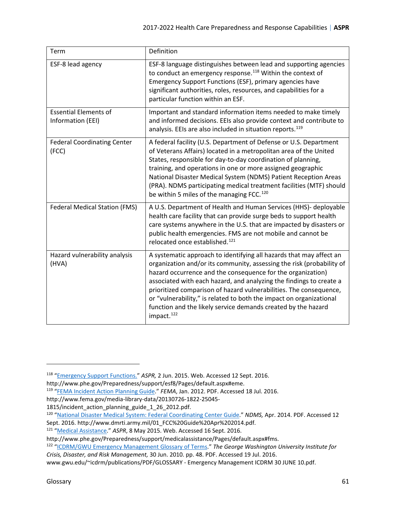<span id="page-60-4"></span><span id="page-60-3"></span><span id="page-60-2"></span><span id="page-60-0"></span>

| Term                                              | Definition                                                                                                                                                                                                                                                                                                                                                                                                                                                                                                                 |
|---------------------------------------------------|----------------------------------------------------------------------------------------------------------------------------------------------------------------------------------------------------------------------------------------------------------------------------------------------------------------------------------------------------------------------------------------------------------------------------------------------------------------------------------------------------------------------------|
| ESF-8 lead agency                                 | ESF-8 language distinguishes between lead and supporting agencies<br>to conduct an emergency response. <sup>118</sup> Within the context of<br>Emergency Support Functions (ESF), primary agencies have<br>significant authorities, roles, resources, and capabilities for a<br>particular function within an ESF.                                                                                                                                                                                                         |
| <b>Essential Elements of</b><br>Information (EEI) | Important and standard information items needed to make timely<br>and informed decisions. EEIs also provide context and contribute to<br>analysis. EEIs are also included in situation reports. <sup>119</sup>                                                                                                                                                                                                                                                                                                             |
| <b>Federal Coordinating Center</b><br>(FCC)       | A federal facility (U.S. Department of Defense or U.S. Department<br>of Veterans Affairs) located in a metropolitan area of the United<br>States, responsible for day-to-day coordination of planning,<br>training, and operations in one or more assigned geographic<br>National Disaster Medical System (NDMS) Patient Reception Areas<br>(PRA). NDMS participating medical treatment facilities (MTF) should<br>be within 5 miles of the managing FCC. <sup>120</sup>                                                   |
| <b>Federal Medical Station (FMS)</b>              | A U.S. Department of Health and Human Services (HHS)- deployable<br>health care facility that can provide surge beds to support health<br>care systems anywhere in the U.S. that are impacted by disasters or<br>public health emergencies. FMS are not mobile and cannot be<br>relocated once established. <sup>121</sup>                                                                                                                                                                                                 |
| Hazard vulnerability analysis<br>(HVA)            | A systematic approach to identifying all hazards that may affect an<br>organization and/or its community, assessing the risk (probability of<br>hazard occurrence and the consequence for the organization)<br>associated with each hazard, and analyzing the findings to create a<br>prioritized comparison of hazard vulnerabilities. The consequence,<br>or "vulnerability," is related to both the impact on organizational<br>function and the likely service demands created by the hazard<br>impact. <sup>122</sup> |

<span id="page-60-5"></span><span id="page-60-1"></span><sup>118</sup> ["Emergency Support Functions.](http://www.phe.gov/Preparedness/support/esf8/Pages/default.aspx#eme)" *ASPR,* 2 Jun. 2015. Web. Accessed 12 Sept. 2016.

<span id="page-60-6"></span>http://www.phe.gov/Preparedness/support/esf8/Pages/default.aspx#eme.<br><sup>119</sup> ["FEMA Incident Action Planning Guide."](http://www.fema.gov/media-library-data/20130726-1822-25045-1815/incident_action_planning_guide_1_26_2012.pdf) *FEMA*, Jan. 2012. PDF. Accessed 18 Jul. 2016.

http://www.fema.gov/media-library-data/20130726-1822-25045-

<sup>1815/</sup>incident action planning guide 1 26 2012.pdf.

<span id="page-60-7"></span><sup>120</sup> ["National Disaster Medical System: Federal Coordinating Center Guide."](http://www.dmrti.army.mil/01_FCC%20Guide%20Apr%202014.pdf) *NDMS,* Apr. 2014. PDF. Accessed 12 Sept. 2016. http://www.dmrti.army.mil/01\_FCC%20Guide%20Apr%202014.pdf.<br><sup>121</sup> "<u>Medical Assistance</u>." *ASPR*, 8 May 2015. Web. Accessed 16 Sept. 2016.

<span id="page-60-8"></span>

http://www.phe.gov/Preparedness/support/medicalassistance/Pages/default.aspx#fms.<br><sup>122</sup> "<u>ICDRM/GWU Emergency Management Glossary of Terms</u>." *The George Washington University Institute for Crisis, Disaster, and Risk Management,* 30 Jun. 2010. pp. 48. PDF. Accessed 19 Jul. 2016.

www.gwu.edu/~icdrm/publications/PDF/GLOSSARY - Emergency Management ICDRM 30 JUNE 10.pdf.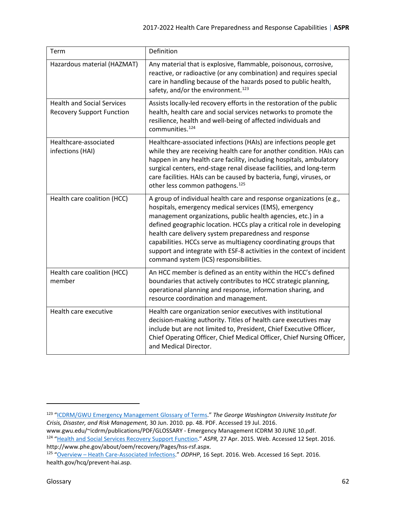<span id="page-61-6"></span><span id="page-61-5"></span><span id="page-61-4"></span><span id="page-61-2"></span><span id="page-61-0"></span>

| Term                                                                  | Definition                                                                                                                                                                                                                                                                                                                                                                                                                                                                                                             |
|-----------------------------------------------------------------------|------------------------------------------------------------------------------------------------------------------------------------------------------------------------------------------------------------------------------------------------------------------------------------------------------------------------------------------------------------------------------------------------------------------------------------------------------------------------------------------------------------------------|
| Hazardous material (HAZMAT)                                           | Any material that is explosive, flammable, poisonous, corrosive,<br>reactive, or radioactive (or any combination) and requires special<br>care in handling because of the hazards posed to public health,<br>safety, and/or the environment. <sup>123</sup>                                                                                                                                                                                                                                                            |
| <b>Health and Social Services</b><br><b>Recovery Support Function</b> | Assists locally-led recovery efforts in the restoration of the public<br>health, health care and social services networks to promote the<br>resilience, health and well-being of affected individuals and<br>communities. <sup>124</sup>                                                                                                                                                                                                                                                                               |
| Healthcare-associated<br>infections (HAI)                             | Healthcare-associated infections (HAIs) are infections people get<br>while they are receiving health care for another condition. HAIs can<br>happen in any health care facility, including hospitals, ambulatory<br>surgical centers, end-stage renal disease facilities, and long-term<br>care facilities. HAIs can be caused by bacteria, fungi, viruses, or<br>other less common pathogens. <sup>125</sup>                                                                                                          |
| Health care coalition (HCC)                                           | A group of individual health care and response organizations (e.g.,<br>hospitals, emergency medical services (EMS), emergency<br>management organizations, public health agencies, etc.) in a<br>defined geographic location. HCCs play a critical role in developing<br>health care delivery system preparedness and response<br>capabilities. HCCs serve as multiagency coordinating groups that<br>support and integrate with ESF-8 activities in the context of incident<br>command system (ICS) responsibilities. |
| Health care coalition (HCC)<br>member                                 | An HCC member is defined as an entity within the HCC's defined<br>boundaries that actively contributes to HCC strategic planning,<br>operational planning and response, information sharing, and<br>resource coordination and management.                                                                                                                                                                                                                                                                              |
| Health care executive                                                 | Health care organization senior executives with institutional<br>decision-making authority. Titles of health care executives may<br>include but are not limited to, President, Chief Executive Officer,<br>Chief Operating Officer, Chief Medical Officer, Chief Nursing Officer,<br>and Medical Director.                                                                                                                                                                                                             |

<span id="page-61-3"></span><span id="page-61-1"></span> $\overline{\phantom{a}}$ 

<span id="page-61-7"></span><sup>123</sup> ["ICDRM/GWU Emergency Management Glossary of Terms.](https://www2.gwu.edu/%7Eicdrm/publications/PDF/GLOSSARY%20-%20Emergency%20Management%20ICDRM%2030%20JUNE%2010.pdf)" *The George Washington University Institute for Crisis, Disaster, and Risk Management,* 30 Jun. 2010. pp. 48. PDF. Accessed 19 Jul. 2016.

<span id="page-61-8"></span>www.gwu.edu/~icdrm/publications/PDF/GLOSSARY - Emergency Management ICDRM 30 JUNE 10.pdf.<br><sup>124</sup> "<u>Health and Social Services Recovery Support Function</u>." *ASPR,* 27 Apr. 2015. Web. Accessed 12 Sept. 2016.<br>http://www.phe.go

<span id="page-61-9"></span><sup>&</sup>lt;sup>125</sup> ["Overview –](https://health.gov/hcq/prevent-hai.asp) Heath Care-Associated Infections." *ODPHP*, 16 Sept. 2016. Web. Accessed 16 Sept. 2016. health.gov/hcq/prevent-hai.asp.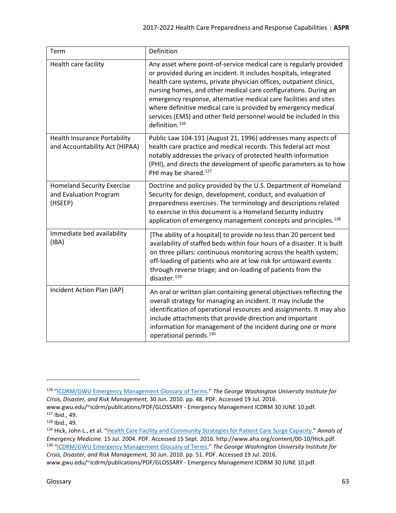<span id="page-62-3"></span><span id="page-62-2"></span><span id="page-62-1"></span><span id="page-62-0"></span>

| Term                                                                   | Definition                                                                                                                                                                                                                                                                                                                                                                                                                                                                                                                    |
|------------------------------------------------------------------------|-------------------------------------------------------------------------------------------------------------------------------------------------------------------------------------------------------------------------------------------------------------------------------------------------------------------------------------------------------------------------------------------------------------------------------------------------------------------------------------------------------------------------------|
| Health care facility                                                   | Any asset where point-of-service medical care is regularly provided<br>or provided during an incident. It includes hospitals, integrated<br>health care systems, private physician offices, outpatient clinics,<br>nursing homes, and other medical care configurations. During an<br>emergency response, alternative medical care facilities and sites<br>where definitive medical care is provided by emergency medical<br>services (EMS) and other field personnel would be included in this<br>definition. <sup>126</sup> |
| <b>Health Insurance Portability</b><br>and Accountability Act (HIPAA)  | Public Law 104-191 (August 21, 1996) addresses many aspects of<br>health care practice and medical records. This federal act most<br>notably addresses the privacy of protected health information<br>(PHI), and directs the development of specific parameters as to how<br>PHI may be shared. <sup>127</sup>                                                                                                                                                                                                                |
| <b>Homeland Security Exercise</b><br>and Evaluation Program<br>(HSEEP) | Doctrine and policy provided by the U.S. Department of Homeland<br>Security for design, development, conduct, and evaluation of<br>preparedness exercises. The terminology and descriptions related<br>to exercise in this document is a Homeland Security industry<br>application of emergency management concepts and principles. <sup>128</sup>                                                                                                                                                                            |
| Immediate bed availability<br>(IBA)                                    | [The ability of a hospital] to provide no less than 20 percent bed<br>availability of staffed beds within four hours of a disaster. It is built<br>on three pillars: continuous monitoring across the health system;<br>off-loading of patients who are at low risk for untoward events<br>through reverse triage; and on-loading of patients from the<br>disaster. <sup>129</sup>                                                                                                                                            |
| Incident Action Plan (IAP)                                             | An oral or written plan containing general objectives reflecting the<br>overall strategy for managing an incident. It may include the<br>identification of operational resources and assignments. It may also<br>include attachments that provide direction and important<br>information for management of the incident during one or more<br>operational periods. <sup>130</sup>                                                                                                                                             |

<span id="page-62-5"></span><span id="page-62-4"></span><sup>126</sup> ["ICDRM/GWU Emergency Management Glossary of Terms.](https://www2.gwu.edu/%7Eicdrm/publications/PDF/GLOSSARY%20-%20Emergency%20Management%20ICDRM%2030%20JUNE%2010.pdf)" *The George Washington University Institute for Crisis, Disaster, and Risk Management,* 30 Jun. 2010. pp. 48. PDF. Accessed 19 Jul. 2016.

<span id="page-62-6"></span>www.gwu.edu/~icdrm/publications/PDF/GLOSSARY - Emergency Management ICDRM 30 JUNE 10.pdf.<br><sup>127</sup> Ibid., 49.

<span id="page-62-7"></span><sup>128</sup> Ibid., 49.

<span id="page-62-8"></span><sup>129</sup> Hick, John L., et al. ["Health Care Facility and Community Strategies for Patient Care Surge Capacity.](http://www.aha.org/content/00-10/Hick.pdf)" *Annals of Emergency Medicine.* 15 Jul. 2004. PDF. Accessed 15 Sept. 2016. http://www.aha.org/content/00-10/Hick.pdf. 130 ["ICDRM/GWU Emergency Management Glossary of Terms.](https://www2.gwu.edu/%7Eicdrm/publications/PDF/GLOSSARY%20-%20Emergency%20Management%20ICDRM%2030%20JUNE%2010.pdf)" *The George Washington University Institute for Crisis, Disaster, and Risk Management,* 30 Jun. 2010. pp. 51. PDF. Accessed 19 Jul. 2016.

www.gwu.edu/~icdrm/publications/PDF/GLOSSARY - Emergency Management ICDRM 30 JUNE 10.pdf.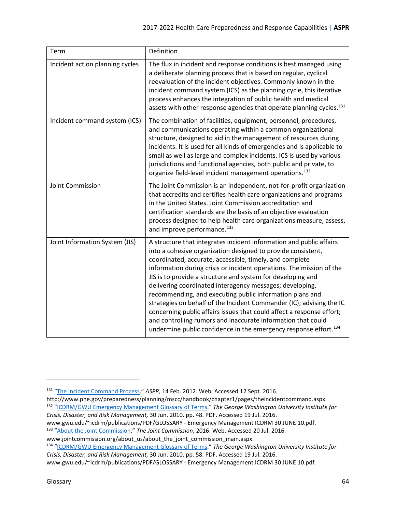<span id="page-63-2"></span><span id="page-63-1"></span><span id="page-63-0"></span>

| Term                            | Definition                                                                                                                                                                                                                                                                                                                                                                                                                                                                                                                                                                                                                                                                                                                                                     |
|---------------------------------|----------------------------------------------------------------------------------------------------------------------------------------------------------------------------------------------------------------------------------------------------------------------------------------------------------------------------------------------------------------------------------------------------------------------------------------------------------------------------------------------------------------------------------------------------------------------------------------------------------------------------------------------------------------------------------------------------------------------------------------------------------------|
| Incident action planning cycles | The flux in incident and response conditions is best managed using<br>a deliberate planning process that is based on regular, cyclical<br>reevaluation of the incident objectives. Commonly known in the<br>incident command system (ICS) as the planning cycle, this iterative<br>process enhances the integration of public health and medical<br>assets with other response agencies that operate planning cycles. <sup>131</sup>                                                                                                                                                                                                                                                                                                                           |
| Incident command system (ICS)   | The combination of facilities, equipment, personnel, procedures,<br>and communications operating within a common organizational<br>structure, designed to aid in the management of resources during<br>incidents. It is used for all kinds of emergencies and is applicable to<br>small as well as large and complex incidents. ICS is used by various<br>jurisdictions and functional agencies, both public and private, to<br>organize field-level incident management operations. <sup>132</sup>                                                                                                                                                                                                                                                            |
| Joint Commission                | The Joint Commission is an independent, not-for-profit organization<br>that accredits and certifies health care organizations and programs<br>in the United States. Joint Commission accreditation and<br>certification standards are the basis of an objective evaluation<br>process designed to help health care organizations measure, assess,<br>and improve performance. <sup>133</sup>                                                                                                                                                                                                                                                                                                                                                                   |
| Joint Information System (JIS)  | A structure that integrates incident information and public affairs<br>into a cohesive organization designed to provide consistent,<br>coordinated, accurate, accessible, timely, and complete<br>information during crisis or incident operations. The mission of the<br>JIS is to provide a structure and system for developing and<br>delivering coordinated interagency messages; developing,<br>recommending, and executing public information plans and<br>strategies on behalf of the Incident Commander (IC); advising the IC<br>concerning public affairs issues that could affect a response effort;<br>and controlling rumors and inaccurate information that could<br>undermine public confidence in the emergency response effort. <sup>134</sup> |

*Crisis, Disaster, and Risk Management,* 30 Jun. 2010. pp. 48. PDF. Accessed 19 Jul. 2016.

<span id="page-63-3"></span>l

<span id="page-63-4"></span><sup>131</sup> ["The Incident Command Process](http://www.phe.gov/preparedness/planning/mscc/handbook/chapter1/pages/theincidentcommand.aspx)." *ASPR,* 14 Feb. 2012. Web. Accessed 12 Sept. 2016.

<span id="page-63-5"></span>http://www.phe.gov/preparedness/planning/mscc/handbook/chapter1/pages/theincidentcommand.aspx.<br><sup>132</sup> "<u>ICDRM/GWU Emergency Management Glossary of Terms</u>." *The George Washington University Institute for* 

www.gwu.edu/~icdrm/publications/PDF/GLOSSARY - Emergency Management ICDRM 30 JUNE 10.pdf. 133 ["About the Joint Commission."](https://www.jointcommission.org/about_us/about_the_joint_commission_main.aspx) *The Joint Commission*, 2016. Web. Accessed 20 Jul. 2016.

<span id="page-63-6"></span>www.jointcommission.org/about\_us/about\_the\_joint\_commission\_main.aspx.<br><sup>134</sup> "<u>ICDRM/GWU Emergency Management Glossary of Terms</u>." *The George Washington University Institute for Crisis, Disaster, and Risk Management,* 30 Jun. 2010. pp. 58. PDF. Accessed 19 Jul. 2016.

www.gwu.edu/~icdrm/publications/PDF/GLOSSARY - Emergency Management ICDRM 30 JUNE 10.pdf.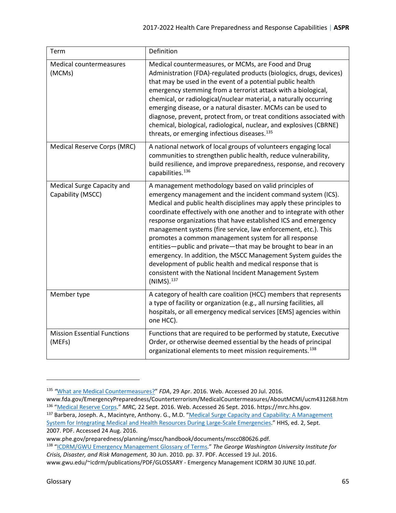<span id="page-64-4"></span><span id="page-64-3"></span><span id="page-64-0"></span>

| Term                                            | Definition                                                                                                                                                                                                                                                                                                                                                                                                                                                                                                                                                                                                                                                                                                                                         |
|-------------------------------------------------|----------------------------------------------------------------------------------------------------------------------------------------------------------------------------------------------------------------------------------------------------------------------------------------------------------------------------------------------------------------------------------------------------------------------------------------------------------------------------------------------------------------------------------------------------------------------------------------------------------------------------------------------------------------------------------------------------------------------------------------------------|
| Medical countermeasures<br>(MCMs)               | Medical countermeasures, or MCMs, are Food and Drug<br>Administration (FDA)-regulated products (biologics, drugs, devices)<br>that may be used in the event of a potential public health<br>emergency stemming from a terrorist attack with a biological,<br>chemical, or radiological/nuclear material, a naturally occurring<br>emerging disease, or a natural disaster. MCMs can be used to<br>diagnose, prevent, protect from, or treat conditions associated with<br>chemical, biological, radiological, nuclear, and explosives (CBRNE)<br>threats, or emerging infectious diseases. <sup>135</sup>                                                                                                                                          |
| Medical Reserve Corps (MRC)                     | A national network of local groups of volunteers engaging local<br>communities to strengthen public health, reduce vulnerability,<br>build resilience, and improve preparedness, response, and recovery<br>capabilities. <sup>136</sup>                                                                                                                                                                                                                                                                                                                                                                                                                                                                                                            |
| Medical Surge Capacity and<br>Capability (MSCC) | A management methodology based on valid principles of<br>emergency management and the incident command system (ICS).<br>Medical and public health disciplines may apply these principles to<br>coordinate effectively with one another and to integrate with other<br>response organizations that have established ICS and emergency<br>management systems (fire service, law enforcement, etc.). This<br>promotes a common management system for all response<br>entities-public and private-that may be brought to bear in an<br>emergency. In addition, the MSCC Management System guides the<br>development of public health and medical response that is<br>consistent with the National Incident Management System<br>(NIMS). <sup>137</sup> |
| Member type                                     | A category of health care coalition (HCC) members that represents<br>a type of facility or organization (e.g., all nursing facilities, all<br>hospitals, or all emergency medical services [EMS] agencies within<br>one HCC).                                                                                                                                                                                                                                                                                                                                                                                                                                                                                                                      |
| <b>Mission Essential Functions</b><br>(MEFs)    | Functions that are required to be performed by statute, Executive<br>Order, or otherwise deemed essential by the heads of principal<br>organizational elements to meet mission requirements. <sup>138</sup>                                                                                                                                                                                                                                                                                                                                                                                                                                                                                                                                        |

<span id="page-64-2"></span><span id="page-64-1"></span>l

<span id="page-64-5"></span><sup>135</sup> *"*[What are Medical Countermeasures?"](http://www.fda.gov/EmergencyPreparedness/Counterterrorism/MedicalCountermeasures/AboutMCMi/ucm431268.htm) *FDA*, 29 Apr. 2016. Web. Accessed 20 Jul. 2016.

<span id="page-64-6"></span>www.fda.gov/EmergencyPreparedness/Counterterrorism/MedicalCountermeasures/AboutMCMi/ucm431268.htm<br><sup>136</sup> "<u>Medical Reserve Corps</u>." *MRC*, 22 Sept. 2016. Web. Accessed 26 Sept. 2016. https://mrc.hhs.gov.

<span id="page-64-7"></span><sup>137</sup> Barbera, Joseph. A., Macintyre, Anthony. G., M.D. "Medical Surge Capacity and Capability: A Management [System for Integrating Medical and Health Resources During Large-Scale Emergencies.](http://www.phe.gov/preparedness/planning/mscc/handbook/documents/mscc080626.pdf)" HHS, ed. 2, Sept. 2007. PDF. Accessed 24 Aug. 2016.

www.phe.gov/preparedness/planning/mscc/handbook/documents/mscc080626.pdf.

<span id="page-64-8"></span><sup>138</sup> ["ICDRM/GWU Emergency Management Glossary of Terms.](https://www2.gwu.edu/%7Eicdrm/publications/PDF/GLOSSARY%20-%20Emergency%20Management%20ICDRM%2030%20JUNE%2010.pdf)" *The George Washington University Institute for Crisis, Disaster, and Risk Management,* 30 Jun. 2010. pp. 37. PDF. Accessed 19 Jul. 2016.

www.gwu.edu/~icdrm/publications/PDF/GLOSSARY - Emergency Management ICDRM 30 JUNE 10.pdf.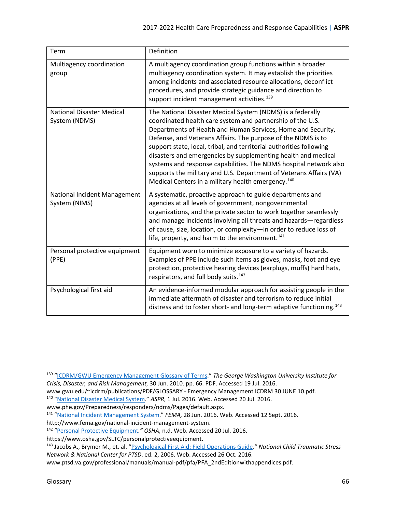<span id="page-65-3"></span><span id="page-65-2"></span><span id="page-65-0"></span>

| Term                                              | Definition                                                                                                                                                                                                                                                                                                                                                                                                                                                                                                                                                                                                    |
|---------------------------------------------------|---------------------------------------------------------------------------------------------------------------------------------------------------------------------------------------------------------------------------------------------------------------------------------------------------------------------------------------------------------------------------------------------------------------------------------------------------------------------------------------------------------------------------------------------------------------------------------------------------------------|
| Multiagency coordination<br>group                 | A multiagency coordination group functions within a broader<br>multiagency coordination system. It may establish the priorities<br>among incidents and associated resource allocations, deconflict<br>procedures, and provide strategic guidance and direction to<br>support incident management activities. <sup>139</sup>                                                                                                                                                                                                                                                                                   |
| <b>National Disaster Medical</b><br>System (NDMS) | The National Disaster Medical System (NDMS) is a federally<br>coordinated health care system and partnership of the U.S.<br>Departments of Health and Human Services, Homeland Security,<br>Defense, and Veterans Affairs. The purpose of the NDMS is to<br>support state, local, tribal, and territorial authorities following<br>disasters and emergencies by supplementing health and medical<br>systems and response capabilities. The NDMS hospital network also<br>supports the military and U.S. Department of Veterans Affairs (VA)<br>Medical Centers in a military health emergency. <sup>140</sup> |
| National Incident Management<br>System (NIMS)     | A systematic, proactive approach to guide departments and<br>agencies at all levels of government, nongovernmental<br>organizations, and the private sector to work together seamlessly<br>and manage incidents involving all threats and hazards-regardless<br>of cause, size, location, or complexity-in order to reduce loss of<br>life, property, and harm to the environment. <sup>141</sup>                                                                                                                                                                                                             |
| Personal protective equipment<br>(PPE)            | Equipment worn to minimize exposure to a variety of hazards.<br>Examples of PPE include such items as gloves, masks, foot and eye<br>protection, protective hearing devices (earplugs, muffs) hard hats,<br>respirators, and full body suits. <sup>142</sup>                                                                                                                                                                                                                                                                                                                                                  |
| Psychological first aid                           | An evidence-informed modular approach for assisting people in the<br>immediate aftermath of disaster and terrorism to reduce initial<br>distress and to foster short- and long-term adaptive functioning. <sup>143</sup>                                                                                                                                                                                                                                                                                                                                                                                      |

<span id="page-65-5"></span><span id="page-65-4"></span><span id="page-65-1"></span><sup>139</sup> ["ICDRM/GWU Emergency Management Glossary of Terms.](https://www2.gwu.edu/%7Eicdrm/publications/PDF/GLOSSARY%20-%20Emergency%20Management%20ICDRM%2030%20JUNE%2010.pdf)" *The George Washington University Institute for Crisis, Disaster, and Risk Management,* 30 Jun. 2010. pp. 66. PDF. Accessed 19 Jul. 2016.

<span id="page-65-6"></span>www.gwu.edu/~icdrm/publications/PDF/GLOSSARY - Emergency Management ICDRM 30 JUNE 10.pdf.<br><sup>140</sup> "<u>National Disaster Medical System</u>." *ASPR*, 1 Jul. 2016. Web. Accessed 20 Jul. 2016.<br>www.phe.gov/Preparedness/responders/ndm

<span id="page-65-7"></span><sup>&</sup>lt;sup>141</sup> ["National Incident Management System."](https://www.fema.gov/national-incident-management-system) FEMA, 28 Jun. 2016. Web. Accessed 12 Sept. 2016.

http://www.fema.gov/national-incident-management-system.<br><sup>142</sup> "<u>Personal Protective Equipment</u>." *OSHA*, n.d. Web. Accessed 20 Jul. 2016.<br>https://www.osha.gov/SLTC/personalprotective equipment.

<span id="page-65-8"></span><sup>&</sup>lt;sup>143</sup> Jacobs A., Brymer M., et. al. ["Psychological First Aid: Field Operations Guide](http://www.ptsd.va.gov/professional/manuals/manual-pdf/pfa/PFA_2ndEditionwithappendices.pdf)." National Child Traumatic Stress *Network & National Center for PTSD*. ed. 2, 2006. Web. Accessed 26 Oct. 2016.

www.ptsd.va.gov/professional/manuals/manual-pdf/pfa/PFA\_2ndEditionwithappendices.pdf.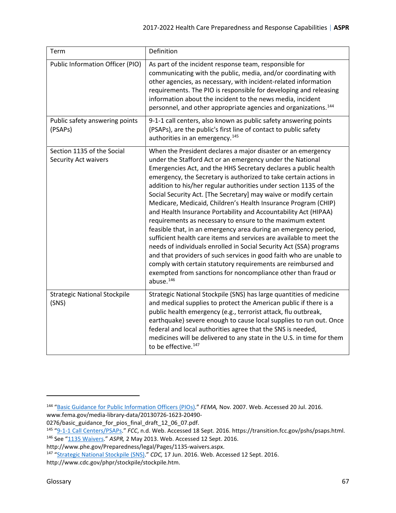<span id="page-66-2"></span><span id="page-66-1"></span><span id="page-66-0"></span>

| Term                                                      | Definition                                                                                                                                                                                                                                                                                                                                                                                                                                                                                                                                                                                                                                                                                                                                                                                                                                                                                                                                                                                                                                                      |
|-----------------------------------------------------------|-----------------------------------------------------------------------------------------------------------------------------------------------------------------------------------------------------------------------------------------------------------------------------------------------------------------------------------------------------------------------------------------------------------------------------------------------------------------------------------------------------------------------------------------------------------------------------------------------------------------------------------------------------------------------------------------------------------------------------------------------------------------------------------------------------------------------------------------------------------------------------------------------------------------------------------------------------------------------------------------------------------------------------------------------------------------|
| Public Information Officer (PIO)                          | As part of the incident response team, responsible for<br>communicating with the public, media, and/or coordinating with<br>other agencies, as necessary, with incident-related information<br>requirements. The PIO is responsible for developing and releasing<br>information about the incident to the news media, incident<br>personnel, and other appropriate agencies and organizations. <sup>144</sup>                                                                                                                                                                                                                                                                                                                                                                                                                                                                                                                                                                                                                                                   |
| Public safety answering points<br>(PSAPs)                 | 9-1-1 call centers, also known as public safety answering points<br>(PSAPs), are the public's first line of contact to public safety<br>authorities in an emergency. <sup>145</sup>                                                                                                                                                                                                                                                                                                                                                                                                                                                                                                                                                                                                                                                                                                                                                                                                                                                                             |
| Section 1135 of the Social<br><b>Security Act waivers</b> | When the President declares a major disaster or an emergency<br>under the Stafford Act or an emergency under the National<br>Emergencies Act, and the HHS Secretary declares a public health<br>emergency, the Secretary is authorized to take certain actions in<br>addition to his/her regular authorities under section 1135 of the<br>Social Security Act. [The Secretary] may waive or modify certain<br>Medicare, Medicaid, Children's Health Insurance Program (CHIP)<br>and Health Insurance Portability and Accountability Act (HIPAA)<br>requirements as necessary to ensure to the maximum extent<br>feasible that, in an emergency area during an emergency period,<br>sufficient health care items and services are available to meet the<br>needs of individuals enrolled in Social Security Act (SSA) programs<br>and that providers of such services in good faith who are unable to<br>comply with certain statutory requirements are reimbursed and<br>exempted from sanctions for noncompliance other than fraud or<br>abuse. <sup>146</sup> |
| <b>Strategic National Stockpile</b><br>(SNS)              | Strategic National Stockpile (SNS) has large quantities of medicine<br>and medical supplies to protect the American public if there is a<br>public health emergency (e.g., terrorist attack, flu outbreak,<br>earthquake) severe enough to cause local supplies to run out. Once<br>federal and local authorities agree that the SNS is needed,<br>medicines will be delivered to any state in the U.S. in time for them<br>to be effective. <sup>147</sup>                                                                                                                                                                                                                                                                                                                                                                                                                                                                                                                                                                                                     |

<span id="page-66-4"></span><span id="page-66-3"></span><sup>144</sup> ["Basic Guidance for Public Information Officers \(PIOs\)."](https://www.fema.gov/media-library-data/20130726-1623-20490-0276/basic_guidance_for_pios_final_draft_12_06_07.pdf) *FEMA,* Nov. 2007. Web. Accessed 20 Jul. 2016.

www.fema.gov/media-library-data/20130726-1623-20490-

<span id="page-66-5"></span><sup>0276/</sup>basic\_guidance\_for\_pios\_final\_draft\_12\_06\_07.pdf.<br><sup>145</sup> "<u>9-1-1 Call Centers/PSAPs</u>." FCC, n.d. Web. Accessed 18 Sept. 2016. https://transition.fcc.gov/pshs/psaps.html.<br><sup>146</sup> See ["1135 Waivers."](http://www.phe.gov/Preparedness/legal/Pages/1135-waivers.aspx) ASPR, 2 May 2013. Web.

<span id="page-66-6"></span>

http://www.phe.gov/Preparedness/legal/Pages/1135-waivers.aspx.

<span id="page-66-7"></span><sup>147</sup> ["Strategic National Stockpile \(SNS\).](http://www.cdc.gov/phpr/stockpile/stockpile.htm)" *CDC,* 17 Jun. 2016. Web. Accessed 12 Sept. 2016. http://www.cdc.gov/phpr/stockpile/stockpile.htm.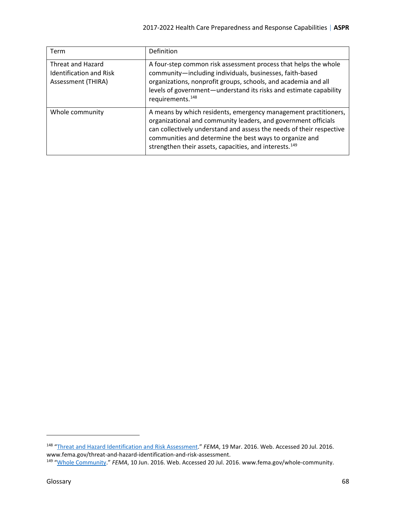<span id="page-67-0"></span>

| Term                                                                      | Definition                                                                                                                                                                                                                                                                                                                                 |
|---------------------------------------------------------------------------|--------------------------------------------------------------------------------------------------------------------------------------------------------------------------------------------------------------------------------------------------------------------------------------------------------------------------------------------|
| Threat and Hazard<br><b>Identification and Risk</b><br>Assessment (THIRA) | A four-step common risk assessment process that helps the whole<br>community-including individuals, businesses, faith-based<br>organizations, nonprofit groups, schools, and academia and all<br>levels of government—understand its risks and estimate capability<br>requirements. <sup>148</sup>                                         |
| Whole community                                                           | A means by which residents, emergency management practitioners,<br>organizational and community leaders, and government officials<br>can collectively understand and assess the needs of their respective<br>communities and determine the best ways to organize and<br>strengthen their assets, capacities, and interests. <sup>149</sup> |

<span id="page-67-1"></span><sup>&</sup>lt;sup>148</sup> "Threat and [Hazard Identification and Risk Assessment.](https://www.fema.gov/threat-and-hazard-identification-and-risk-assessment)" *FEMA*, 19 Mar. 2016. Web. Accessed 20 Jul. 2016. www.fema.gov/threat-and-hazard-identification-and-risk-assessment.

<span id="page-67-2"></span><sup>&</sup>lt;sup>149</sup> ["Whole Community."](https://www.fema.gov/whole-community) *FEMA*, 10 Jun. 2016. Web. Accessed 20 Jul. 2016. www.fema.gov/whole-community.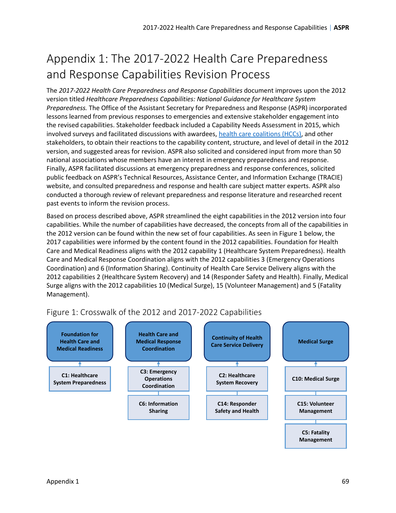# <span id="page-68-0"></span>Appendix 1: The 2017-2022 Health Care Preparedness and Response Capabilities Revision Process

The *2017-2022 Health Care Preparedness and Response Capabilities* document improves upon the 2012 version titled *Healthcare Preparedness Capabilities: National Guidance for Healthcare System Preparedness.* The Office of the Assistant Secretary for Preparedness and Response (ASPR) incorporated lessons learned from previous responses to emergencies and extensive stakeholder engagement into the revised capabilities. Stakeholder feedback included a Capability Needs Assessment in 2015, which involved surveys and facilitated discussions with awardees, [health care coalitions \(HCCs\),](#page-61-0) and other stakeholders, to obtain their reactions to the capability content, structure, and level of detail in the 2012 version, and suggested areas for revision. ASPR also solicited and considered input from more than 50 national associations whose members have an interest in emergency preparedness and response. Finally, ASPR facilitated discussions at emergency preparedness and response conferences, solicited public feedback on ASPR's Technical Resources, Assistance Center, and Information Exchange (TRACIE) website, and consulted preparedness and response and health care subject matter experts. ASPR also conducted a thorough review of relevant preparedness and response literature and researched recent past events to inform the revision process.

Based on process described above, ASPR streamlined the eight capabilities in the 2012 version into four capabilities. While the number of capabilities have decreased, the concepts from all of the capabilities in the 2012 version can be found within the new set of four capabilities. As seen in Figure 1 below, the 2017 capabilities were informed by the content found in the 2012 capabilities. Foundation for Health Care and Medical Readiness aligns with the 2012 capability 1 (Healthcare System Preparedness). Health Care and Medical Response Coordination aligns with the 2012 capabilities 3 (Emergency Operations Coordination) and 6 (Information Sharing). Continuity of Health Care Service Delivery aligns with the 2012 capabilities 2 (Healthcare System Recovery) and 14 (Responder Safety and Health). Finally, Medical Surge aligns with the 2012 capabilities 10 (Medical Surge), 15 (Volunteer Management) and 5 (Fatality Management).



### Figure 1: Crosswalk of the 2012 and 2017-2022 Capabilities